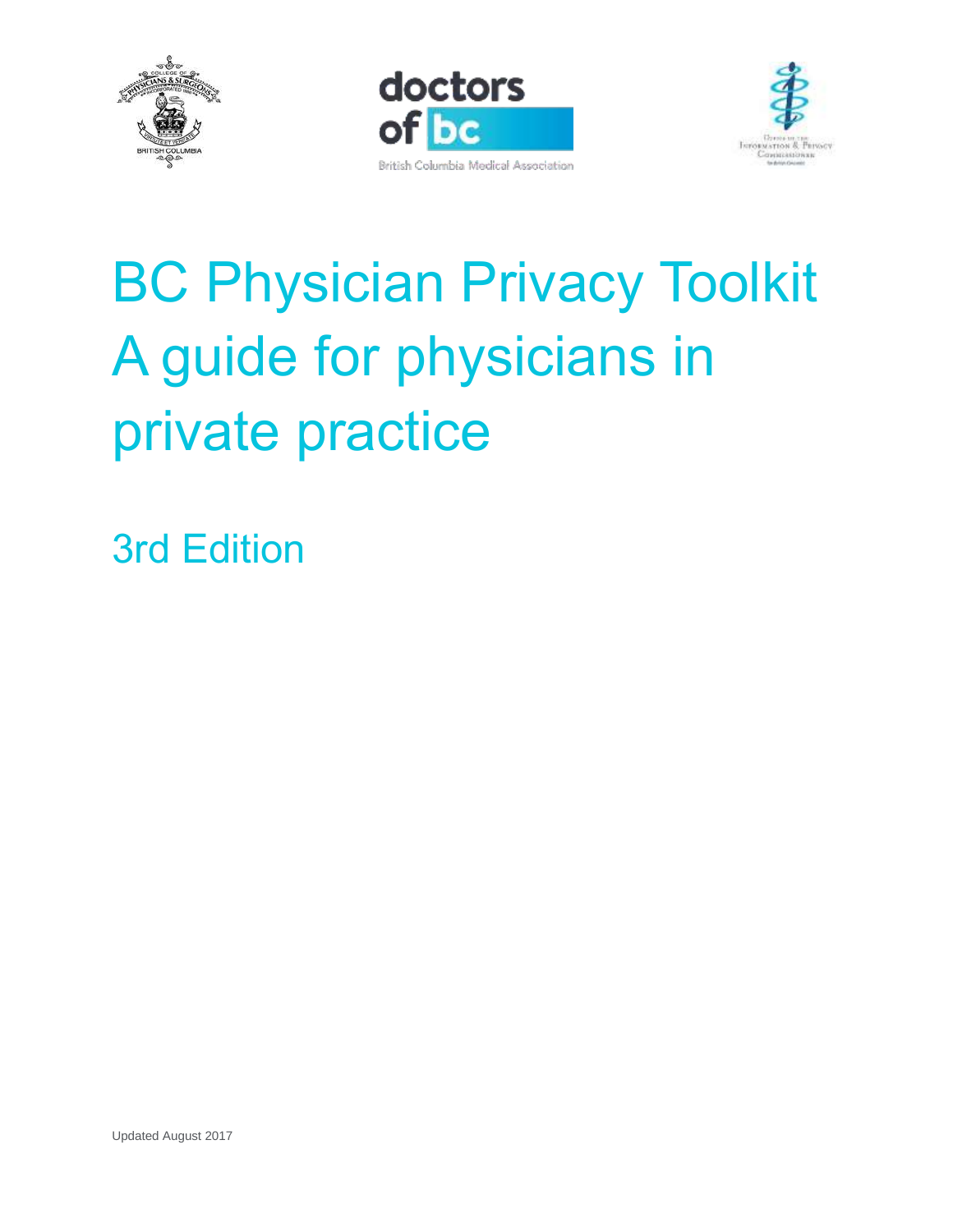





# BC Physician Privacy Toolkit A guide for physicians in private practice

3rd Edition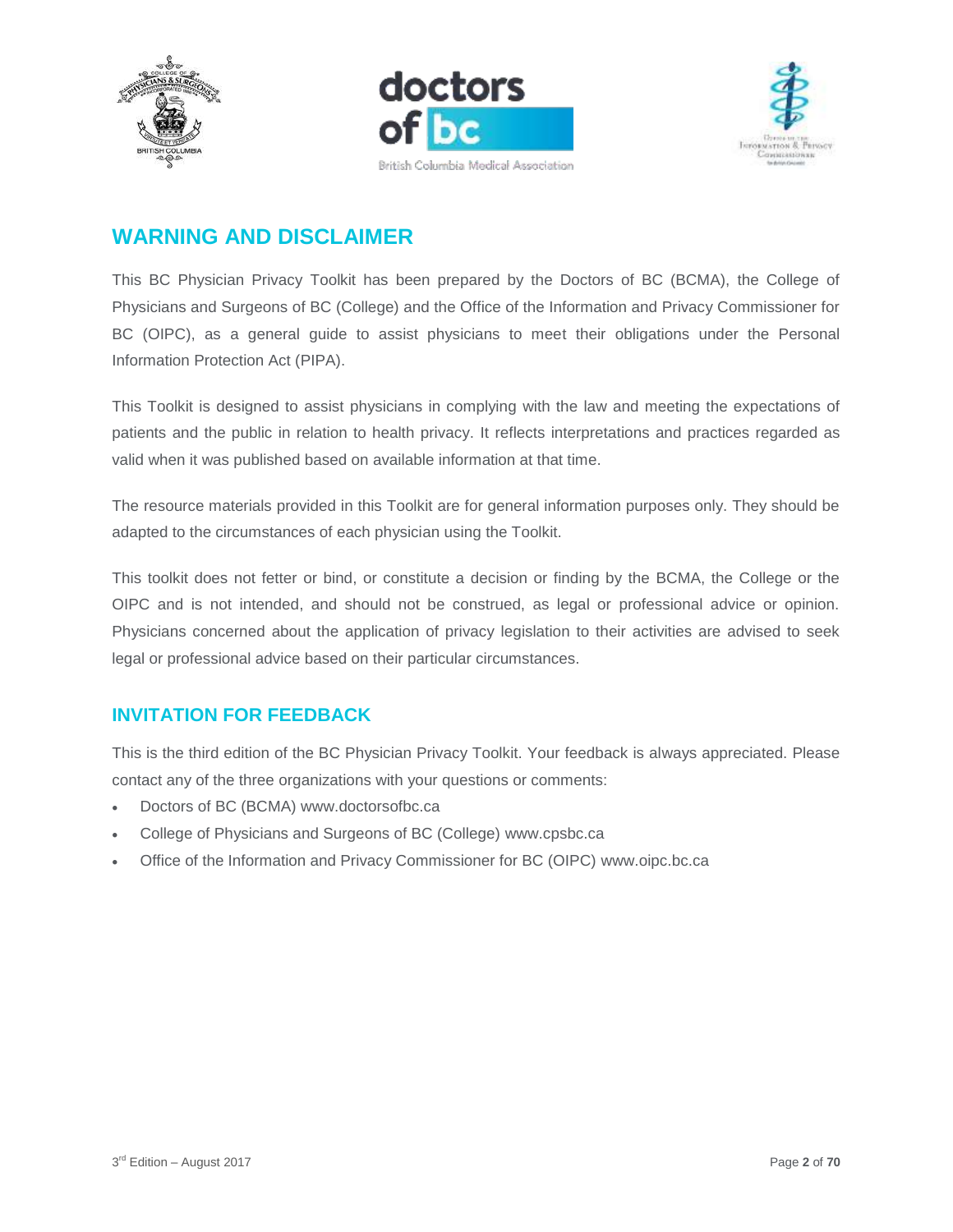





# <span id="page-1-0"></span>**WARNING AND DISCLAIMER**

This BC Physician Privacy Toolkit has been prepared by the Doctors of BC (BCMA), the College of Physicians and Surgeons of BC (College) and the Office of the Information and Privacy Commissioner for BC (OIPC), as a general guide to assist physicians to meet their obligations under the Personal Information Protection Act (PIPA).

This Toolkit is designed to assist physicians in complying with the law and meeting the expectations of patients and the public in relation to health privacy. It reflects interpretations and practices regarded as valid when it was published based on available information at that time.

The resource materials provided in this Toolkit are for general information purposes only. They should be adapted to the circumstances of each physician using the Toolkit.

This toolkit does not fetter or bind, or constitute a decision or finding by the BCMA, the College or the OIPC and is not intended, and should not be construed, as legal or professional advice or opinion. Physicians concerned about the application of privacy legislation to their activities are advised to seek legal or professional advice based on their particular circumstances.

# <span id="page-1-1"></span>**INVITATION FOR FEEDBACK**

This is the third edition of the BC Physician Privacy Toolkit. Your feedback is always appreciated. Please contact any of the three organizations with your questions or comments:

- Doctors of BC (BCMA) [www.doctorsofbc.ca](http://www.doctorsofbc.ca/)
- College of Physicians and Surgeons of BC (College) [www.cpsbc.ca](http://www.cpsbc.ca/)
- Office of the Information and Privacy Commissioner for BC (OIPC) [www.oipc.bc.ca](http://www.oipc.bc.ca/)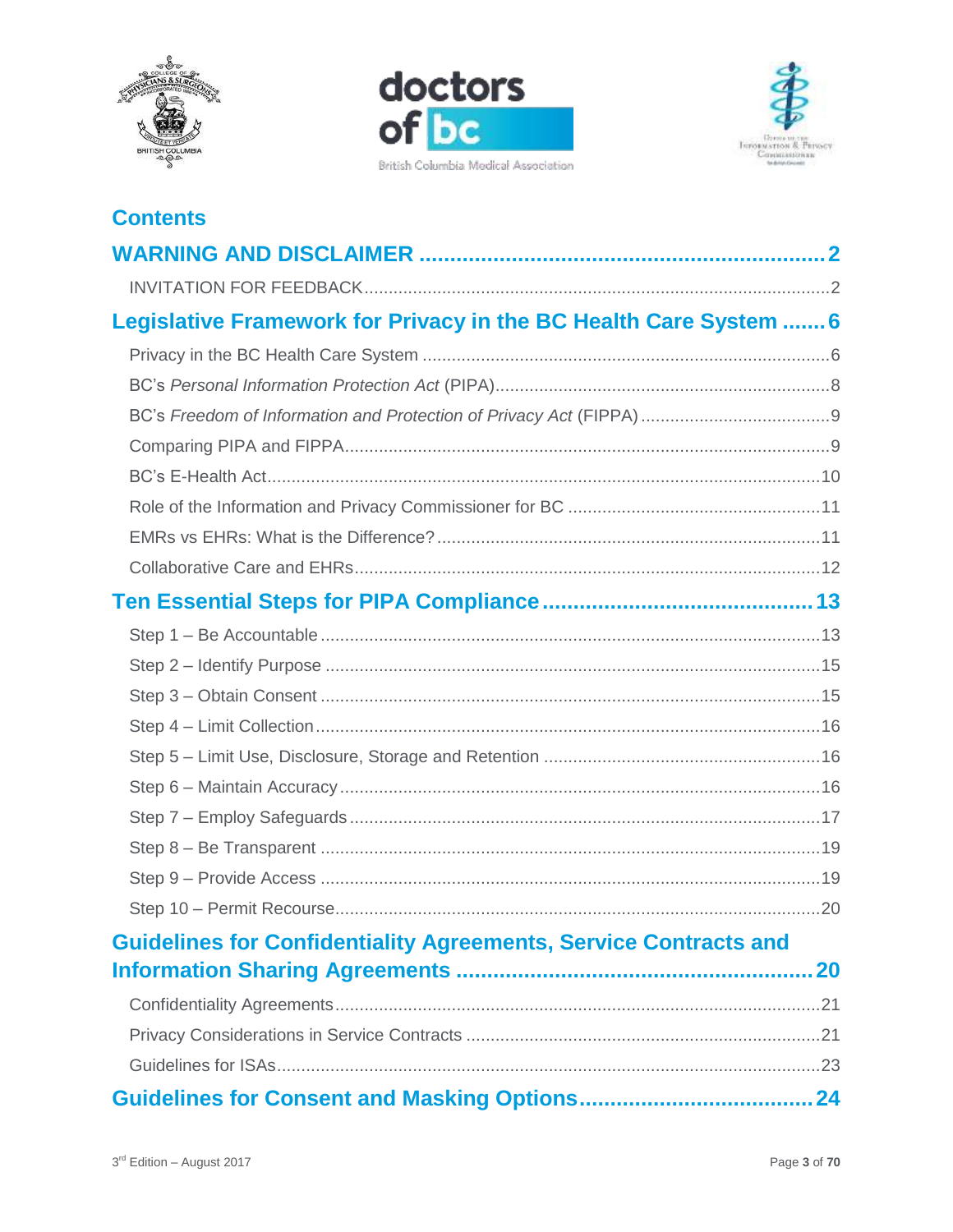





# **Contents**

| Legislative Framework for Privacy in the BC Health Care System  6       |           |
|-------------------------------------------------------------------------|-----------|
|                                                                         |           |
|                                                                         |           |
|                                                                         |           |
|                                                                         |           |
|                                                                         |           |
|                                                                         |           |
|                                                                         |           |
|                                                                         |           |
|                                                                         |           |
|                                                                         |           |
|                                                                         |           |
|                                                                         |           |
|                                                                         |           |
|                                                                         |           |
|                                                                         |           |
|                                                                         |           |
|                                                                         |           |
|                                                                         |           |
|                                                                         |           |
| <b>Guidelines for Confidentiality Agreements, Service Contracts and</b> |           |
|                                                                         | <b>20</b> |
|                                                                         |           |
|                                                                         |           |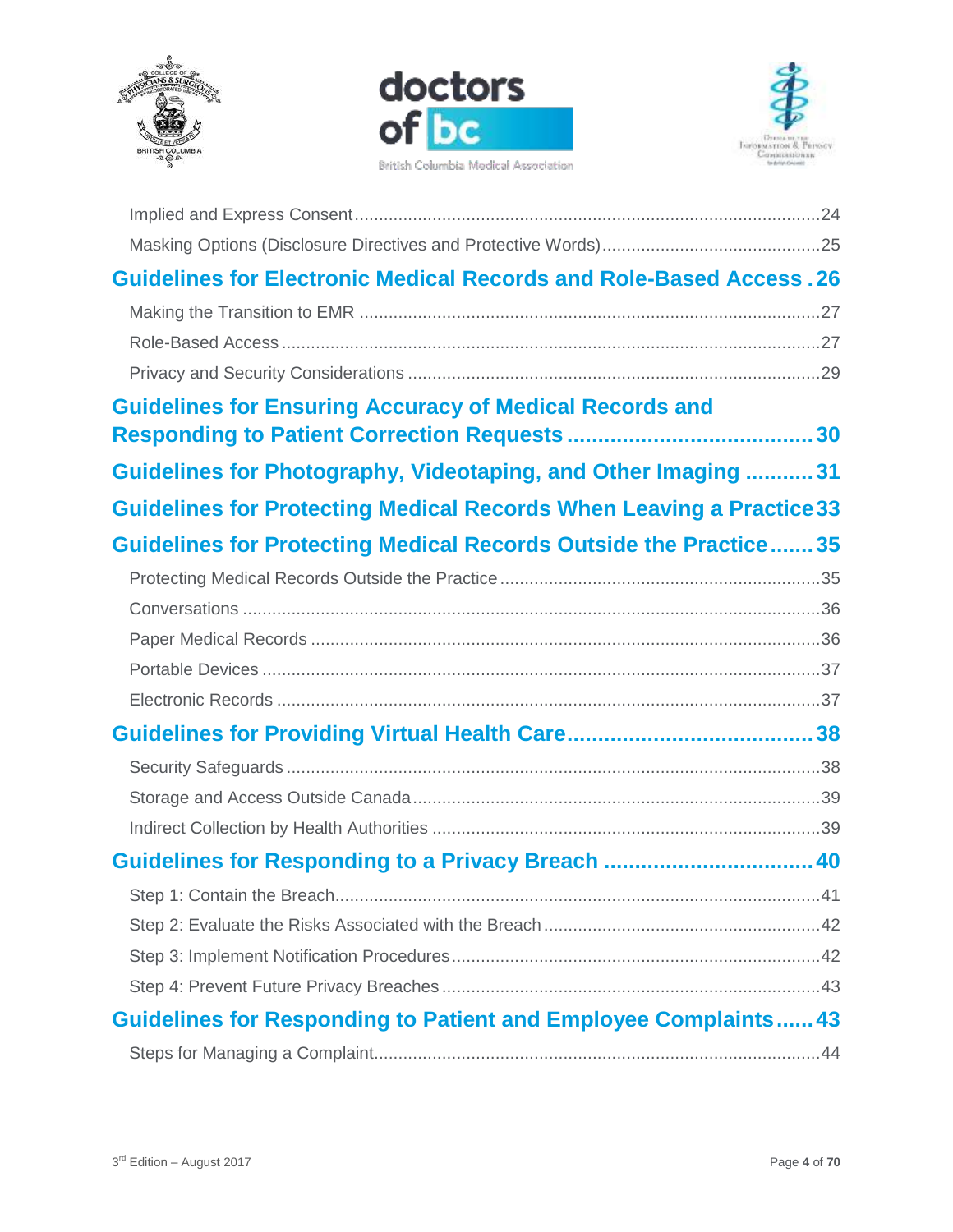





| <b>Guidelines for Electronic Medical Records and Role-Based Access. 26</b>  |  |
|-----------------------------------------------------------------------------|--|
|                                                                             |  |
|                                                                             |  |
|                                                                             |  |
| <b>Guidelines for Ensuring Accuracy of Medical Records and</b>              |  |
|                                                                             |  |
| Guidelines for Photography, Videotaping, and Other Imaging  31              |  |
| <b>Guidelines for Protecting Medical Records When Leaving a Practice 33</b> |  |
| Guidelines for Protecting Medical Records Outside the Practice35            |  |
|                                                                             |  |
|                                                                             |  |
|                                                                             |  |
|                                                                             |  |
|                                                                             |  |
|                                                                             |  |
|                                                                             |  |
|                                                                             |  |
|                                                                             |  |
| Guidelines for Responding to a Privacy Breach  40                           |  |
|                                                                             |  |
|                                                                             |  |
|                                                                             |  |
|                                                                             |  |
| <b>Guidelines for Responding to Patient and Employee Complaints 43</b>      |  |
|                                                                             |  |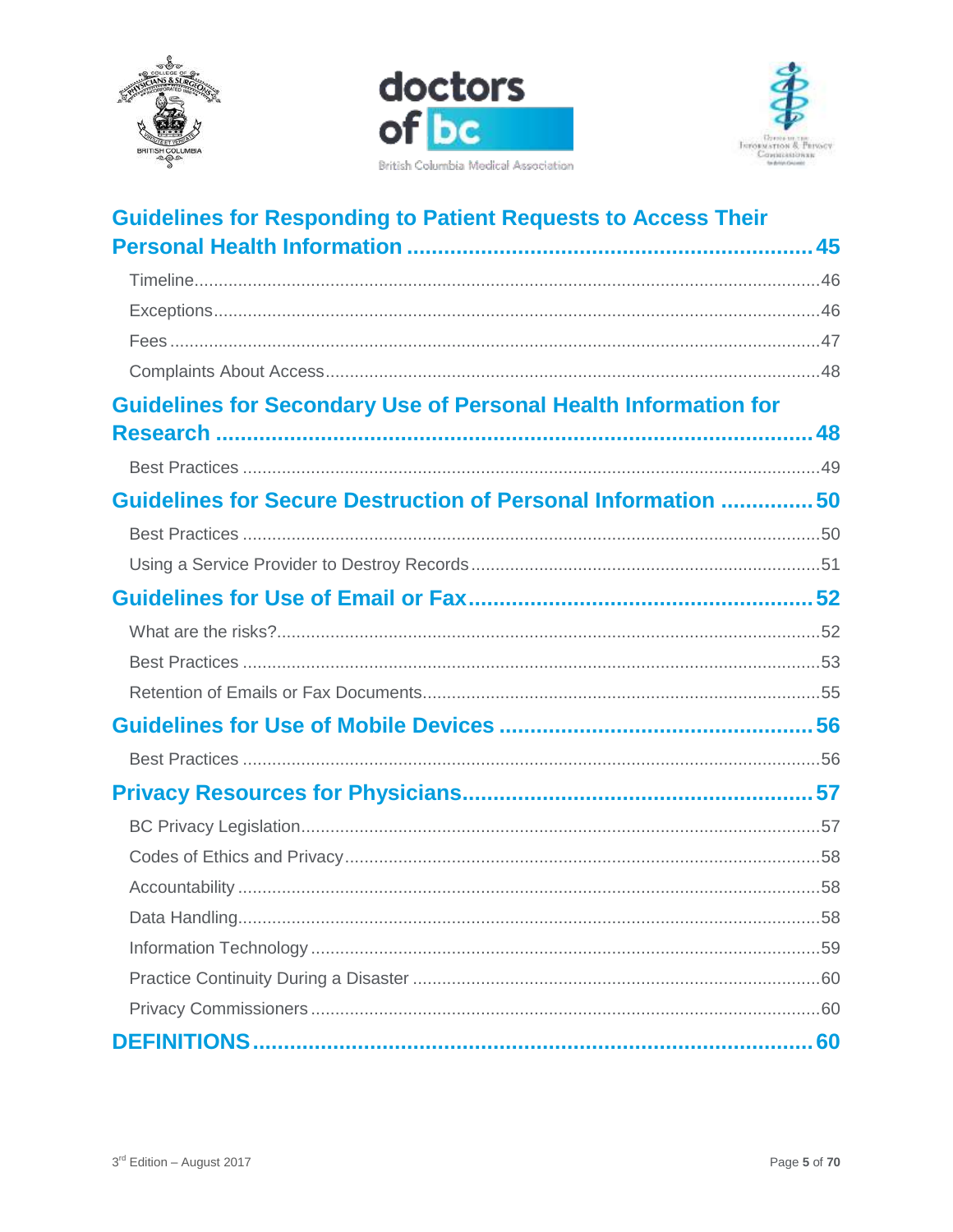





| <b>Guidelines for Responding to Patient Requests to Access Their</b>   |  |
|------------------------------------------------------------------------|--|
|                                                                        |  |
|                                                                        |  |
|                                                                        |  |
|                                                                        |  |
|                                                                        |  |
| <b>Guidelines for Secondary Use of Personal Health Information for</b> |  |
|                                                                        |  |
|                                                                        |  |
| Guidelines for Secure Destruction of Personal Information  50          |  |
|                                                                        |  |
|                                                                        |  |
|                                                                        |  |
|                                                                        |  |
|                                                                        |  |
|                                                                        |  |
|                                                                        |  |
|                                                                        |  |
|                                                                        |  |
|                                                                        |  |
|                                                                        |  |
|                                                                        |  |
|                                                                        |  |
|                                                                        |  |
|                                                                        |  |
|                                                                        |  |
|                                                                        |  |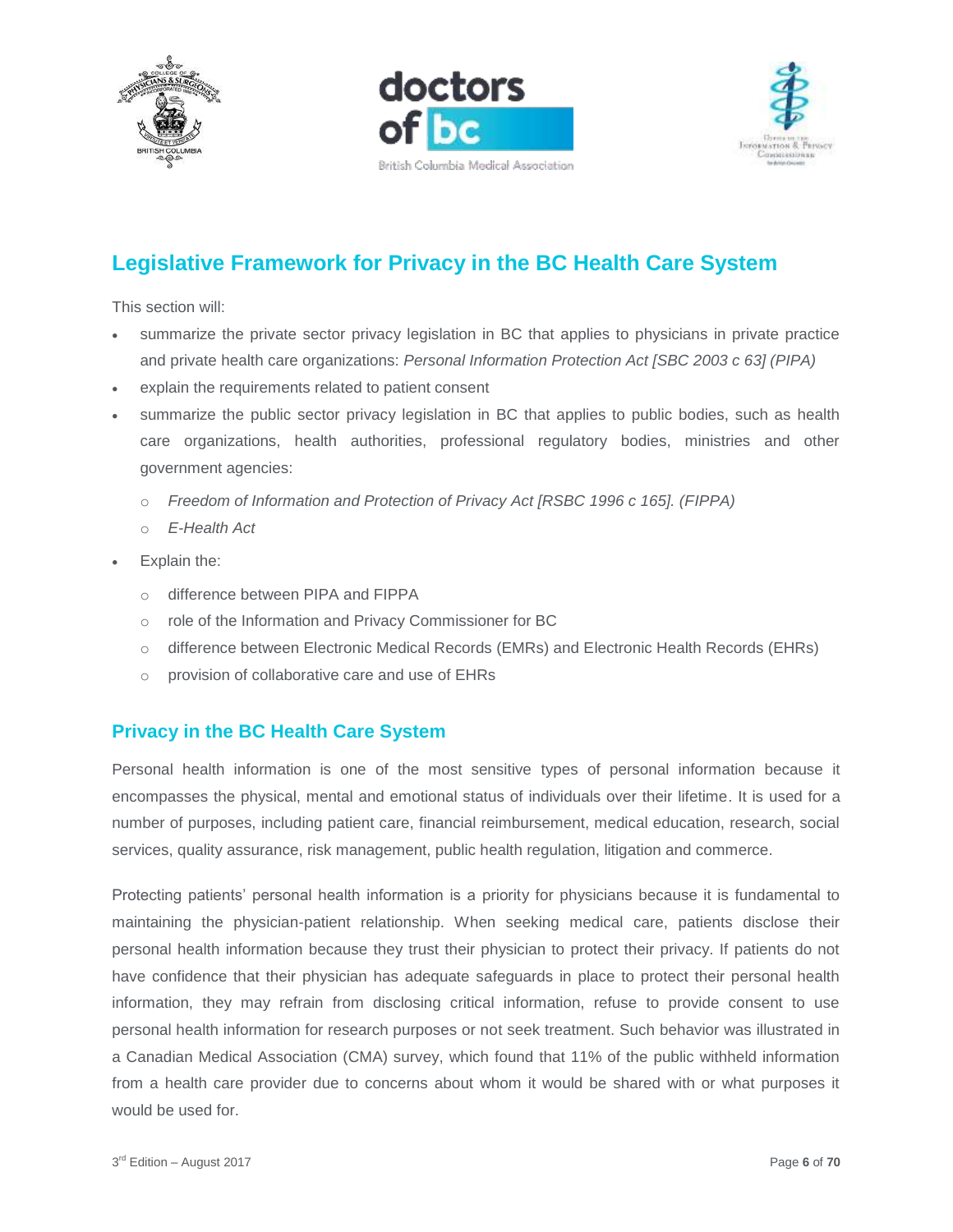





# <span id="page-5-0"></span>**Legislative Framework for Privacy in the BC Health Care System**

This section will:

- summarize the private sector privacy legislation in BC that applies to physicians in private practice and private health care organizations: *Personal Information Protection Act [SBC 2003 c 63] (PIPA)*
- explain the requirements related to patient consent
- summarize the public sector privacy legislation in BC that applies to public bodies, such as health care organizations, health authorities, professional regulatory bodies, ministries and other government agencies:
	- o *Freedom of Information and Protection of Privacy Act [RSBC 1996 c 165]. (FIPPA)*
	- o *E-Health Act*
- Explain the:
	- o difference between PIPA and FIPPA
	- o role of the Information and Privacy Commissioner for BC
	- o difference between Electronic Medical Records (EMRs) and Electronic Health Records (EHRs)
	- o provision of collaborative care and use of EHRs

## <span id="page-5-1"></span>**Privacy in the BC Health Care System**

Personal health information is one of the most sensitive types of personal information because it encompasses the physical, mental and emotional status of individuals over their lifetime. It is used for a number of purposes, including patient care, financial reimbursement, medical education, research, social services, quality assurance, risk management, public health regulation, litigation and commerce.

Protecting patients' personal health information is a priority for physicians because it is fundamental to maintaining the physician-patient relationship. When seeking medical care, patients disclose their personal health information because they trust their physician to protect their privacy. If patients do not have confidence that their physician has adequate safeguards in place to protect their personal health information, they may refrain from disclosing critical information, refuse to provide consent to use personal health information for research purposes or not seek treatment. Such behavior was illustrated in a Canadian Medical Association (CMA) survey, which found that 11% of the public withheld information from a health care provider due to concerns about whom it would be shared with or what purposes it would be used for.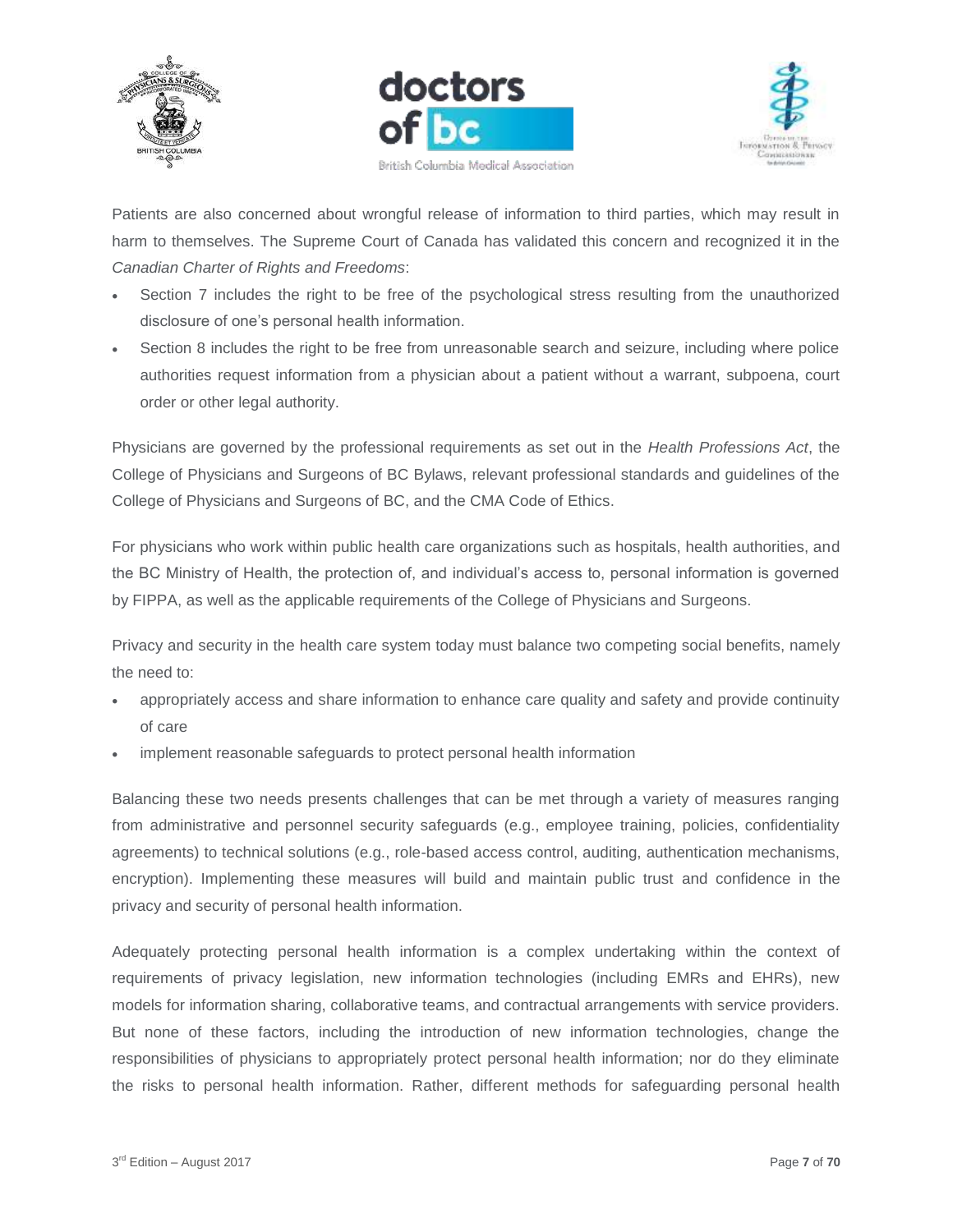





Patients are also concerned about wrongful release of information to third parties, which may result in harm to themselves. The Supreme Court of Canada has validated this concern and recognized it in the *Canadian Charter of Rights and Freedoms*:

- Section 7 includes the right to be free of the psychological stress resulting from the unauthorized disclosure of one's personal health information.
- Section 8 includes the right to be free from unreasonable search and seizure, including where police authorities request information from a physician about a patient without a warrant, subpoena, court order or other legal authority.

Physicians are governed by the professional requirements as set out in the *Health Professions Act*, the College of Physicians and Surgeons of BC Bylaws, relevant professional standards and guidelines of the College of Physicians and Surgeons of BC, and the CMA Code of Ethics.

For physicians who work within public health care organizations such as hospitals, health authorities, and the BC Ministry of Health, the protection of, and individual's access to, personal information is governed by FIPPA, as well as the applicable requirements of the College of Physicians and Surgeons.

Privacy and security in the health care system today must balance two competing social benefits, namely the need to:

- appropriately access and share information to enhance care quality and safety and provide continuity of care
- implement reasonable safeguards to protect personal health information

Balancing these two needs presents challenges that can be met through a variety of measures ranging from administrative and personnel security safeguards (e.g., employee training, policies, confidentiality agreements) to technical solutions (e.g., role-based access control, auditing, authentication mechanisms, encryption). Implementing these measures will build and maintain public trust and confidence in the privacy and security of personal health information.

Adequately protecting personal health information is a complex undertaking within the context of requirements of privacy legislation, new information technologies (including EMRs and EHRs), new models for information sharing, collaborative teams, and contractual arrangements with service providers. But none of these factors, including the introduction of new information technologies, change the responsibilities of physicians to appropriately protect personal health information; nor do they eliminate the risks to personal health information. Rather, different methods for safeguarding personal health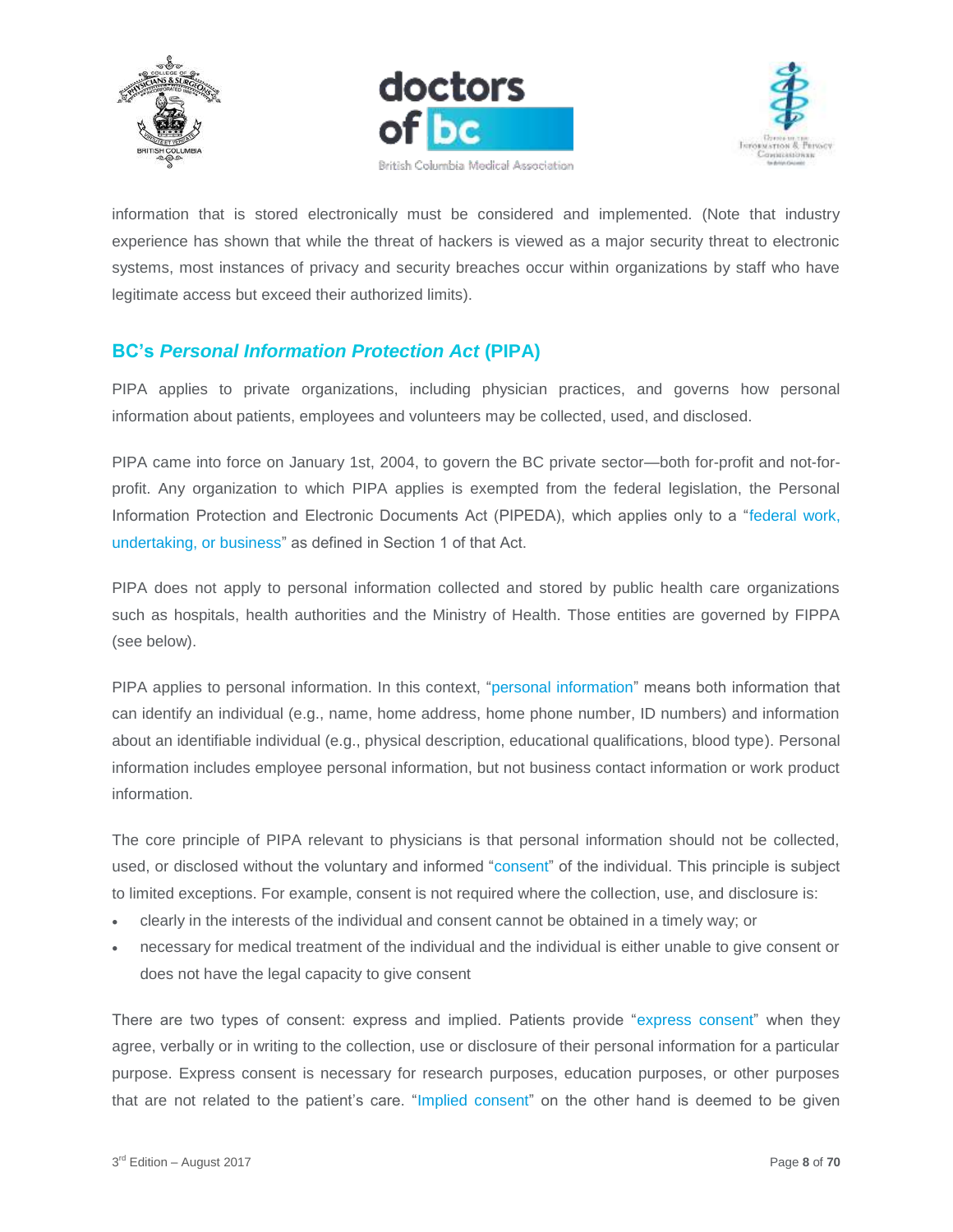





information that is stored electronically must be considered and implemented. (Note that industry experience has shown that while the threat of hackers is viewed as a major security threat to electronic systems, most instances of privacy and security breaches occur within organizations by staff who have legitimate access but exceed their authorized limits).

## <span id="page-7-0"></span>**BC's** *Personal Information Protection Act* **(PIPA)**

PIPA applies to private organizations, including physician practices, and governs how personal information about patients, employees and volunteers may be collected, used, and disclosed.

PIPA came into force on January 1st, 2004, to govern the BC private sector—both for-profit and not-forprofit. Any organization to which PIPA applies is exempted from the federal legislation, the Personal Information Protection and Electronic Documents Act (PIPEDA), which applies only to a "federal work, undertaking, or business" as defined in Section 1 of that Act.

PIPA does not apply to personal information collected and stored by public health care organizations such as hospitals, health authorities and the Ministry of Health. Those entities are governed by FIPPA (see below).

PIPA applies to personal information. In this context, "personal information" means both information that can identify an individual (e.g., name, home address, home phone number, ID numbers) and information about an identifiable individual (e.g., physical description, educational qualifications, blood type). Personal information includes employee personal information, but not business contact information or work product information.

The core principle of PIPA relevant to physicians is that personal information should not be collected, used, or disclosed without the voluntary and informed "consent" of the individual. This principle is subject to limited exceptions. For example, consent is not required where the collection, use, and disclosure is:

- clearly in the interests of the individual and consent cannot be obtained in a timely way; or
- necessary for medical treatment of the individual and the individual is either unable to give consent or does not have the legal capacity to give consent

There are two types of consent: express and implied. Patients provide "express consent" when they agree, verbally or in writing to the collection, use or disclosure of their personal information for a particular purpose. Express consent is necessary for research purposes, education purposes, or other purposes that are not related to the patient's care. "Implied consent" on the other hand is deemed to be given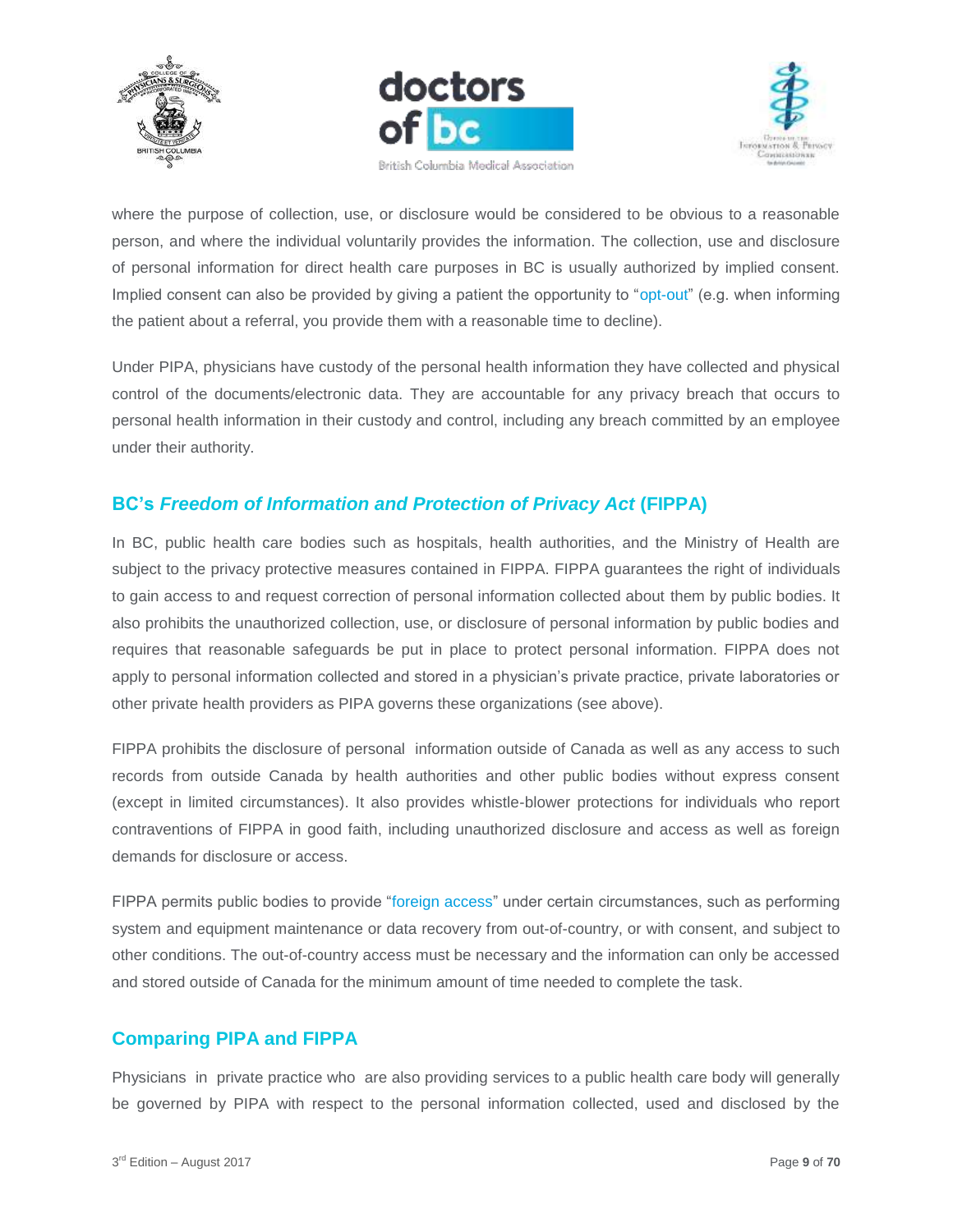





where the purpose of collection, use, or disclosure would be considered to be obvious to a reasonable person, and where the individual voluntarily provides the information. The collection, use and disclosure of personal information for direct health care purposes in BC is usually authorized by implied consent. Implied consent can also be provided by giving a patient the opportunity to "opt-out" (e.g. when informing the patient about a referral, you provide them with a reasonable time to decline).

Under PIPA, physicians have custody of the personal health information they have collected and physical control of the documents/electronic data. They are accountable for any privacy breach that occurs to personal health information in their custody and control, including any breach committed by an employee under their authority.

# <span id="page-8-0"></span>**BC's** *Freedom of Information and Protection of Privacy Act* **(FIPPA)**

In BC, public health care bodies such as hospitals, health authorities, and the Ministry of Health are subject to the privacy protective measures contained in FIPPA. FIPPA guarantees the right of individuals to gain access to and request correction of personal information collected about them by public bodies. It also prohibits the unauthorized collection, use, or disclosure of personal information by public bodies and requires that reasonable safeguards be put in place to protect personal information. FIPPA does not apply to personal information collected and stored in a physician's private practice, private laboratories or other private health providers as PIPA governs these organizations (see above).

FIPPA prohibits the disclosure of personal information outside of Canada as well as any access to such records from outside Canada by health authorities and other public bodies without express consent (except in limited circumstances). It also provides whistle-blower protections for individuals who report contraventions of FIPPA in good faith, including unauthorized disclosure and access as well as foreign demands for disclosure or access.

FIPPA permits public bodies to provide "foreign access" under certain circumstances, such as performing system and equipment maintenance or data recovery from out-of-country, or with consent, and subject to other conditions. The out-of-country access must be necessary and the information can only be accessed and stored outside of Canada for the minimum amount of time needed to complete the task.

## <span id="page-8-1"></span>**Comparing PIPA and FIPPA**

Physicians in private practice who are also providing services to a public health care body will generally be governed by PIPA with respect to the personal information collected, used and disclosed by the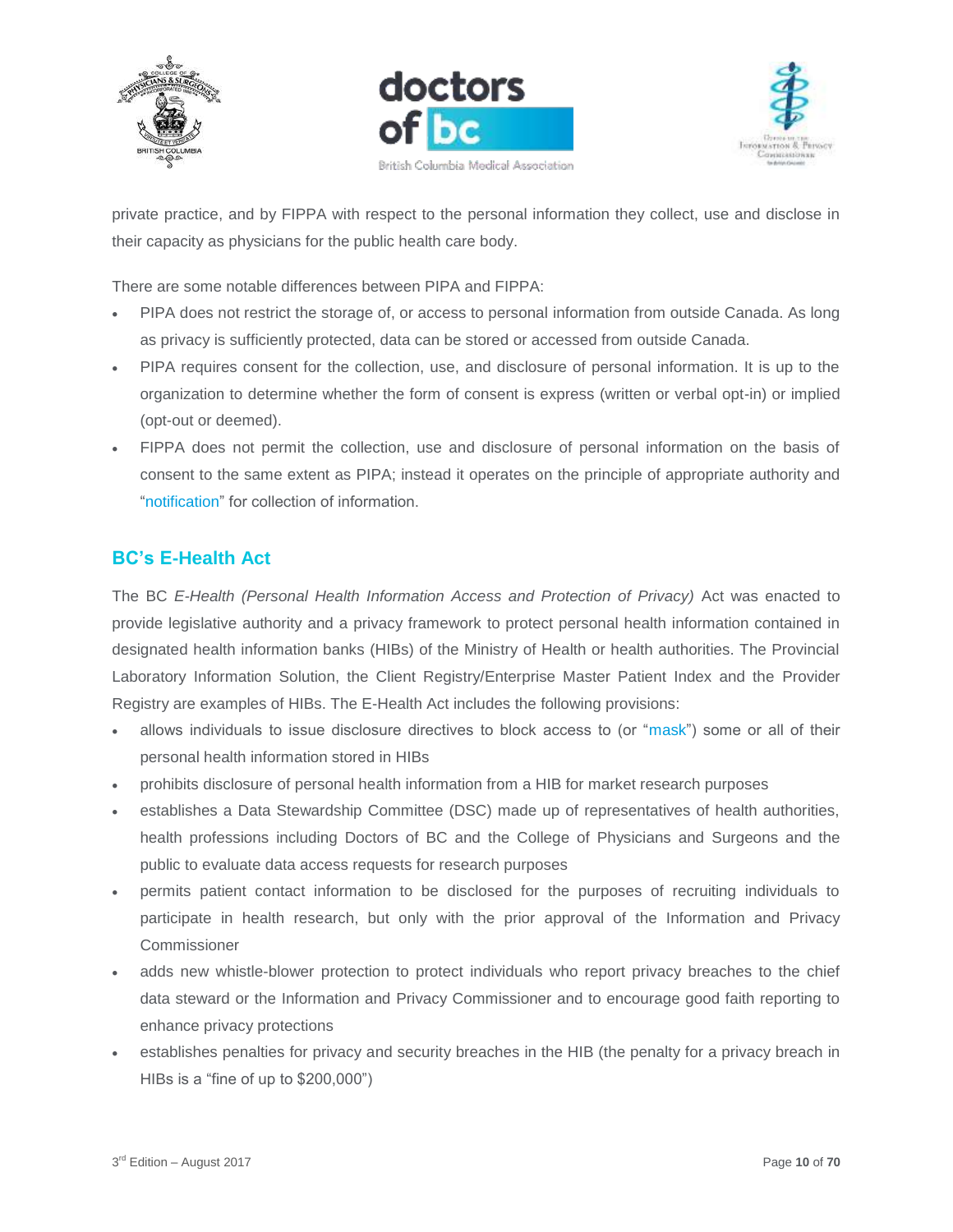





private practice, and by FIPPA with respect to the personal information they collect, use and disclose in their capacity as physicians for the public health care body.

There are some notable differences between PIPA and FIPPA:

- PIPA does not restrict the storage of, or access to personal information from outside Canada. As long as privacy is sufficiently protected, data can be stored or accessed from outside Canada.
- PIPA requires consent for the collection, use, and disclosure of personal information. It is up to the organization to determine whether the form of consent is express (written or verbal opt-in) or implied (opt-out or deemed).
- FIPPA does not permit the collection, use and disclosure of personal information on the basis of consent to the same extent as PIPA; instead it operates on the principle of appropriate authority and "notification" for collection of information.

# <span id="page-9-0"></span>**BC's E-Health Act**

The BC *E-Health (Personal Health Information Access and Protection of Privacy)* Act was enacted to provide legislative authority and a privacy framework to protect personal health information contained in designated health information banks (HIBs) of the Ministry of Health or health authorities. The Provincial Laboratory Information Solution, the Client Registry/Enterprise Master Patient Index and the Provider Registry are examples of HIBs. The E-Health Act includes the following provisions:

- allows individuals to issue disclosure directives to block access to (or "mask") some or all of their personal health information stored in HIBs
- prohibits disclosure of personal health information from a HIB for market research purposes
- establishes a Data Stewardship Committee (DSC) made up of representatives of health authorities, health professions including Doctors of BC and the College of Physicians and Surgeons and the public to evaluate data access requests for research purposes
- permits patient contact information to be disclosed for the purposes of recruiting individuals to participate in health research, but only with the prior approval of the Information and Privacy Commissioner
- adds new whistle-blower protection to protect individuals who report privacy breaches to the chief data steward or the Information and Privacy Commissioner and to encourage good faith reporting to enhance privacy protections
- establishes penalties for privacy and security breaches in the HIB (the penalty for a privacy breach in HIBs is a "fine of up to \$200,000")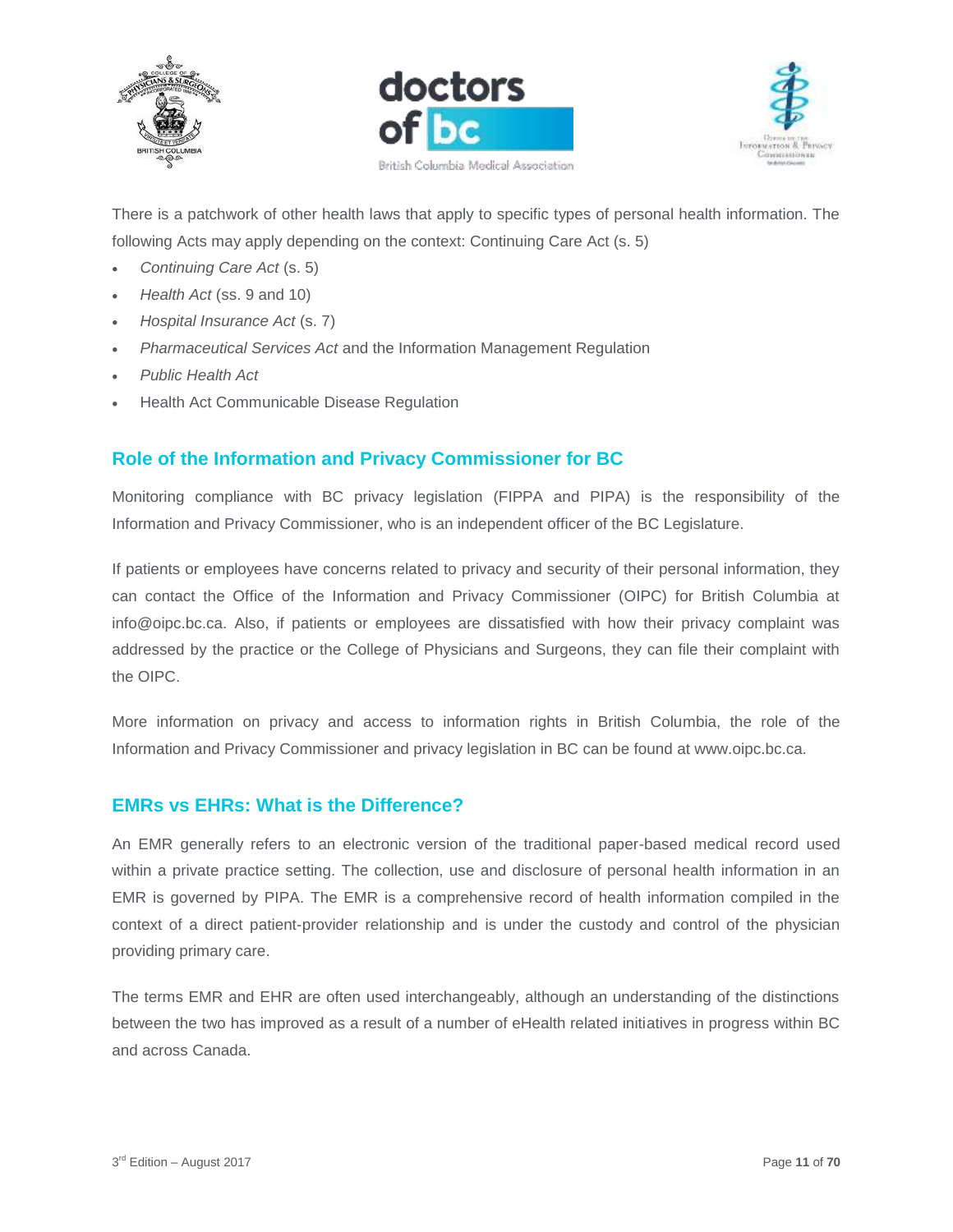





There is a patchwork of other health laws that apply to specific types of personal health information. The following Acts may apply depending on the context: Continuing Care Act (s. 5)

- *Continuing Care Act* (s. 5)
- *Health Act* (ss. 9 and 10)
- *Hospital Insurance Act* (s. 7)
- *Pharmaceutical Services Act* and the Information Management Regulation
- *Public Health Act*
- Health Act Communicable Disease Regulation

## <span id="page-10-0"></span>**Role of the Information and Privacy Commissioner for BC**

Monitoring compliance with BC privacy legislation (FIPPA and PIPA) is the responsibility of the Information and Privacy Commissioner, who is an independent officer of the BC Legislature.

If patients or employees have concerns related to privacy and security of their personal information, they can contact the Office of the Information and Privacy Commissioner (OIPC) for British Columbia at info@oipc.bc.ca. Also, if patients or employees are dissatisfied with how their privacy complaint was addressed by the practice or the College of Physicians and Surgeons, they can file their complaint with the OIPC.

More information on privacy and access to information rights in British Columbia, the role of the Information and Privacy Commissioner and privacy legislation in BC can be found at www.oipc.bc.ca.

#### <span id="page-10-1"></span>**EMRs vs EHRs: What is the Difference?**

An EMR generally refers to an electronic version of the traditional paper-based medical record used within a private practice setting. The collection, use and disclosure of personal health information in an EMR is governed by PIPA. The EMR is a comprehensive record of health information compiled in the context of a direct patient-provider relationship and is under the custody and control of the physician providing primary care.

The terms EMR and EHR are often used interchangeably, although an understanding of the distinctions between the two has improved as a result of a number of eHealth related initiatives in progress within BC and across Canada.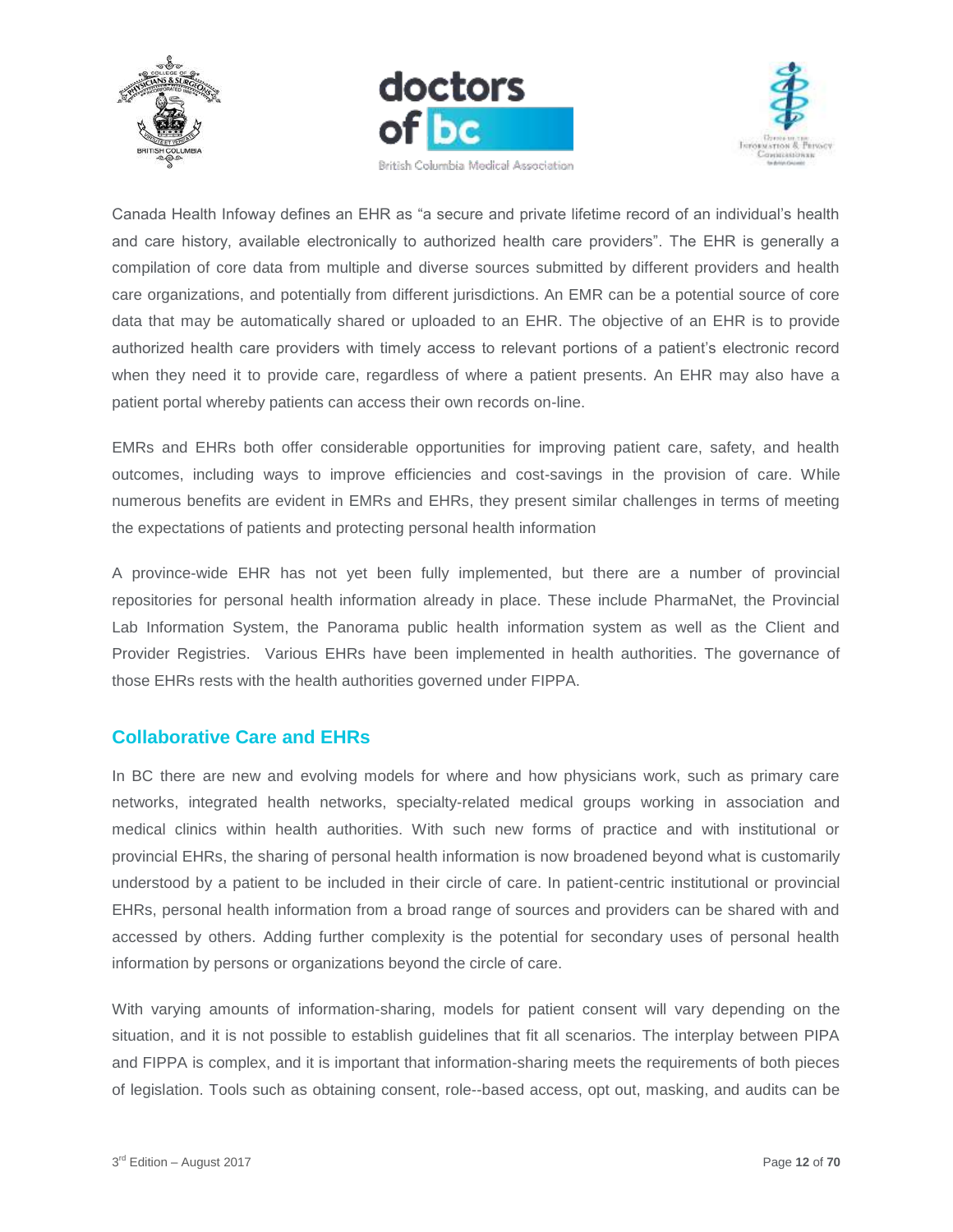





Canada Health Infoway defines an EHR as "a secure and private lifetime record of an individual's health and care history, available electronically to authorized health care providers". The EHR is generally a compilation of core data from multiple and diverse sources submitted by different providers and health care organizations, and potentially from different jurisdictions. An EMR can be a potential source of core data that may be automatically shared or uploaded to an EHR. The objective of an EHR is to provide authorized health care providers with timely access to relevant portions of a patient's electronic record when they need it to provide care, regardless of where a patient presents. An EHR may also have a patient portal whereby patients can access their own records on-line.

EMRs and EHRs both offer considerable opportunities for improving patient care, safety, and health outcomes, including ways to improve efficiencies and cost-savings in the provision of care. While numerous benefits are evident in EMRs and EHRs, they present similar challenges in terms of meeting the expectations of patients and protecting personal health information

A province-wide EHR has not yet been fully implemented, but there are a number of provincial repositories for personal health information already in place. These include PharmaNet, the Provincial Lab Information System, the Panorama public health information system as well as the Client and Provider Registries. Various EHRs have been implemented in health authorities. The governance of those EHRs rests with the health authorities governed under FIPPA.

## <span id="page-11-0"></span>**Collaborative Care and EHRs**

In BC there are new and evolving models for where and how physicians work, such as primary care networks, integrated health networks, specialty-related medical groups working in association and medical clinics within health authorities. With such new forms of practice and with institutional or provincial EHRs, the sharing of personal health information is now broadened beyond what is customarily understood by a patient to be included in their circle of care. In patient-centric institutional or provincial EHRs, personal health information from a broad range of sources and providers can be shared with and accessed by others. Adding further complexity is the potential for secondary uses of personal health information by persons or organizations beyond the circle of care.

With varying amounts of information-sharing, models for patient consent will vary depending on the situation, and it is not possible to establish guidelines that fit all scenarios. The interplay between PIPA and FIPPA is complex, and it is important that information-sharing meets the requirements of both pieces of legislation. Tools such as obtaining consent, role--based access, opt out, masking, and audits can be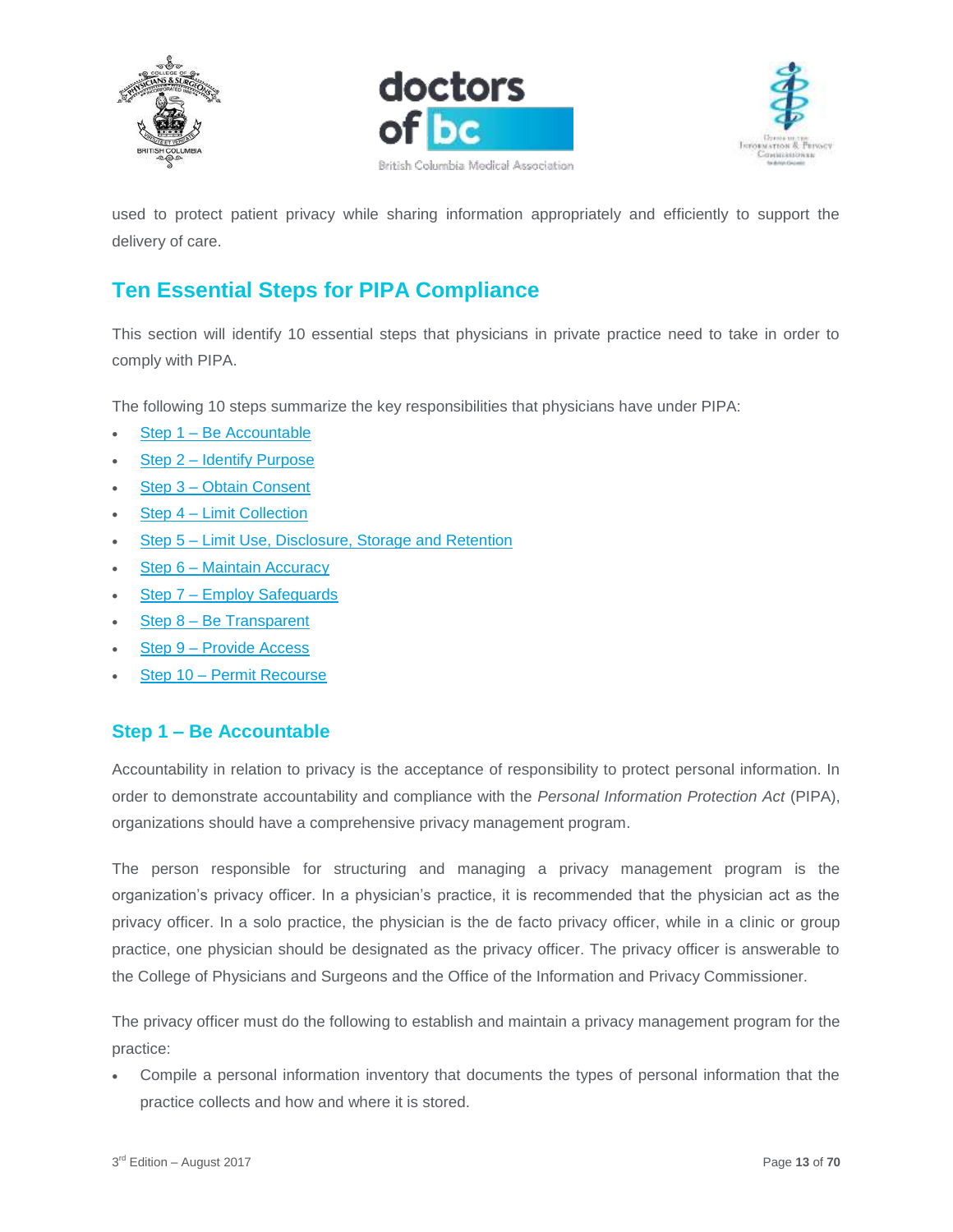





used to protect patient privacy while sharing information appropriately and efficiently to support the delivery of care.

# <span id="page-12-0"></span>**Ten Essential Steps for PIPA Compliance**

This section will identify 10 essential steps that physicians in private practice need to take in order to comply with PIPA.

The following 10 steps summarize the key responsibilities that physicians have under PIPA:

- Step 1 [Be Accountable](https://www.doctorsofbc.ca/sites/default/files/ptv3.0.04.01_step_1_-_be_accountable.pdf)
- Step 2 [Identify Purpose](https://www.doctorsofbc.ca/sites/default/files/ptv3.0.04.02_step_2_-_identify_purpose.pdf)
- Step 3 [Obtain Consent](https://www.doctorsofbc.ca/sites/default/files/ptv3.0.04.03_step_3_-_obtain_consent.pdf)
- Step 4 [Limit Collection](https://www.doctorsofbc.ca/sites/default/files/ptv3.0.04.04_step_4_-_limit_collection.pdf)
- Step 5 Limit Use, [Disclosure, Storage and Retention](https://www.doctorsofbc.ca/sites/default/files/ptv3.0.04.05_step_5_-_limit_use_disclosure_and_retention.pdf)
- Step 6 [Maintain Accuracy](https://www.doctorsofbc.ca/sites/default/files/ptv3.0.04.06_step_6_-_maintain_accuracy.pdf)
- Step 7 [Employ Safeguards](https://www.doctorsofbc.ca/sites/default/files/ptv3.0.04.07_step_7_-_employ_safeguards.pdf)
- Step 8 [Be Transparent](https://www.doctorsofbc.ca/sites/default/files/ptv3.0.04.08_step_8_-_be_transparent.pdf)
- Step 9 [Provide Access](https://www.doctorsofbc.ca/sites/default/files/ptv3.0.04.09_step_9_-_provide_access.pdf)
- Step 10 [Permit Recourse](https://www.doctorsofbc.ca/sites/default/files/ptv3.0.04.10_step_10_-_permit_recourse.pdf)

## <span id="page-12-1"></span>**Step 1 – Be Accountable**

Accountability in relation to privacy is the acceptance of responsibility to protect personal information. In order to demonstrate accountability and compliance with the *Personal Information Protection Act* (PIPA), organizations should have a comprehensive privacy management program.

The person responsible for structuring and managing a privacy management program is the organization's privacy officer. In a physician's practice, it is recommended that the physician act as the privacy officer. In a solo practice, the physician is the de facto privacy officer, while in a clinic or group practice, one physician should be designated as the privacy officer. The privacy officer is answerable to the College of Physicians and Surgeons and the Office of the Information and Privacy Commissioner.

The privacy officer must do the following to establish and maintain a privacy management program for the practice:

 Compile a personal information inventory that documents the types of personal information that the practice collects and how and where it is stored.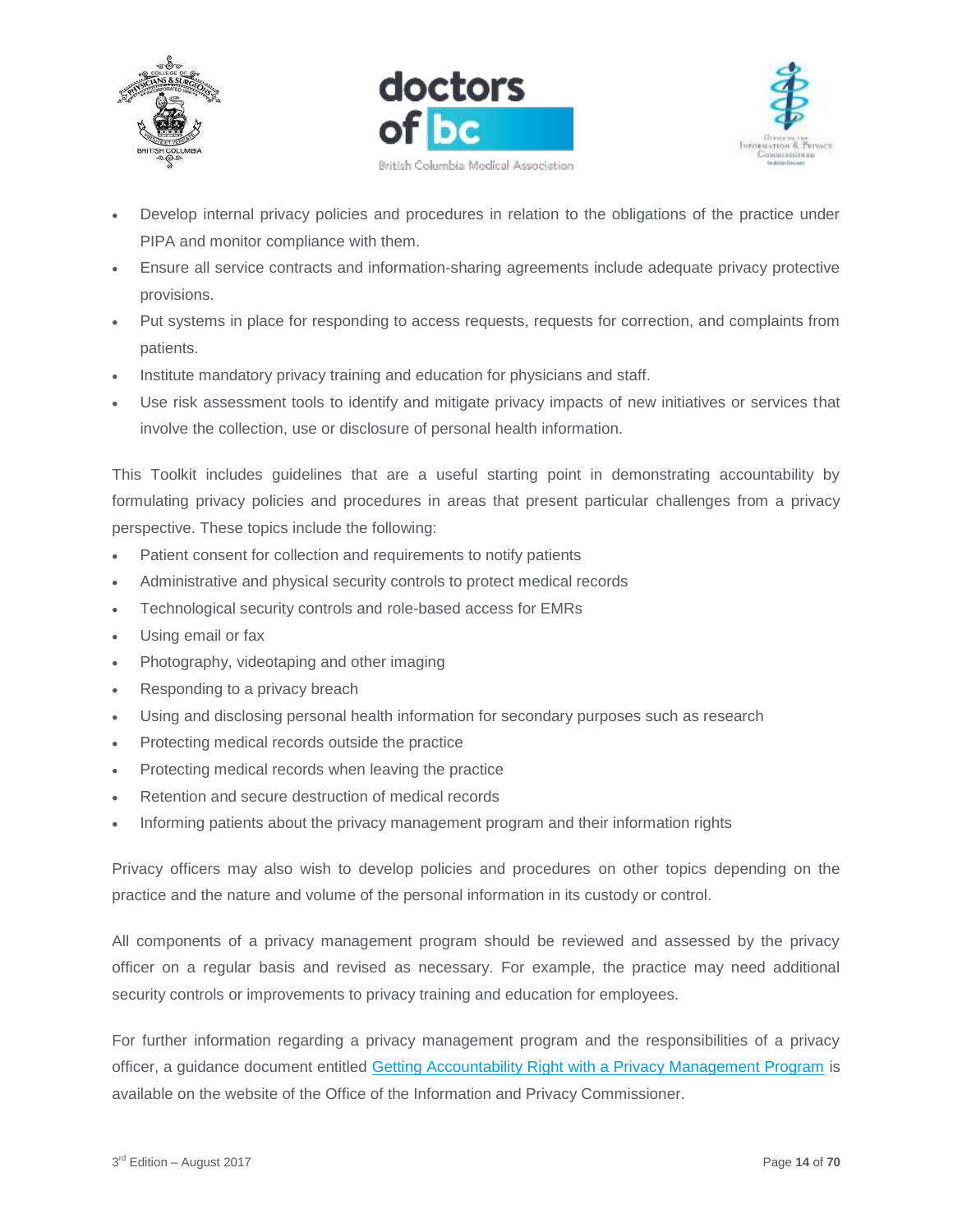





- Develop internal privacy policies and procedures in relation to the obligations of the practice under PIPA and monitor compliance with them.
- Ensure all service contracts and information-sharing agreements include adequate privacy protective provisions.
- Put systems in place for responding to access requests, requests for correction, and complaints from patients.
- Institute mandatory privacy training and education for physicians and staff.
- Use risk assessment tools to identify and mitigate privacy impacts of new initiatives or services that involve the collection, use or disclosure of personal health information.

This Toolkit includes guidelines that are a useful starting point in demonstrating accountability by formulating privacy policies and procedures in areas that present particular challenges from a privacy perspective. These topics include the following:

- Patient consent for collection and requirements to notify patients
- Administrative and physical security controls to protect medical records
- Technological security controls and role-based access for EMRs
- Using email or fax
- Photography, videotaping and other imaging
- Responding to a privacy breach
- Using and disclosing personal health information for secondary purposes such as research
- Protecting medical records outside the practice
- Protecting medical records when leaving the practice
- Retention and secure destruction of medical records
- Informing patients about the privacy management program and their information rights

Privacy officers may also wish to develop policies and procedures on other topics depending on the practice and the nature and volume of the personal information in its custody or control.

All components of a privacy management program should be reviewed and assessed by the privacy officer on a regular basis and revised as necessary. For example, the practice may need additional security controls or improvements to privacy training and education for employees.

For further information regarding a privacy management program and the responsibilities of a privacy officer, a guidance document entitled [Getting Accountability Right with a Privacy Management Program](https://www.oipc.bc.ca/guidance-documents/1435) is available on the website of the Office of the Information and Privacy Commissioner.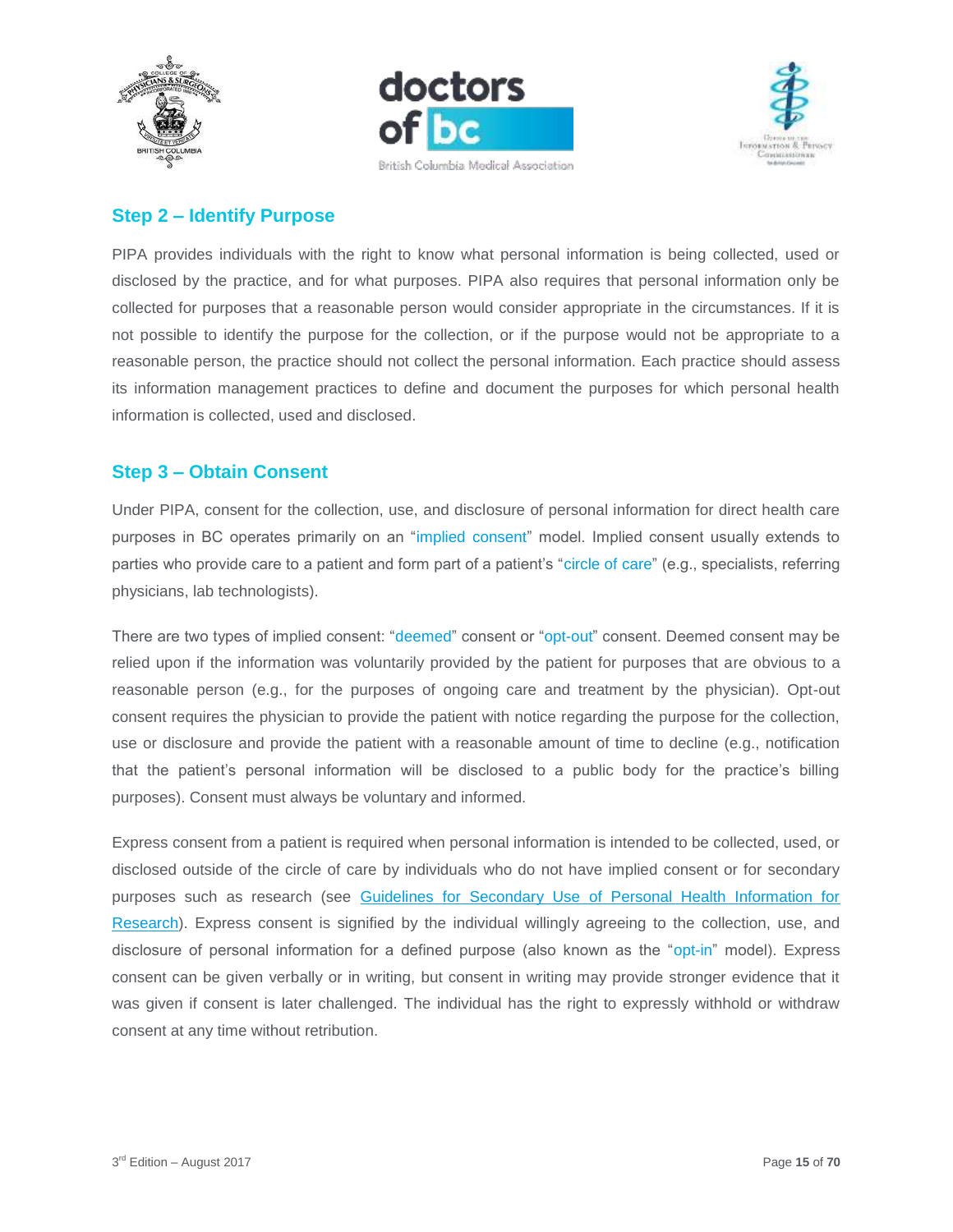





## <span id="page-14-0"></span>**Step 2 – Identify Purpose**

PIPA provides individuals with the right to know what personal information is being collected, used or disclosed by the practice, and for what purposes. PIPA also requires that personal information only be collected for purposes that a reasonable person would consider appropriate in the circumstances. If it is not possible to identify the purpose for the collection, or if the purpose would not be appropriate to a reasonable person, the practice should not collect the personal information. Each practice should assess its information management practices to define and document the purposes for which personal health information is collected, used and disclosed.

#### <span id="page-14-1"></span>**Step 3 – Obtain Consent**

Under PIPA, consent for the collection, use, and disclosure of personal information for direct health care purposes in BC operates primarily on an "implied consent" model. Implied consent usually extends to parties who provide care to a patient and form part of a patient's "circle of care" (e.g., specialists, referring physicians, lab technologists).

There are two types of implied consent: "deemed" consent or "opt-out" consent. Deemed consent may be relied upon if the information was voluntarily provided by the patient for purposes that are obvious to a reasonable person (e.g., for the purposes of ongoing care and treatment by the physician). Opt-out consent requires the physician to provide the patient with notice regarding the purpose for the collection, use or disclosure and provide the patient with a reasonable amount of time to decline (e.g., notification that the patient's personal information will be disclosed to a public body for the practice's billing purposes). Consent must always be voluntary and informed.

Express consent from a patient is required when personal information is intended to be collected, used, or disclosed outside of the circle of care by individuals who do not have implied consent or for secondary purposes such as research (see [Guidelines for Secondary Use of Personal Health Information for](https://www.doctorsofbc.ca/sites/default/files/ptv3.0.16_guidelines_for_secondary_use_of_personal_health_information_for_research.pdf)  [Research\)](https://www.doctorsofbc.ca/sites/default/files/ptv3.0.16_guidelines_for_secondary_use_of_personal_health_information_for_research.pdf). Express consent is signified by the individual willingly agreeing to the collection, use, and disclosure of personal information for a defined purpose (also known as the "opt-in" model). Express consent can be given verbally or in writing, but consent in writing may provide stronger evidence that it was given if consent is later challenged. The individual has the right to expressly withhold or withdraw consent at any time without retribution.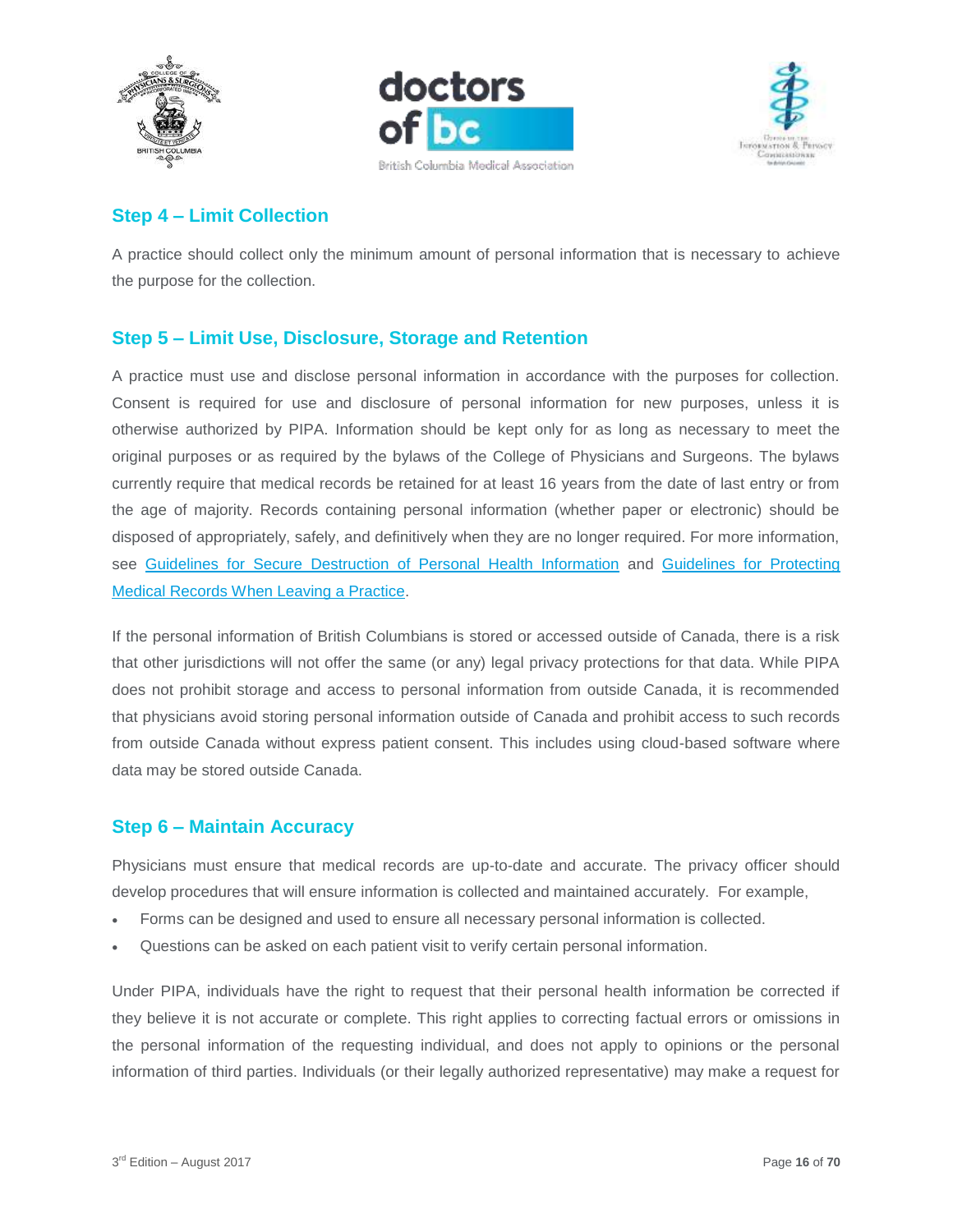





# <span id="page-15-0"></span>**Step 4 – Limit Collection**

A practice should collect only the minimum amount of personal information that is necessary to achieve the purpose for the collection.

# <span id="page-15-1"></span>**Step 5 – Limit Use, Disclosure, Storage and Retention**

A practice must use and disclose personal information in accordance with the purposes for collection. Consent is required for use and disclosure of personal information for new purposes, unless it is otherwise authorized by PIPA. Information should be kept only for as long as necessary to meet the original purposes or as required by the bylaws of the College of Physicians and Surgeons. The bylaws currently require that medical records be retained for at least 16 years from the date of last entry or from the age of majority. Records containing personal information (whether paper or electronic) should be disposed of appropriately, safely, and definitively when they are no longer required. For more information, see [Guidelines for Secure Destruction of Personal Health Information](https://www.doctorsofbc.ca/sites/default/files/ptv3.0.17_guidelines_for_secure_destruction_of_personal_information.pdf) and [Guidelines for Protecting](https://www.doctorsofbc.ca/sites/default/files/ptv3.0.10_guidelines_for_protecting_medical_records_when_leaving_a_practice.pdf)  [Medical Records When Leaving a Practice.](https://www.doctorsofbc.ca/sites/default/files/ptv3.0.10_guidelines_for_protecting_medical_records_when_leaving_a_practice.pdf)

If the personal information of British Columbians is stored or accessed outside of Canada, there is a risk that other jurisdictions will not offer the same (or any) legal privacy protections for that data. While PIPA does not prohibit storage and access to personal information from outside Canada, it is recommended that physicians avoid storing personal information outside of Canada and prohibit access to such records from outside Canada without express patient consent. This includes using cloud-based software where data may be stored outside Canada.

## <span id="page-15-2"></span>**Step 6 – Maintain Accuracy**

Physicians must ensure that medical records are up-to-date and accurate. The privacy officer should develop procedures that will ensure information is collected and maintained accurately. For example,

- Forms can be designed and used to ensure all necessary personal information is collected.
- Questions can be asked on each patient visit to verify certain personal information.

Under PIPA, individuals have the right to request that their personal health information be corrected if they believe it is not accurate or complete. This right applies to correcting factual errors or omissions in the personal information of the requesting individual, and does not apply to opinions or the personal information of third parties. Individuals (or their legally authorized representative) may make a request for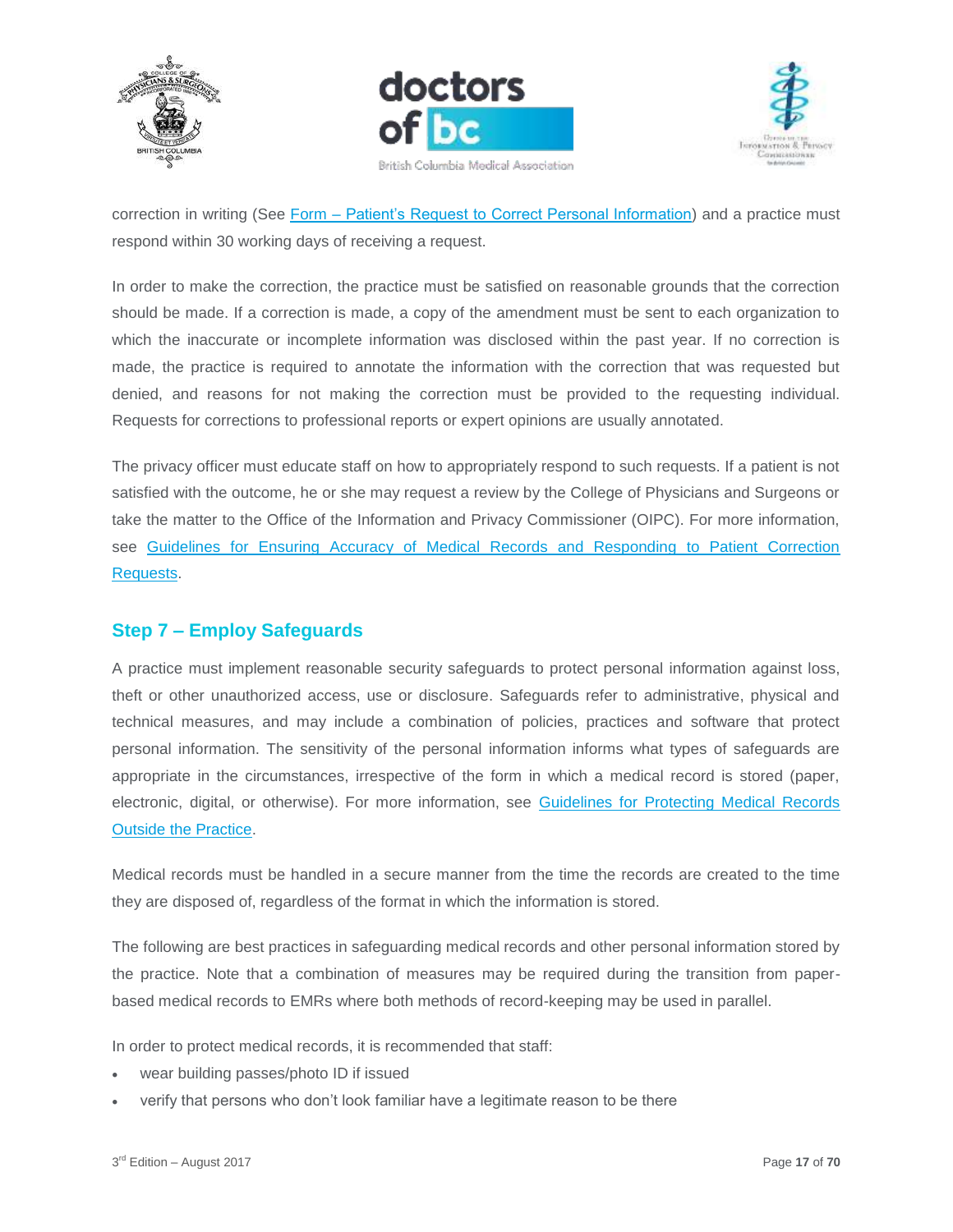





correction in writing (See Form – [Patient's Request to Correct Personal Information\)](https://www.doctorsofbc.ca/sites/default/files/form_-_patient_request_to_correct_personal_information.pdf) and a practice must respond within 30 working days of receiving a request.

In order to make the correction, the practice must be satisfied on reasonable grounds that the correction should be made. If a correction is made, a copy of the amendment must be sent to each organization to which the inaccurate or incomplete information was disclosed within the past year. If no correction is made, the practice is required to annotate the information with the correction that was requested but denied, and reasons for not making the correction must be provided to the requesting individual. Requests for corrections to professional reports or expert opinions are usually annotated.

The privacy officer must educate staff on how to appropriately respond to such requests. If a patient is not satisfied with the outcome, he or she may request a review by the College of Physicians and Surgeons or take the matter to the Office of the Information and Privacy Commissioner (OIPC). For more information, see [Guidelines for Ensuring Accuracy of Medical Records and Responding to Patient Correction](https://www.doctorsofbc.ca/sites/default/files/ptv3.0.08_guidelines_for_ensuring_accuracy_of_medical_records.pdf)  [Requests.](https://www.doctorsofbc.ca/sites/default/files/ptv3.0.08_guidelines_for_ensuring_accuracy_of_medical_records.pdf)

# <span id="page-16-0"></span>**Step 7 – Employ Safeguards**

A practice must implement reasonable security safeguards to protect personal information against loss, theft or other unauthorized access, use or disclosure. Safeguards refer to administrative, physical and technical measures, and may include a combination of policies, practices and software that protect personal information. The sensitivity of the personal information informs what types of safeguards are appropriate in the circumstances, irrespective of the form in which a medical record is stored (paper, electronic, digital, or otherwise). For more information, see [Guidelines for Protecting Medical Records](https://www.doctorsofbc.ca/sites/default/files/ptv3.0.11_guidelines_for_protecting_medical_records_outside_the_practice.pdf)  [Outside the Practice.](https://www.doctorsofbc.ca/sites/default/files/ptv3.0.11_guidelines_for_protecting_medical_records_outside_the_practice.pdf)

Medical records must be handled in a secure manner from the time the records are created to the time they are disposed of, regardless of the format in which the information is stored.

The following are best practices in safeguarding medical records and other personal information stored by the practice. Note that a combination of measures may be required during the transition from paperbased medical records to EMRs where both methods of record-keeping may be used in parallel.

In order to protect medical records, it is recommended that staff:

- wear building passes/photo ID if issued
- verify that persons who don't look familiar have a legitimate reason to be there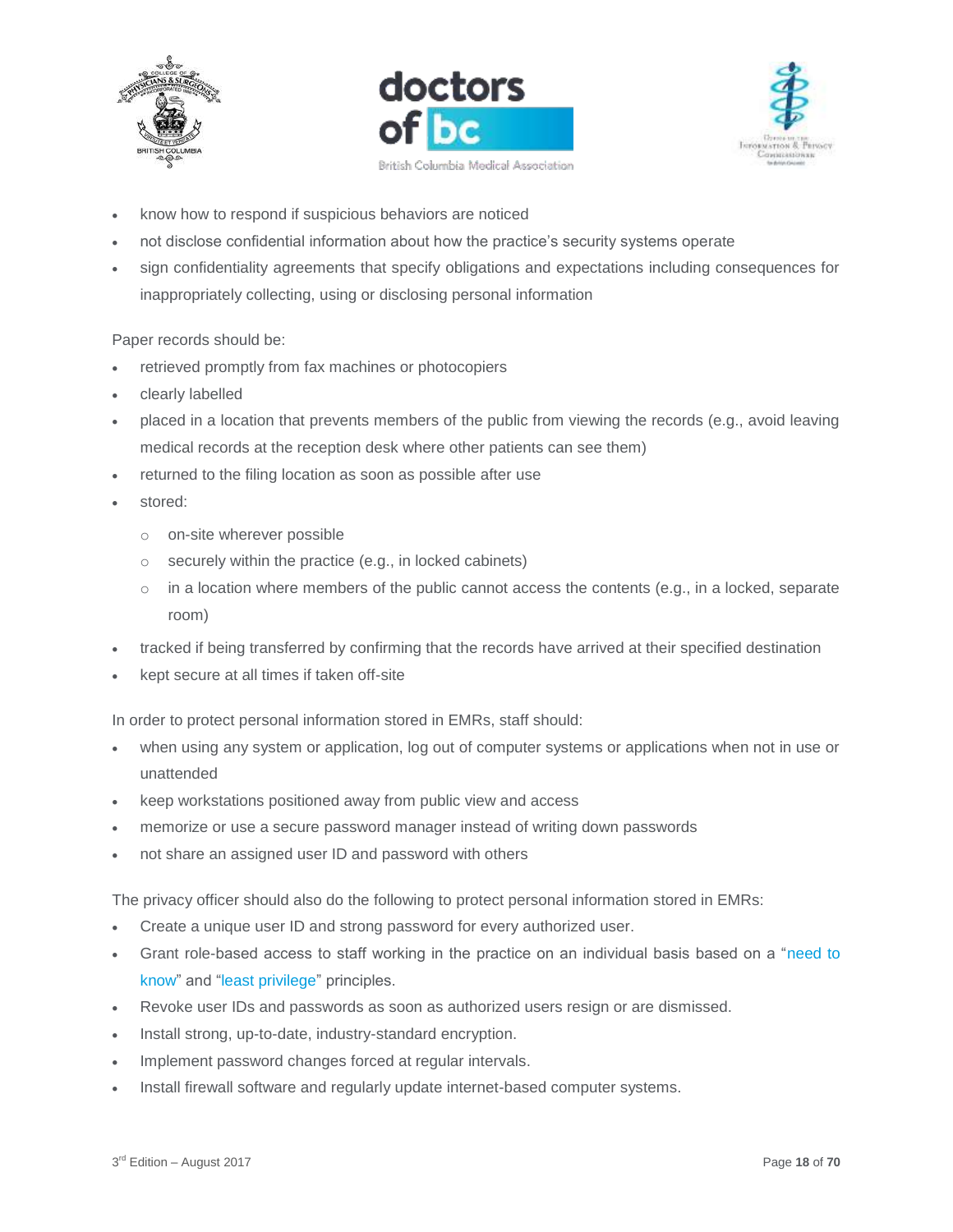





- know how to respond if suspicious behaviors are noticed
- not disclose confidential information about how the practice's security systems operate
- sign confidentiality agreements that specify obligations and expectations including consequences for inappropriately collecting, using or disclosing personal information

#### Paper records should be:

- retrieved promptly from fax machines or photocopiers
- clearly labelled
- placed in a location that prevents members of the public from viewing the records (e.g., avoid leaving medical records at the reception desk where other patients can see them)
- returned to the filing location as soon as possible after use
- stored:
	- o on-site wherever possible
	- $\circ$  securely within the practice (e.g., in locked cabinets)
	- $\circ$  in a location where members of the public cannot access the contents (e.g., in a locked, separate room)
- tracked if being transferred by confirming that the records have arrived at their specified destination
- kept secure at all times if taken off-site

In order to protect personal information stored in EMRs, staff should:

- when using any system or application, log out of computer systems or applications when not in use or unattended
- keep workstations positioned away from public view and access
- memorize or use a secure password manager instead of writing down passwords
- not share an assigned user ID and password with others

The privacy officer should also do the following to protect personal information stored in EMRs:

- Create a unique user ID and strong password for every authorized user.
- Grant role-based access to staff working in the practice on an individual basis based on a "need to know" and "least privilege" principles.
- Revoke user IDs and passwords as soon as authorized users resign or are dismissed.
- Install strong, up-to-date, industry-standard encryption.
- Implement password changes forced at regular intervals.
- Install firewall software and regularly update internet-based computer systems.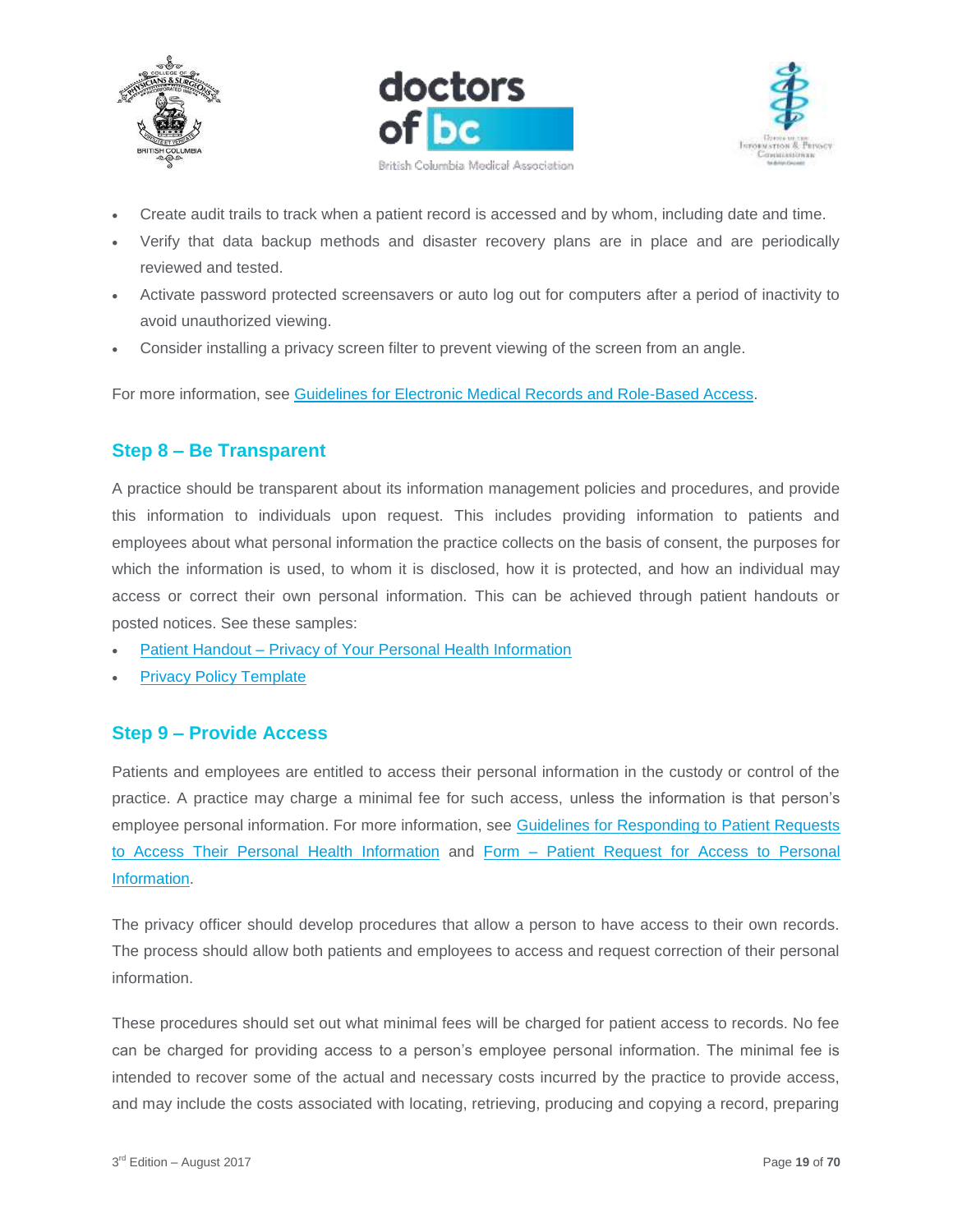





- Create audit trails to track when a patient record is accessed and by whom, including date and time.
- Verify that data backup methods and disaster recovery plans are in place and are periodically reviewed and tested.
- Activate password protected screensavers or auto log out for computers after a period of inactivity to avoid unauthorized viewing.
- Consider installing a privacy screen filter to prevent viewing of the screen from an angle.

<span id="page-18-0"></span>For more information, see [Guidelines for Electronic Medical Records and Role-Based Access.](https://www.doctorsofbc.ca/sites/default/files/ptv3.0.07_guidelines_for_electronic_medical_records_and_role-based_access.pdf)

## **Step 8 – Be Transparent**

A practice should be transparent about its information management policies and procedures, and provide this information to individuals upon request. This includes providing information to patients and employees about what personal information the practice collects on the basis of consent, the purposes for which the information is used, to whom it is disclosed, how it is protected, and how an individual may access or correct their own personal information. This can be achieved through patient handouts or posted notices. See these samples:

- Patient Handout [Privacy of Your Personal Health Information](https://www.doctorsofbc.ca/sites/default/files/patient_handout_-_privacy_of_your_personal_health_information.pdf)
- [Privacy Policy Template](https://www.doctorsofbc.ca/sites/default/files/template_-_privacy_policy.docx)

## <span id="page-18-1"></span>**Step 9 – Provide Access**

Patients and employees are entitled to access their personal information in the custody or control of the practice. A practice may charge a minimal fee for such access, unless the information is that person's employee personal information. For more information, see [Guidelines for Responding to Patient Requests](https://www.doctorsofbc.ca/sites/default/files/ptv3.0.15_guidelines_for_responding_to_patient_requests_to_access_their_personal_health_information.pdf)  [to Access Their Personal Health Information](https://www.doctorsofbc.ca/sites/default/files/ptv3.0.15_guidelines_for_responding_to_patient_requests_to_access_their_personal_health_information.pdf) and Form – [Patient Request for Access to Personal](https://www.doctorsofbc.ca/sites/default/files/form_-_patient_request_for_access_to_personal_information.pdf)  [Information.](https://www.doctorsofbc.ca/sites/default/files/form_-_patient_request_for_access_to_personal_information.pdf)

The privacy officer should develop procedures that allow a person to have access to their own records. The process should allow both patients and employees to access and request correction of their personal information.

These procedures should set out what minimal fees will be charged for patient access to records. No fee can be charged for providing access to a person's employee personal information. The minimal fee is intended to recover some of the actual and necessary costs incurred by the practice to provide access, and may include the costs associated with locating, retrieving, producing and copying a record, preparing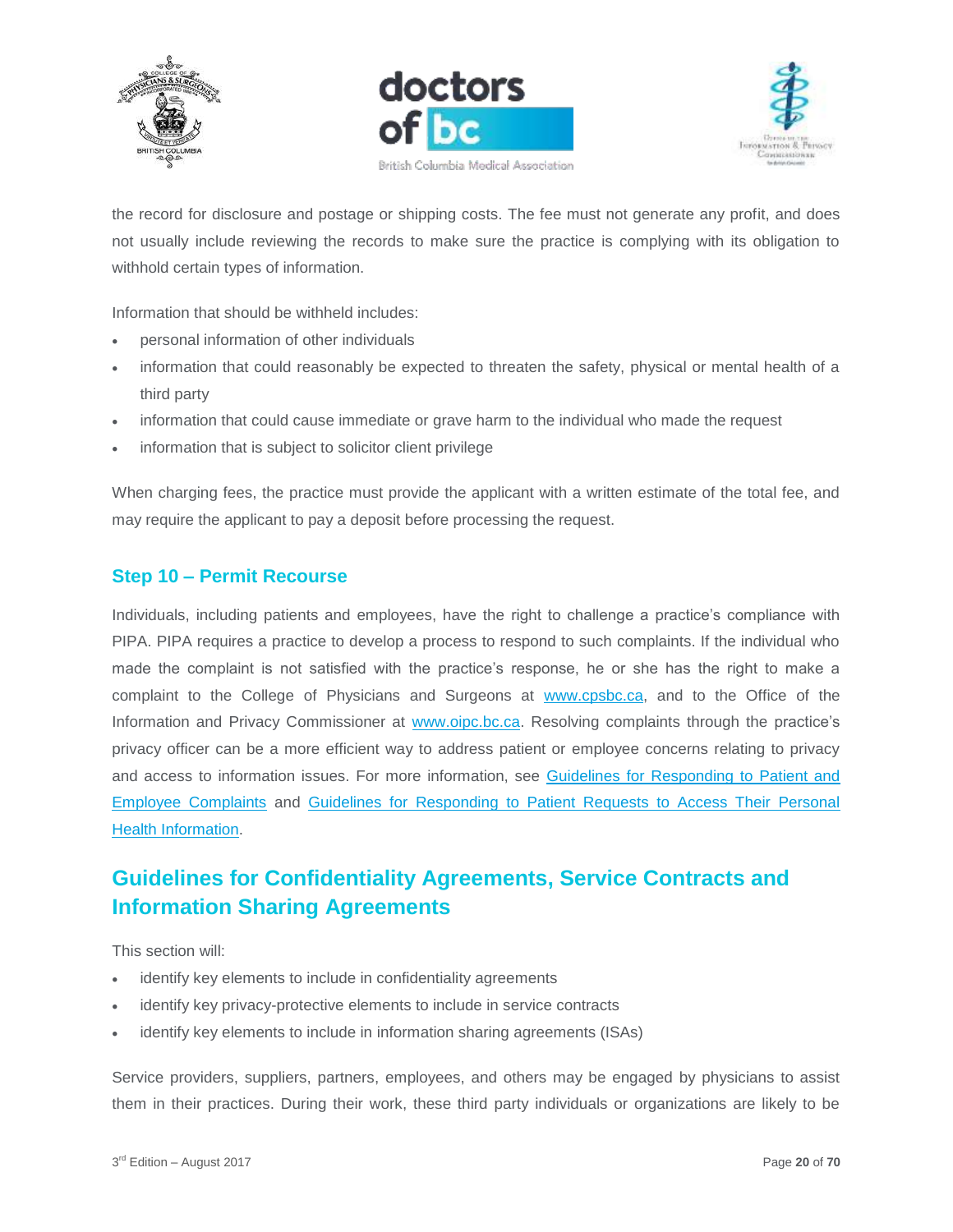





the record for disclosure and postage or shipping costs. The fee must not generate any profit, and does not usually include reviewing the records to make sure the practice is complying with its obligation to withhold certain types of information.

Information that should be withheld includes:

- personal information of other individuals
- information that could reasonably be expected to threaten the safety, physical or mental health of a third party
- information that could cause immediate or grave harm to the individual who made the request
- information that is subject to solicitor client privilege

When charging fees, the practice must provide the applicant with a written estimate of the total fee, and may require the applicant to pay a deposit before processing the request.

## <span id="page-19-0"></span>**Step 10 – Permit Recourse**

Individuals, including patients and employees, have the right to challenge a practice's compliance with PIPA. PIPA requires a practice to develop a process to respond to such complaints. If the individual who made the complaint is not satisfied with the practice's response, he or she has the right to make a complaint to the College of Physicians and Surgeons at [www.cpsbc.ca,](http://www.cpsbc.ca/) and to the Office of the Information and Privacy Commissioner at [www.oipc.bc.ca.](http://www.oipc.bc.ca/) Resolving complaints through the practice's privacy officer can be a more efficient way to address patient or employee concerns relating to privacy and access to information issues. For more information, see Guidelines for Responding to Patient and [Employee Complaints](https://www.doctorsofbc.ca/sites/default/files/ptv3.0.14_guidelines_for_responding_to_patient_and_employee_complaints.pdf) and [Guidelines for Responding to Patient Requests to Access Their Personal](https://www.doctorsofbc.ca/sites/default/files/ptv3.0.15_guidelines_for_responding_to_patient_requests_to_access_their_personal_health_information.pdf)  **[Health Information.](https://www.doctorsofbc.ca/sites/default/files/ptv3.0.15_guidelines_for_responding_to_patient_requests_to_access_their_personal_health_information.pdf)** 

# <span id="page-19-1"></span>**Guidelines for Confidentiality Agreements, Service Contracts and Information Sharing Agreements**

This section will:

- identify key elements to include in confidentiality agreements
- identify key privacy-protective elements to include in service contracts
- identify key elements to include in information sharing agreements (ISAs)

Service providers, suppliers, partners, employees, and others may be engaged by physicians to assist them in their practices. During their work, these third party individuals or organizations are likely to be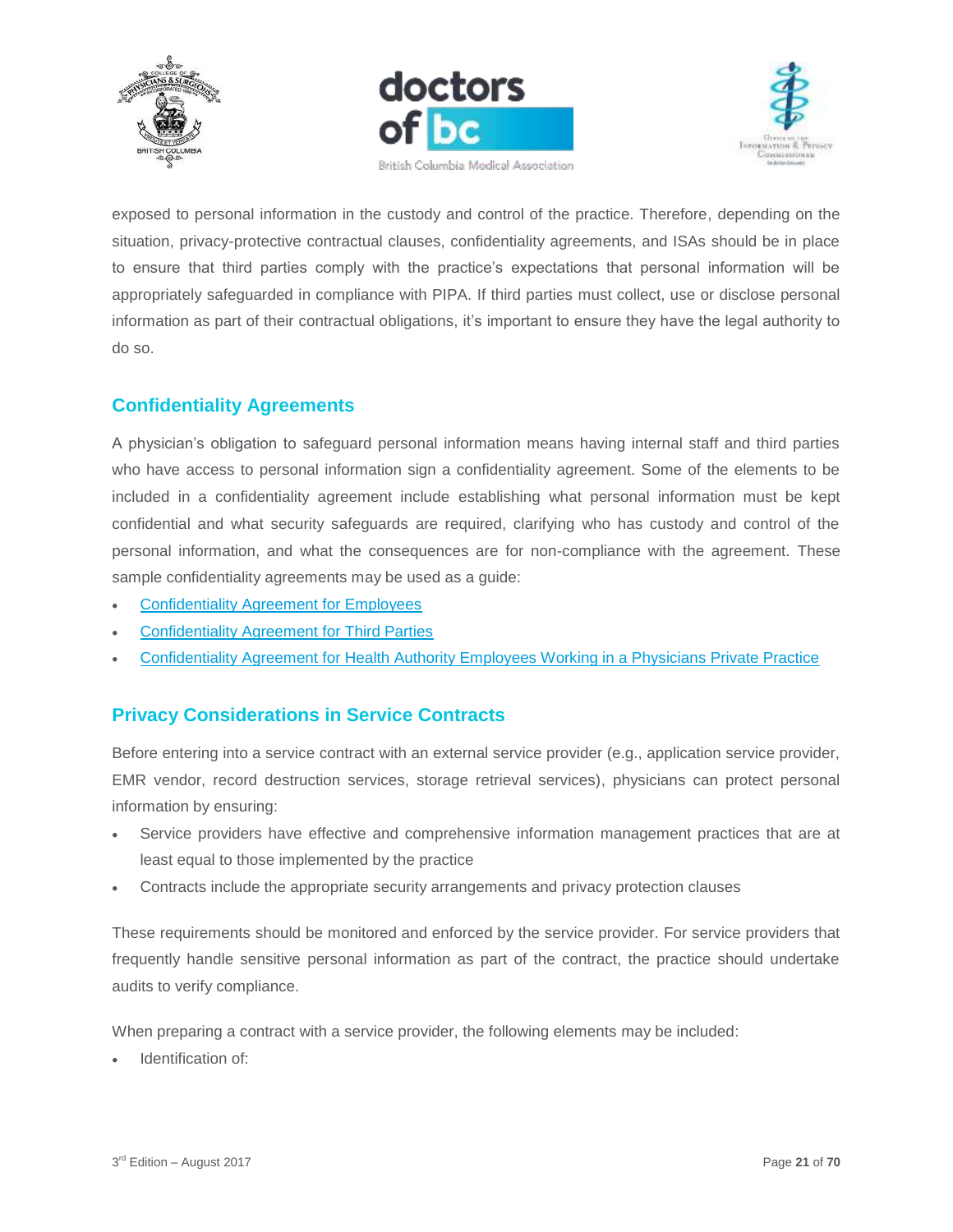





exposed to personal information in the custody and control of the practice. Therefore, depending on the situation, privacy-protective contractual clauses, confidentiality agreements, and ISAs should be in place to ensure that third parties comply with the practice's expectations that personal information will be appropriately safeguarded in compliance with PIPA. If third parties must collect, use or disclose personal information as part of their contractual obligations, it's important to ensure they have the legal authority to do so.

# <span id="page-20-0"></span>**Confidentiality Agreements**

A physician's obligation to safeguard personal information means having internal staff and third parties who have access to personal information sign a confidentiality agreement. Some of the elements to be included in a confidentiality agreement include establishing what personal information must be kept confidential and what security safeguards are required, clarifying who has custody and control of the personal information, and what the consequences are for non-compliance with the agreement. These sample confidentiality agreements may be used as a guide:

- [Confidentiality Agreement for Employees](https://www.doctorsofbc.ca/sites/default/files/form_-_confidentiality_agreement_for_employees.docx)
- [Confidentiality Agreement for Third Parties](https://www.doctorsofbc.ca/sites/default/files/form_-_confidentiality_agreement_for_third_parties.docx)
- [Confidentiality Agreement for Health Authority Employees Working in a Physicians Private Practice](https://www.doctorsofbc.ca/sites/default/files/form_-_confidentiality_agreement_for_health_authority_employees_working_in_a_physicians_private_practice.docx)

## <span id="page-20-1"></span>**Privacy Considerations in Service Contracts**

Before entering into a service contract with an external service provider (e.g., application service provider, EMR vendor, record destruction services, storage retrieval services), physicians can protect personal information by ensuring:

- Service providers have effective and comprehensive information management practices that are at least equal to those implemented by the practice
- Contracts include the appropriate security arrangements and privacy protection clauses

These requirements should be monitored and enforced by the service provider. For service providers that frequently handle sensitive personal information as part of the contract, the practice should undertake audits to verify compliance.

When preparing a contract with a service provider, the following elements may be included:

Identification of: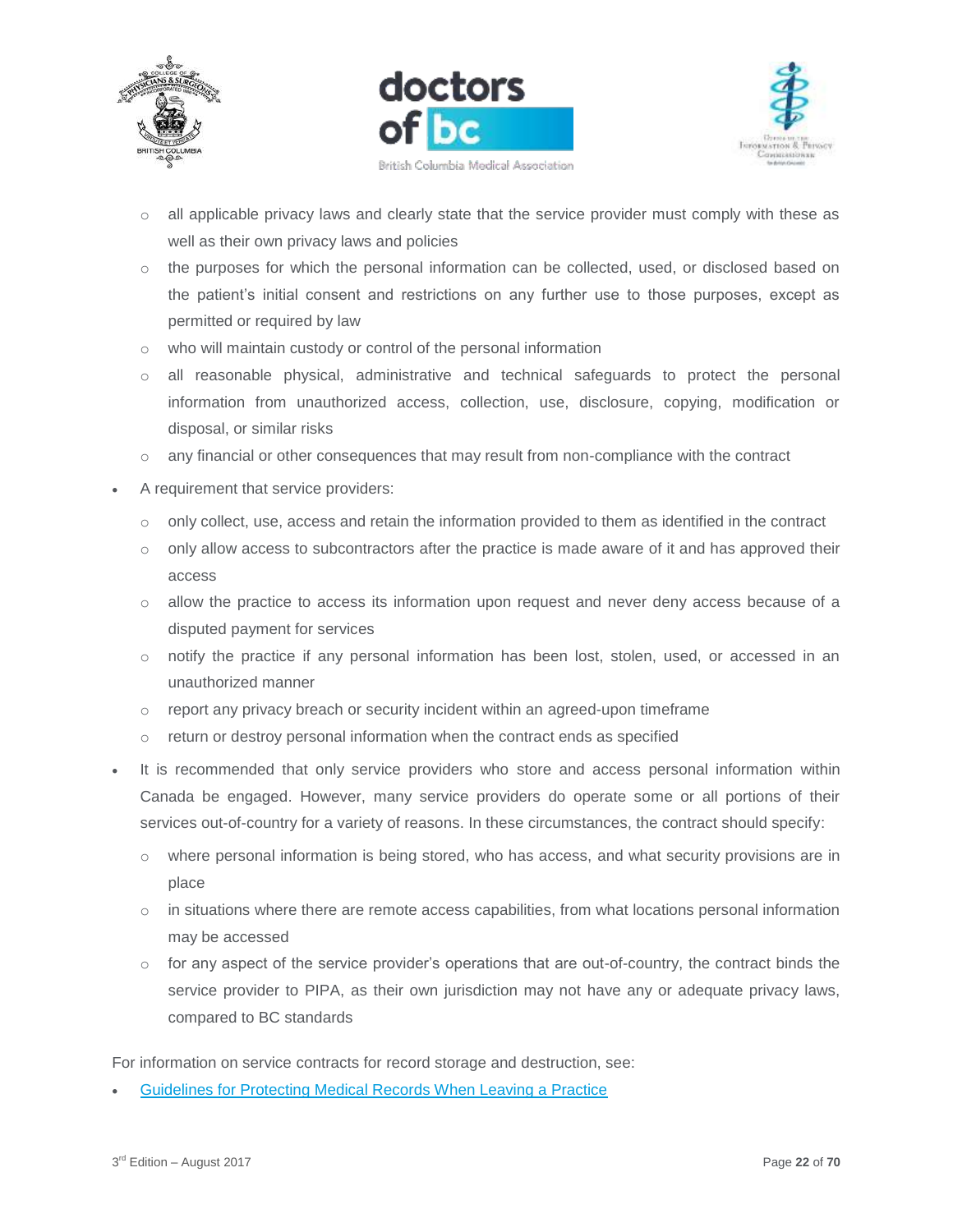





- o all applicable privacy laws and clearly state that the service provider must comply with these as well as their own privacy laws and policies
- $\circ$  the purposes for which the personal information can be collected, used, or disclosed based on the patient's initial consent and restrictions on any further use to those purposes, except as permitted or required by law
- o who will maintain custody or control of the personal information
- o all reasonable physical, administrative and technical safeguards to protect the personal information from unauthorized access, collection, use, disclosure, copying, modification or disposal, or similar risks
- $\circ$  any financial or other consequences that may result from non-compliance with the contract
- A requirement that service providers:
	- o only collect, use, access and retain the information provided to them as identified in the contract
	- $\circ$  only allow access to subcontractors after the practice is made aware of it and has approved their access
	- $\circ$  allow the practice to access its information upon request and never deny access because of a disputed payment for services
	- o notify the practice if any personal information has been lost, stolen, used, or accessed in an unauthorized manner
	- o report any privacy breach or security incident within an agreed-upon timeframe
	- o return or destroy personal information when the contract ends as specified
- It is recommended that only service providers who store and access personal information within Canada be engaged. However, many service providers do operate some or all portions of their services out-of-country for a variety of reasons. In these circumstances, the contract should specify:
	- o where personal information is being stored, who has access, and what security provisions are in place
	- $\circ$  in situations where there are remote access capabilities, from what locations personal information may be accessed
	- $\circ$  for any aspect of the service provider's operations that are out-of-country, the contract binds the service provider to PIPA, as their own jurisdiction may not have any or adequate privacy laws, compared to BC standards

For information on service contracts for record storage and destruction, see:

[Guidelines for Protecting Medical Records When Leaving a Practice](https://www.doctorsofbc.ca/sites/default/files/ptv3.0.10_guidelines_for_protecting_medical_records_when_leaving_a_practice.pdf)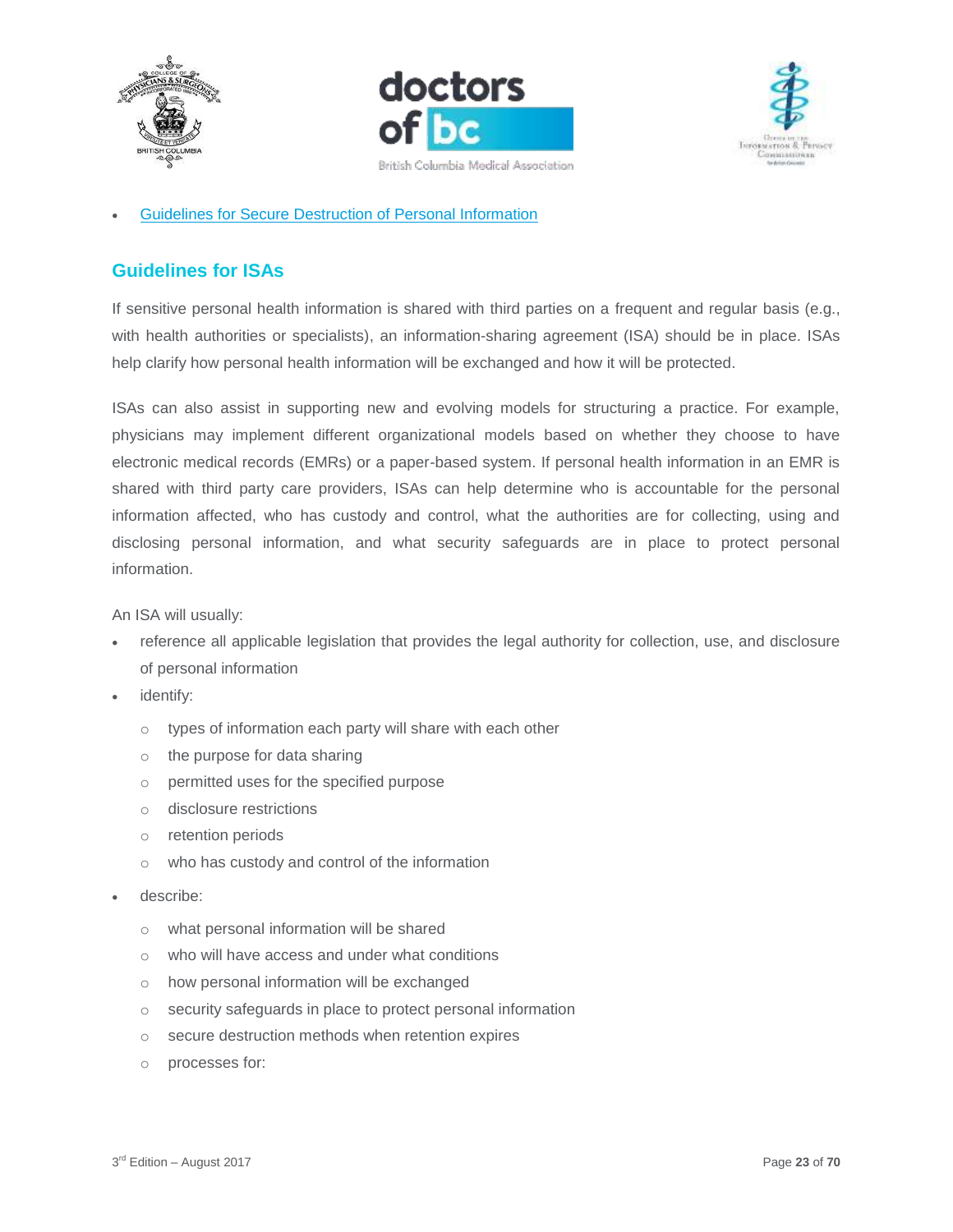





#### [Guidelines for Secure Destruction of Personal Information](https://www.doctorsofbc.ca/sites/default/files/ptv3.0.17_guidelines_for_secure_destruction_of_personal_information.pdf)

# <span id="page-22-0"></span>**Guidelines for ISAs**

If sensitive personal health information is shared with third parties on a frequent and regular basis (e.g., with health authorities or specialists), an information-sharing agreement (ISA) should be in place. ISAs help clarify how personal health information will be exchanged and how it will be protected.

ISAs can also assist in supporting new and evolving models for structuring a practice. For example, physicians may implement different organizational models based on whether they choose to have electronic medical records (EMRs) or a paper-based system. If personal health information in an EMR is shared with third party care providers, ISAs can help determine who is accountable for the personal information affected, who has custody and control, what the authorities are for collecting, using and disclosing personal information, and what security safeguards are in place to protect personal information.

An ISA will usually:

- reference all applicable legislation that provides the legal authority for collection, use, and disclosure of personal information
- identify:
	- o types of information each party will share with each other
	- o the purpose for data sharing
	- o permitted uses for the specified purpose
	- o disclosure restrictions
	- o retention periods
	- o who has custody and control of the information
- describe:
	- o what personal information will be shared
	- o who will have access and under what conditions
	- o how personal information will be exchanged
	- o security safeguards in place to protect personal information
	- o secure destruction methods when retention expires
	- o processes for: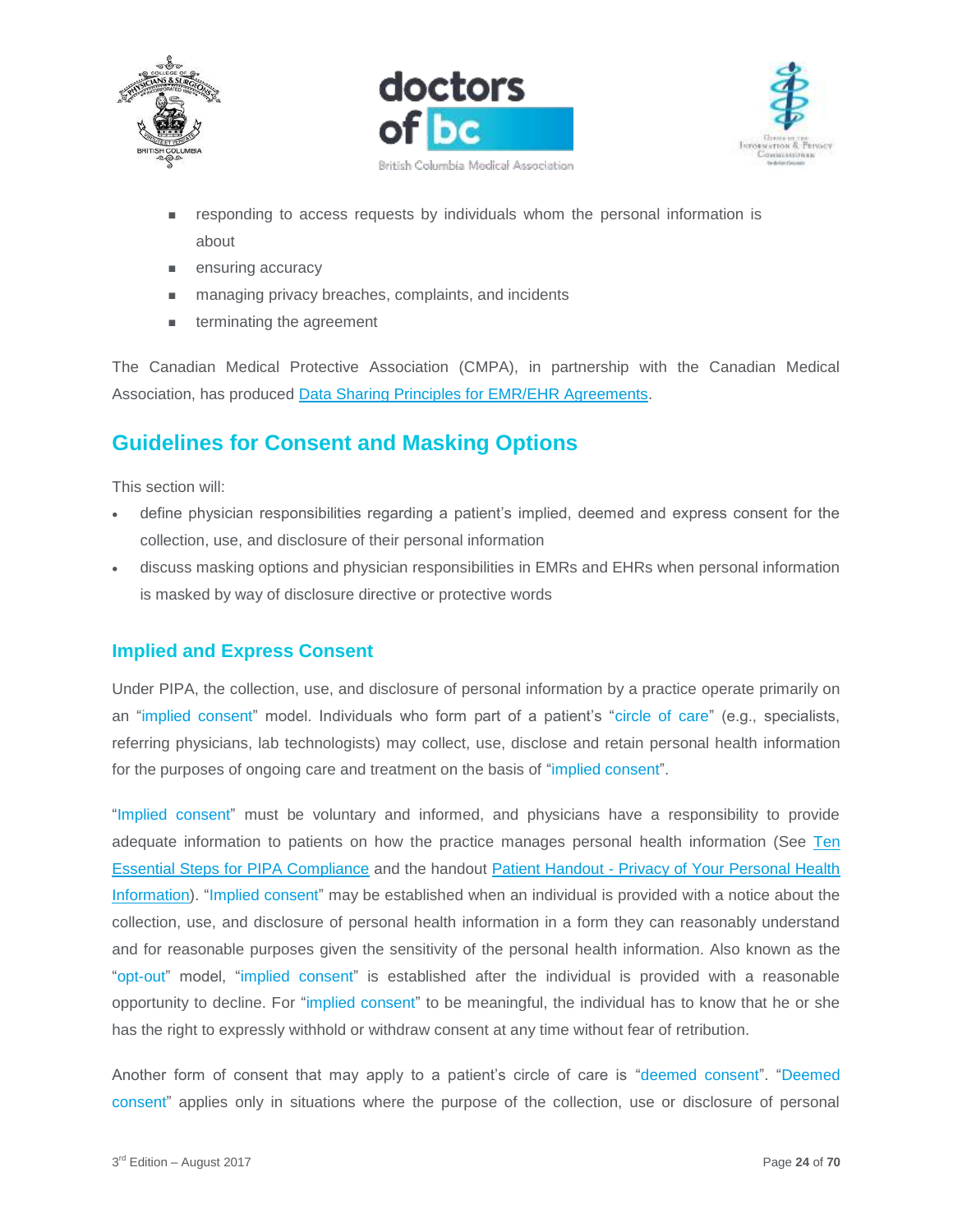





- responding to access requests by individuals whom the personal information is about
- **ensuring accuracy**
- managing privacy breaches, complaints, and incidents
- **EXECUTE:** terminating the agreement

The Canadian Medical Protective Association (CMPA), in partnership with the Canadian Medical Association, has produced [Data Sharing Principles for EMR/EHR Agreements.](https://www.cmpa-acpm.ca/static-assets/pdf/advice-and-publications/handbooks/com_electronic_records_handbook-e.pdf#page=42)

# <span id="page-23-0"></span>**Guidelines for Consent and Masking Options**

This section will:

- define physician responsibilities regarding a patient's implied, deemed and express consent for the collection, use, and disclosure of their personal information
- discuss masking options and physician responsibilities in EMRs and EHRs when personal information is masked by way of disclosure directive or protective words

#### <span id="page-23-1"></span>**Implied and Express Consent**

Under PIPA, the collection, use, and disclosure of personal information by a practice operate primarily on an "implied consent" model. Individuals who form part of a patient's "circle of care" (e.g., specialists, referring physicians, lab technologists) may collect, use, disclose and retain personal health information for the purposes of ongoing care and treatment on the basis of "implied consent".

"Implied consent" must be voluntary and informed, and physicians have a responsibility to provide adequate information to patients on how the practice manages personal health information (See [Ten](https://www.doctorsofbc.ca/sites/default/files/ptv3.0.04_ten_essential_steps_for_pipa_compliance.pdf)  [Essential Steps for PIPA Compliance](https://www.doctorsofbc.ca/sites/default/files/ptv3.0.04_ten_essential_steps_for_pipa_compliance.pdf) and the handout Patient Handout - [Privacy of Your Personal Health](https://www.doctorsofbc.ca/sites/default/files/patient_handout_-_privacy_of_your_personal_health_information.pdf)  [Information\)](https://www.doctorsofbc.ca/sites/default/files/patient_handout_-_privacy_of_your_personal_health_information.pdf). "Implied consent" may be established when an individual is provided with a notice about the collection, use, and disclosure of personal health information in a form they can reasonably understand and for reasonable purposes given the sensitivity of the personal health information. Also known as the "opt-out" model, "implied consent" is established after the individual is provided with a reasonable opportunity to decline. For "implied consent" to be meaningful, the individual has to know that he or she has the right to expressly withhold or withdraw consent at any time without fear of retribution.

Another form of consent that may apply to a patient's circle of care is "deemed consent". "Deemed consent" applies only in situations where the purpose of the collection, use or disclosure of personal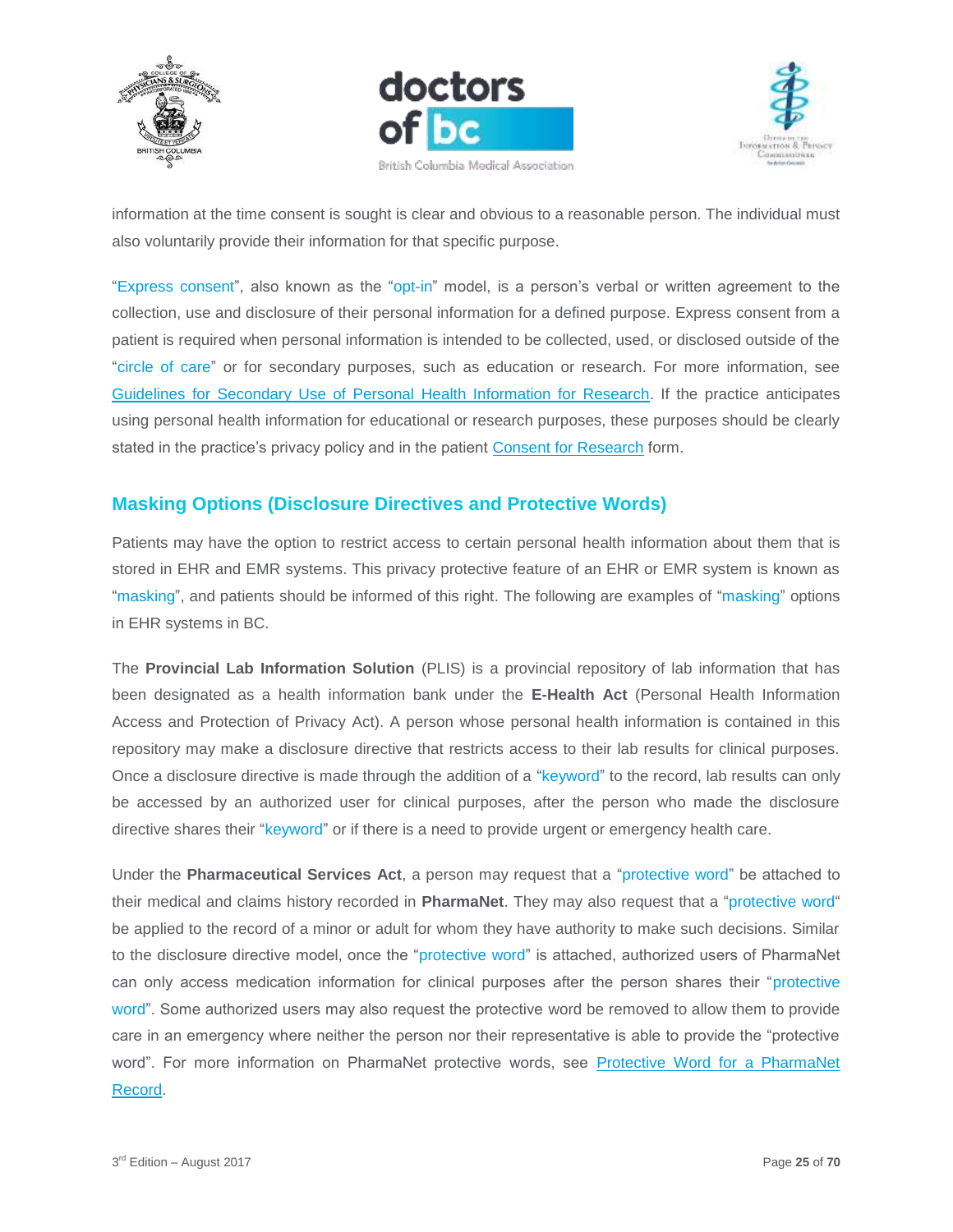





information at the time consent is sought is clear and obvious to a reasonable person. The individual must also voluntarily provide their information for that specific purpose.

"Express consent", also known as the "opt-in" model, is a person's verbal or written agreement to the collection, use and disclosure of their personal information for a defined purpose. Express consent from a patient is required when personal information is intended to be collected, used, or disclosed outside of the "circle of care" or for secondary purposes, such as education or research. For more information, see [Guidelines for Secondary Use of Personal Health Information for Research.](https://www.doctorsofbc.ca/sites/default/files/ptv3.0.16_guidelines_for_secondary_use_of_personal_health_information_for_research.pdf) If the practice anticipates using personal health information for educational or research purposes, these purposes should be clearly stated in the practice's privacy policy and in the patient [Consent for Research](https://www.doctorsofbc.ca/sites/default/files/form_-_consent_for_research.pdf) form.

# <span id="page-24-0"></span>**Masking Options (Disclosure Directives and Protective Words)**

Patients may have the option to restrict access to certain personal health information about them that is stored in EHR and EMR systems. This privacy protective feature of an EHR or EMR system is known as "masking", and patients should be informed of this right. The following are examples of "masking" options in EHR systems in BC.

The **Provincial Lab Information Solution** (PLIS) is a provincial repository of lab information that has been designated as a health information bank under the **E-Health Act** (Personal Health Information Access and Protection of Privacy Act). A person whose personal health information is contained in this repository may make a disclosure directive that restricts access to their lab results for clinical purposes. Once a disclosure directive is made through the addition of a "keyword" to the record, lab results can only be accessed by an authorized user for clinical purposes, after the person who made the disclosure directive shares their "keyword" or if there is a need to provide urgent or emergency health care.

Under the **Pharmaceutical Services Act**, a person may request that a "protective word" be attached to their medical and claims history recorded in **PharmaNet**. They may also request that a "protective word" be applied to the record of a minor or adult for whom they have authority to make such decisions. Similar to the disclosure directive model, once the "protective word" is attached, authorized users of PharmaNet can only access medication information for clinical purposes after the person shares their "protective word". Some authorized users may also request the protective word be removed to allow them to provide care in an emergency where neither the person nor their representative is able to provide the "protective word". For more information on PharmaNet protective words, see [Protective Word for a PharmaNet](http://www2.gov.bc.ca/gov/content/health/health-drug-coverage/pharmacare-for-bc-residents/pharmanet/protective-word-for-a-pharmanet-record)  [Record.](http://www2.gov.bc.ca/gov/content/health/health-drug-coverage/pharmacare-for-bc-residents/pharmanet/protective-word-for-a-pharmanet-record)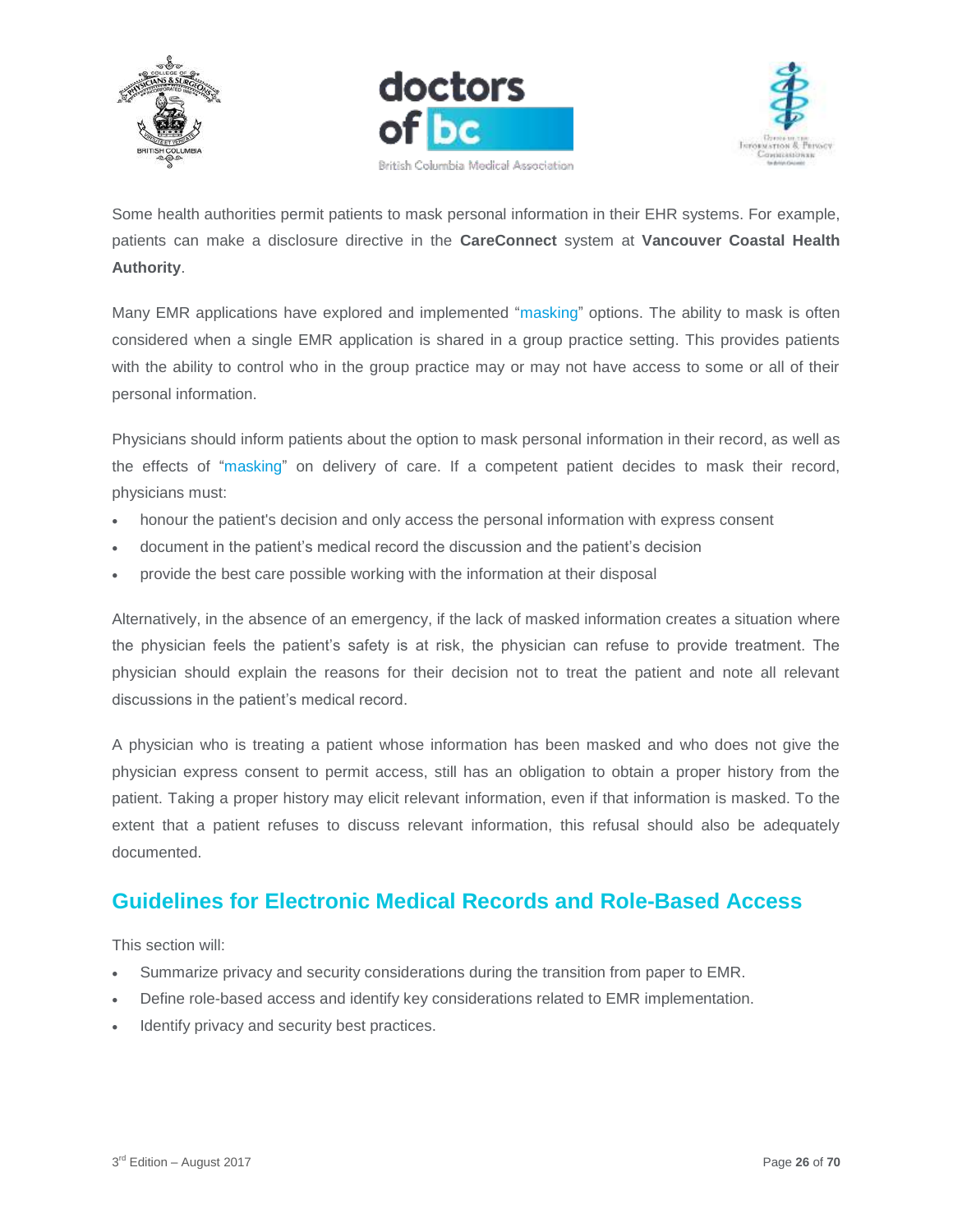





Some health authorities permit patients to mask personal information in their EHR systems. For example, patients can make a disclosure directive in the **CareConnect** system at **Vancouver Coastal Health Authority**.

Many EMR applications have explored and implemented "masking" options. The ability to mask is often considered when a single EMR application is shared in a group practice setting. This provides patients with the ability to control who in the group practice may or may not have access to some or all of their personal information.

Physicians should inform patients about the option to mask personal information in their record, as well as the effects of "masking" on delivery of care. If a competent patient decides to mask their record, physicians must:

- honour the patient's decision and only access the personal information with express consent
- document in the patient's medical record the discussion and the patient's decision
- provide the best care possible working with the information at their disposal

Alternatively, in the absence of an emergency, if the lack of masked information creates a situation where the physician feels the patient's safety is at risk, the physician can refuse to provide treatment. The physician should explain the reasons for their decision not to treat the patient and note all relevant discussions in the patient's medical record.

A physician who is treating a patient whose information has been masked and who does not give the physician express consent to permit access, still has an obligation to obtain a proper history from the patient. Taking a proper history may elicit relevant information, even if that information is masked. To the extent that a patient refuses to discuss relevant information, this refusal should also be adequately documented.

# <span id="page-25-0"></span>**Guidelines for Electronic Medical Records and Role-Based Access**

This section will:

- Summarize privacy and security considerations during the transition from paper to EMR.
- Define role-based access and identify key considerations related to EMR implementation.
- Identify privacy and security best practices.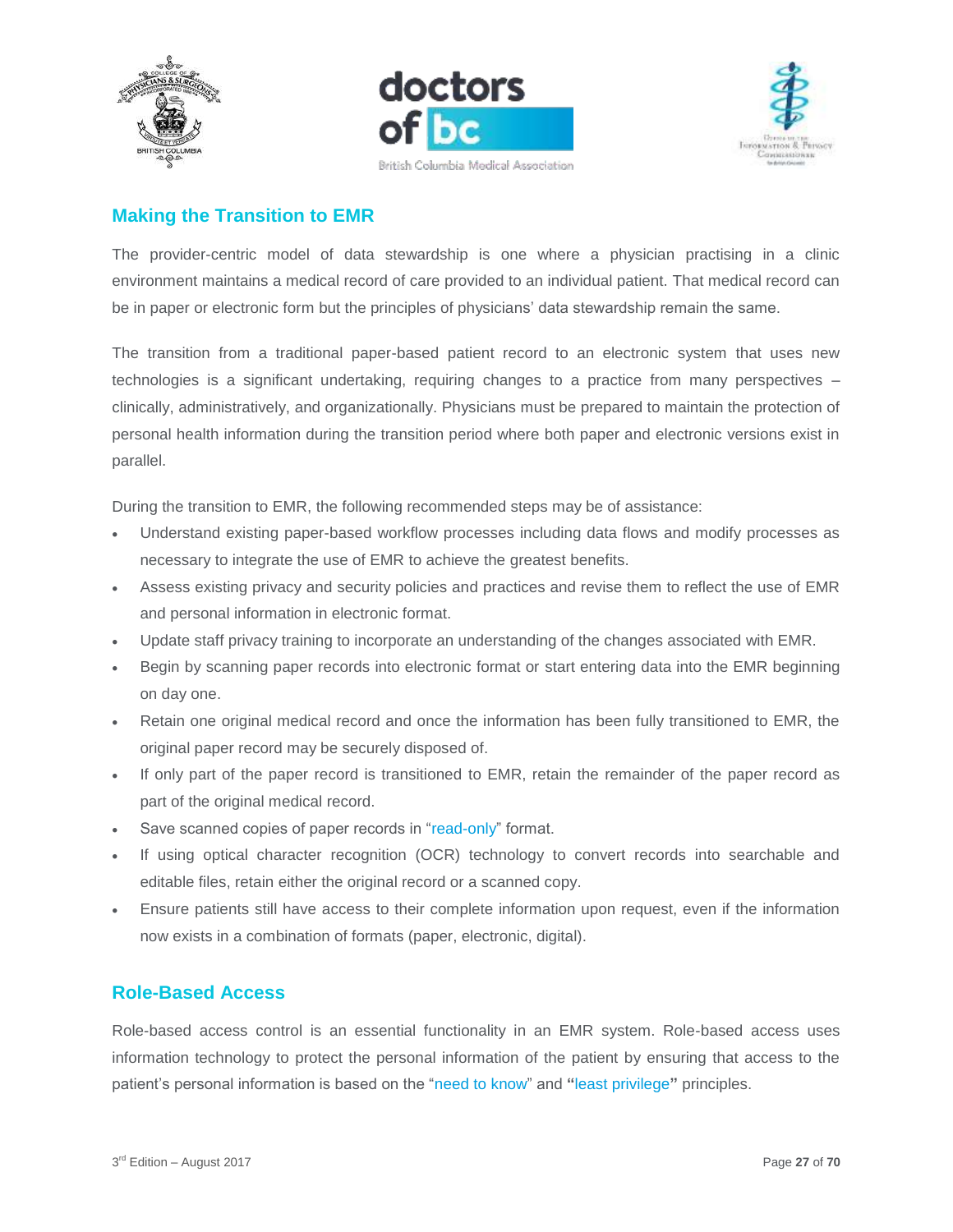





# <span id="page-26-0"></span>**Making the Transition to EMR**

The provider-centric model of data stewardship is one where a physician practising in a clinic environment maintains a medical record of care provided to an individual patient. That medical record can be in paper or electronic form but the principles of physicians' data stewardship remain the same.

The transition from a traditional paper-based patient record to an electronic system that uses new technologies is a significant undertaking, requiring changes to a practice from many perspectives – clinically, administratively, and organizationally. Physicians must be prepared to maintain the protection of personal health information during the transition period where both paper and electronic versions exist in parallel.

During the transition to EMR, the following recommended steps may be of assistance:

- Understand existing paper-based workflow processes including data flows and modify processes as necessary to integrate the use of EMR to achieve the greatest benefits.
- Assess existing privacy and security policies and practices and revise them to reflect the use of EMR and personal information in electronic format.
- Update staff privacy training to incorporate an understanding of the changes associated with EMR.
- Begin by scanning paper records into electronic format or start entering data into the EMR beginning on day one.
- Retain one original medical record and once the information has been fully transitioned to EMR, the original paper record may be securely disposed of.
- If only part of the paper record is transitioned to EMR, retain the remainder of the paper record as part of the original medical record.
- Save scanned copies of paper records in "read-only" format.
- If using optical character recognition (OCR) technology to convert records into searchable and editable files, retain either the original record or a scanned copy.
- Ensure patients still have access to their complete information upon request, even if the information now exists in a combination of formats (paper, electronic, digital).

## <span id="page-26-1"></span>**Role-Based Access**

Role-based access control is an essential functionality in an EMR system. Role-based access uses information technology to protect the personal information of the patient by ensuring that access to the patient's personal information is based on the "need to know" and **"**least privilege**"** principles.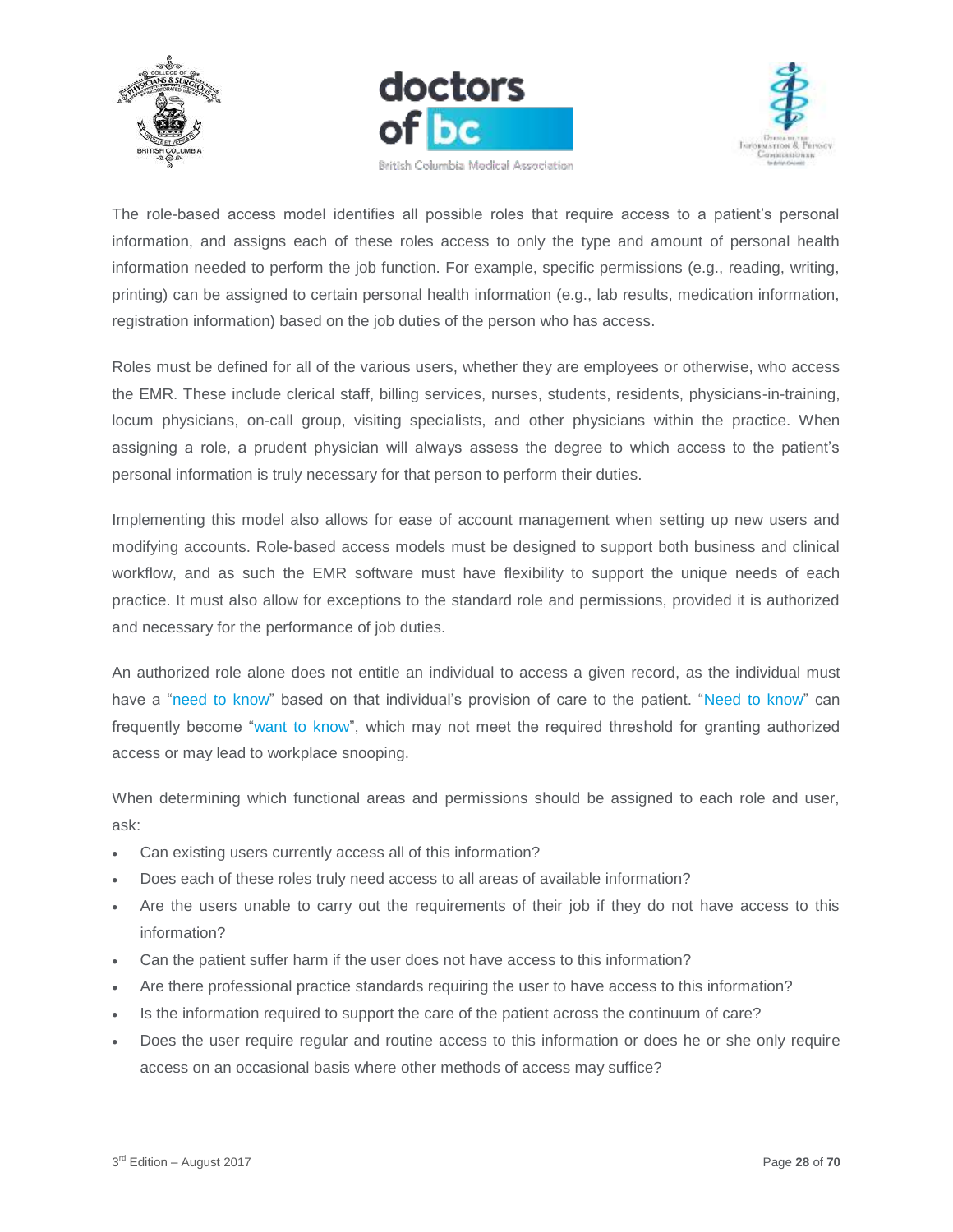





The role-based access model identifies all possible roles that require access to a patient's personal information, and assigns each of these roles access to only the type and amount of personal health information needed to perform the job function. For example, specific permissions (e.g., reading, writing, printing) can be assigned to certain personal health information (e.g., lab results, medication information, registration information) based on the job duties of the person who has access.

Roles must be defined for all of the various users, whether they are employees or otherwise, who access the EMR. These include clerical staff, billing services, nurses, students, residents, physicians-in-training, locum physicians, on-call group, visiting specialists, and other physicians within the practice. When assigning a role, a prudent physician will always assess the degree to which access to the patient's personal information is truly necessary for that person to perform their duties.

Implementing this model also allows for ease of account management when setting up new users and modifying accounts. Role-based access models must be designed to support both business and clinical workflow, and as such the EMR software must have flexibility to support the unique needs of each practice. It must also allow for exceptions to the standard role and permissions, provided it is authorized and necessary for the performance of job duties.

An authorized role alone does not entitle an individual to access a given record, as the individual must have a "need to know" based on that individual's provision of care to the patient. "Need to know" can frequently become "want to know", which may not meet the required threshold for granting authorized access or may lead to workplace snooping.

When determining which functional areas and permissions should be assigned to each role and user, ask:

- Can existing users currently access all of this information?
- Does each of these roles truly need access to all areas of available information?
- Are the users unable to carry out the requirements of their job if they do not have access to this information?
- Can the patient suffer harm if the user does not have access to this information?
- Are there professional practice standards requiring the user to have access to this information?
- Is the information required to support the care of the patient across the continuum of care?
- Does the user require regular and routine access to this information or does he or she only require access on an occasional basis where other methods of access may suffice?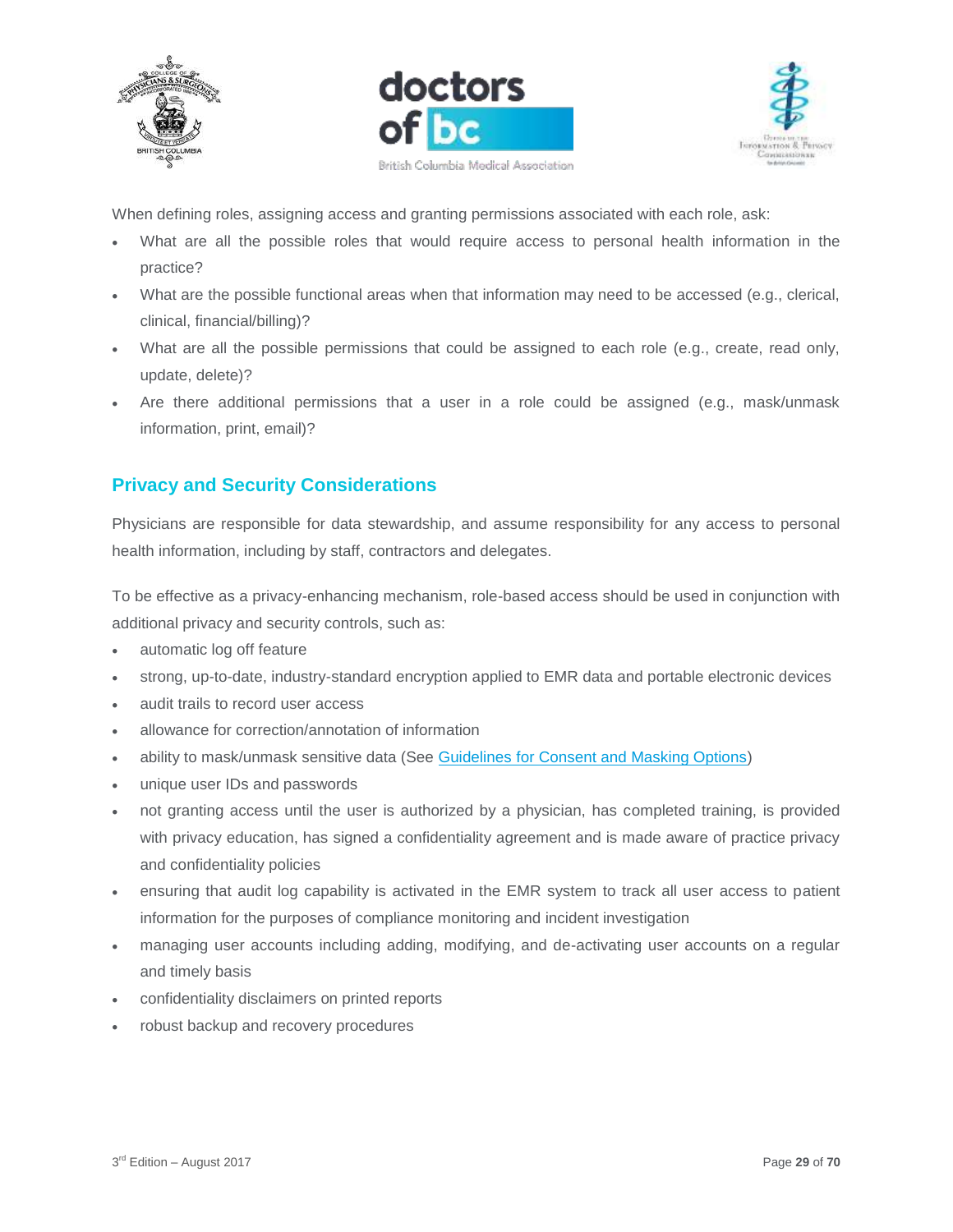





When defining roles, assigning access and granting permissions associated with each role, ask:

- What are all the possible roles that would require access to personal health information in the practice?
- What are the possible functional areas when that information may need to be accessed (e.g., clerical, clinical, financial/billing)?
- What are all the possible permissions that could be assigned to each role (e.g., create, read only, update, delete)?
- Are there additional permissions that a user in a role could be assigned (e.g., mask/unmask information, print, email)?

# <span id="page-28-0"></span>**Privacy and Security Considerations**

Physicians are responsible for data stewardship, and assume responsibility for any access to personal health information, including by staff, contractors and delegates.

To be effective as a privacy-enhancing mechanism, role-based access should be used in conjunction with additional privacy and security controls, such as:

- automatic log off feature
- strong, up-to-date, industry-standard encryption applied to EMR data and portable electronic devices
- audit trails to record user access
- allowance for correction/annotation of information
- ability to mask/unmask sensitive data (See [Guidelines for Consent and Masking Options\)](https://www.doctorsofbc.ca/sites/default/files/ptv3.0.06_guidelines_for_consent_and_masking_options.pdf)
- unique user IDs and passwords
- not granting access until the user is authorized by a physician, has completed training, is provided with privacy education, has signed a confidentiality agreement and is made aware of practice privacy and confidentiality policies
- ensuring that audit log capability is activated in the EMR system to track all user access to patient information for the purposes of compliance monitoring and incident investigation
- managing user accounts including adding, modifying, and de-activating user accounts on a regular and timely basis
- confidentiality disclaimers on printed reports
- robust backup and recovery procedures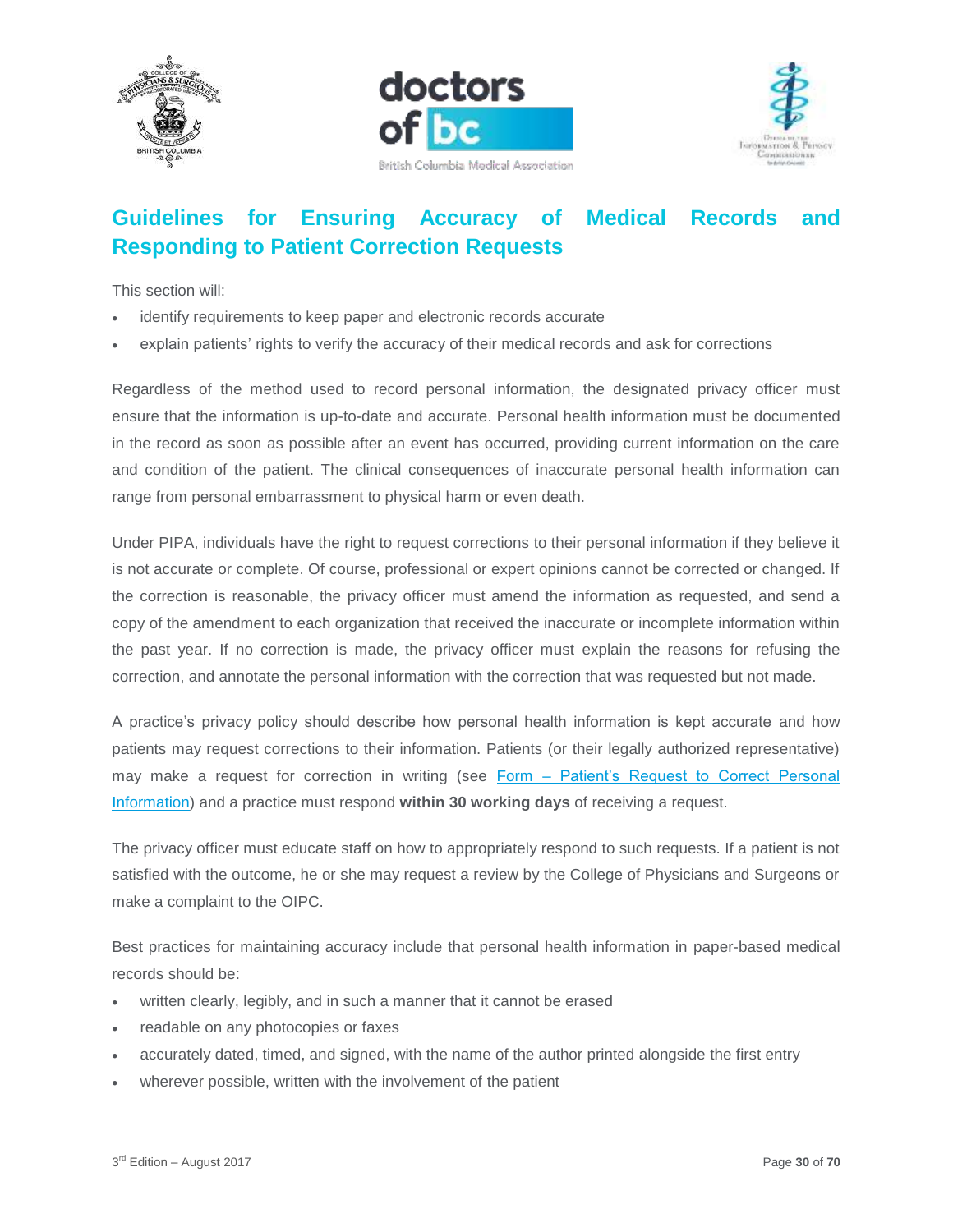





# <span id="page-29-0"></span>**Guidelines for Ensuring Accuracy of Medical Records and Responding to Patient Correction Requests**

This section will:

- identify requirements to keep paper and electronic records accurate
- explain patients' rights to verify the accuracy of their medical records and ask for corrections

Regardless of the method used to record personal information, the designated privacy officer must ensure that the information is up-to-date and accurate. Personal health information must be documented in the record as soon as possible after an event has occurred, providing current information on the care and condition of the patient. The clinical consequences of inaccurate personal health information can range from personal embarrassment to physical harm or even death.

Under PIPA, individuals have the right to request corrections to their personal information if they believe it is not accurate or complete. Of course, professional or expert opinions cannot be corrected or changed. If the correction is reasonable, the privacy officer must amend the information as requested, and send a copy of the amendment to each organization that received the inaccurate or incomplete information within the past year. If no correction is made, the privacy officer must explain the reasons for refusing the correction, and annotate the personal information with the correction that was requested but not made.

A practice's privacy policy should describe how personal health information is kept accurate and how patients may request corrections to their information. Patients (or their legally authorized representative) may make a request for correction in writing (see Form – [Patient's Request to Correct Personal](https://www.doctorsofbc.ca/sites/default/files/form_-_patient_request_to_correct_personal_information.pdf)  [Information\)](https://www.doctorsofbc.ca/sites/default/files/form_-_patient_request_to_correct_personal_information.pdf) and a practice must respond **within 30 working days** of receiving a request.

The privacy officer must educate staff on how to appropriately respond to such requests. If a patient is not satisfied with the outcome, he or she may request a review by the College of Physicians and Surgeons or make a complaint to the OIPC.

Best practices for maintaining accuracy include that personal health information in paper-based medical records should be:

- written clearly, legibly, and in such a manner that it cannot be erased
- readable on any photocopies or faxes
- accurately dated, timed, and signed, with the name of the author printed alongside the first entry
- wherever possible, written with the involvement of the patient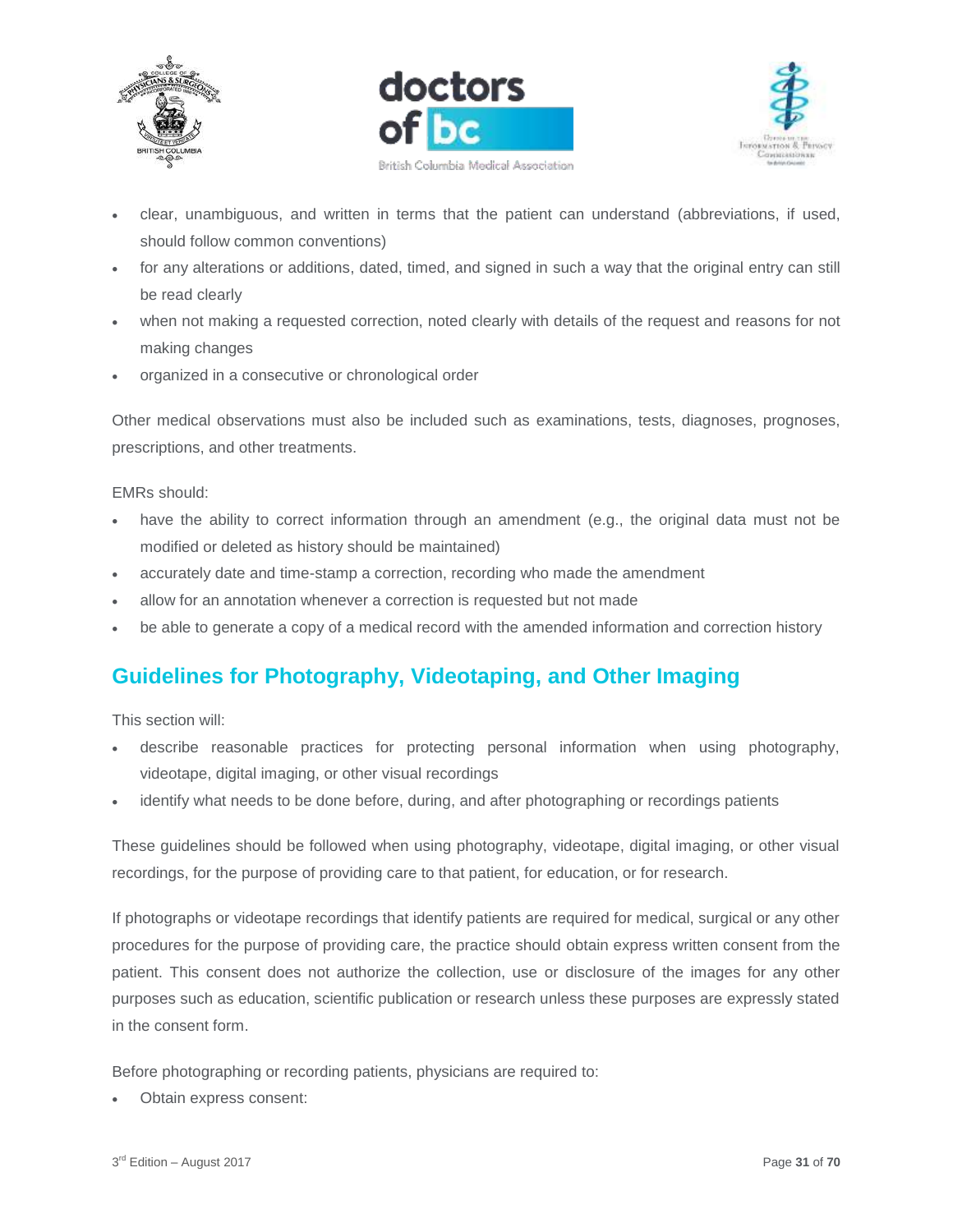





- clear, unambiguous, and written in terms that the patient can understand (abbreviations, if used, should follow common conventions)
- for any alterations or additions, dated, timed, and signed in such a way that the original entry can still be read clearly
- when not making a requested correction, noted clearly with details of the request and reasons for not making changes
- organized in a consecutive or chronological order

Other medical observations must also be included such as examinations, tests, diagnoses, prognoses, prescriptions, and other treatments.

#### EMRs should:

- have the ability to correct information through an amendment (e.g., the original data must not be modified or deleted as history should be maintained)
- accurately date and time-stamp a correction, recording who made the amendment
- allow for an annotation whenever a correction is requested but not made
- be able to generate a copy of a medical record with the amended information and correction history

# <span id="page-30-0"></span>**Guidelines for Photography, Videotaping, and Other Imaging**

This section will:

- describe reasonable practices for protecting personal information when using photography, videotape, digital imaging, or other visual recordings
- identify what needs to be done before, during, and after photographing or recordings patients

These guidelines should be followed when using photography, videotape, digital imaging, or other visual recordings, for the purpose of providing care to that patient, for education, or for research.

If photographs or videotape recordings that identify patients are required for medical, surgical or any other procedures for the purpose of providing care, the practice should obtain express written consent from the patient. This consent does not authorize the collection, use or disclosure of the images for any other purposes such as education, scientific publication or research unless these purposes are expressly stated in the consent form.

Before photographing or recording patients, physicians are required to:

Obtain express consent: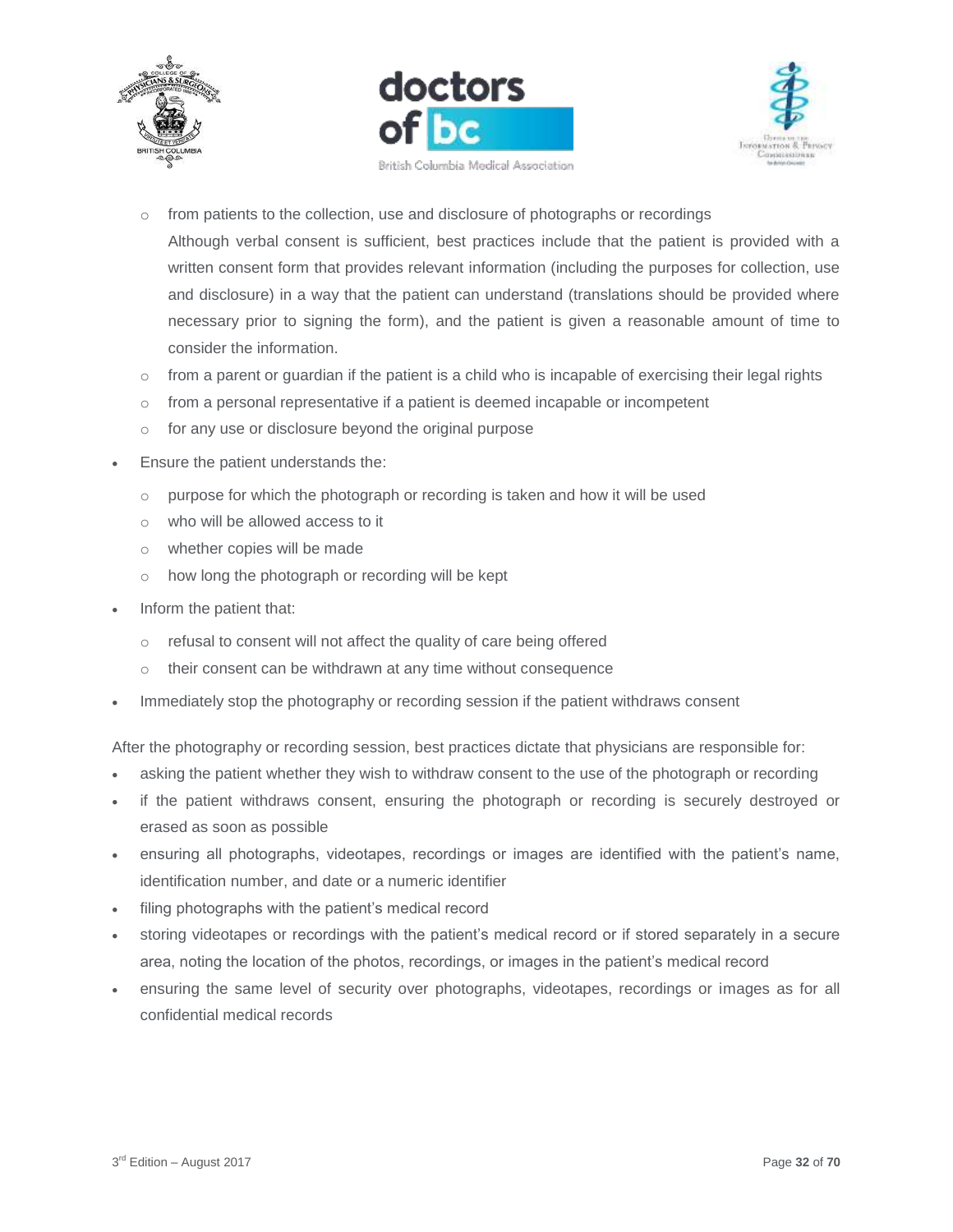





o from patients to the collection, use and disclosure of photographs or recordings

Although verbal consent is sufficient, best practices include that the patient is provided with a written consent form that provides relevant information (including the purposes for collection, use and disclosure) in a way that the patient can understand (translations should be provided where necessary prior to signing the form), and the patient is given a reasonable amount of time to consider the information.

- $\circ$  from a parent or guardian if the patient is a child who is incapable of exercising their legal rights
- o from a personal representative if a patient is deemed incapable or incompetent
- o for any use or disclosure beyond the original purpose
- Ensure the patient understands the:
	- o purpose for which the photograph or recording is taken and how it will be used
	- o who will be allowed access to it
	- o whether copies will be made
	- o how long the photograph or recording will be kept
- Inform the patient that:
	- o refusal to consent will not affect the quality of care being offered
	- o their consent can be withdrawn at any time without consequence
- Immediately stop the photography or recording session if the patient withdraws consent

After the photography or recording session, best practices dictate that physicians are responsible for:

- asking the patient whether they wish to withdraw consent to the use of the photograph or recording
- if the patient withdraws consent, ensuring the photograph or recording is securely destroyed or erased as soon as possible
- ensuring all photographs, videotapes, recordings or images are identified with the patient's name, identification number, and date or a numeric identifier
- filing photographs with the patient's medical record
- storing videotapes or recordings with the patient's medical record or if stored separately in a secure area, noting the location of the photos, recordings, or images in the patient's medical record
- ensuring the same level of security over photographs, videotapes, recordings or images as for all confidential medical records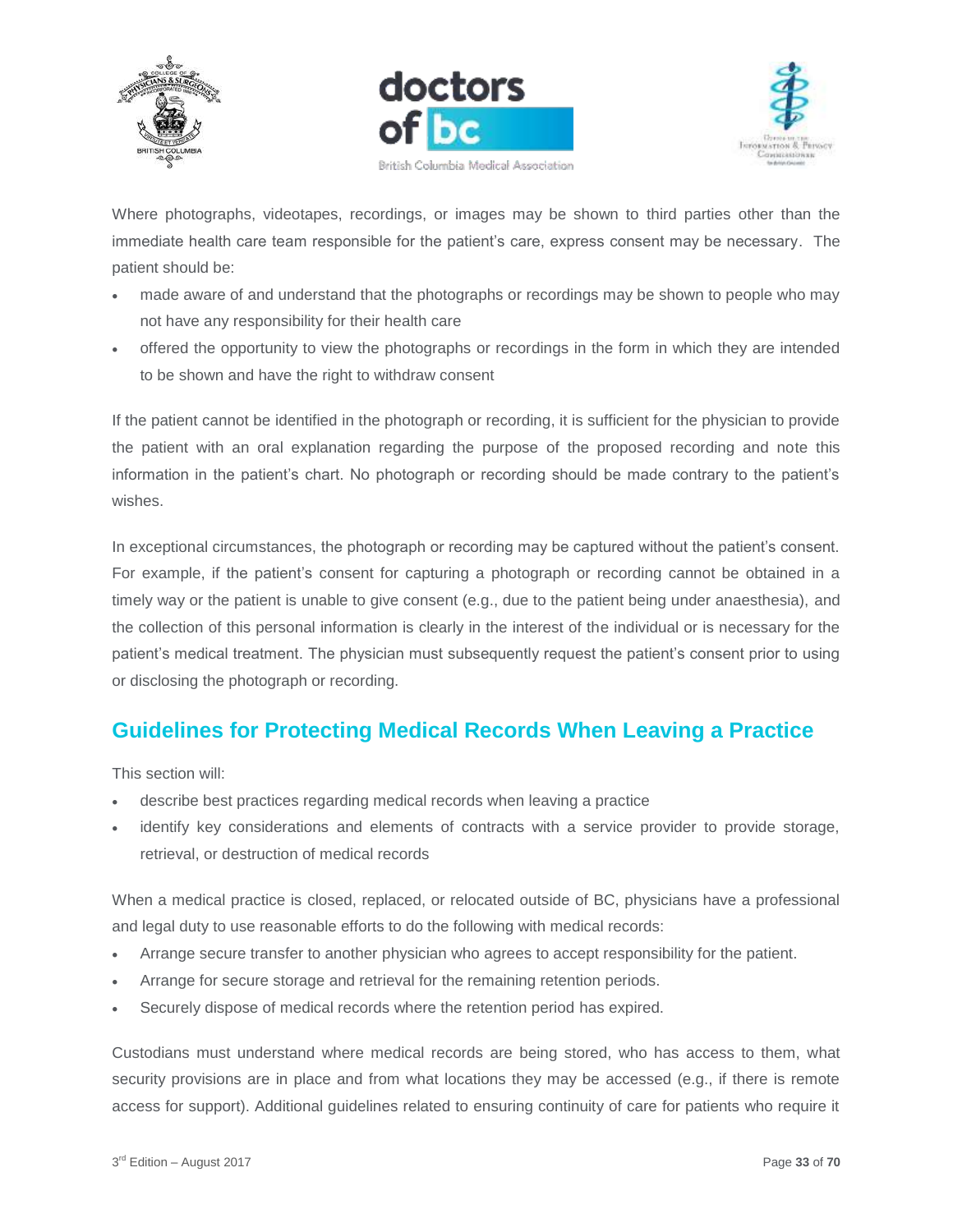





Where photographs, videotapes, recordings, or images may be shown to third parties other than the immediate health care team responsible for the patient's care, express consent may be necessary. The patient should be:

- made aware of and understand that the photographs or recordings may be shown to people who may not have any responsibility for their health care
- offered the opportunity to view the photographs or recordings in the form in which they are intended to be shown and have the right to withdraw consent

If the patient cannot be identified in the photograph or recording, it is sufficient for the physician to provide the patient with an oral explanation regarding the purpose of the proposed recording and note this information in the patient's chart. No photograph or recording should be made contrary to the patient's wishes.

In exceptional circumstances, the photograph or recording may be captured without the patient's consent. For example, if the patient's consent for capturing a photograph or recording cannot be obtained in a timely way or the patient is unable to give consent (e.g., due to the patient being under anaesthesia), and the collection of this personal information is clearly in the interest of the individual or is necessary for the patient's medical treatment. The physician must subsequently request the patient's consent prior to using or disclosing the photograph or recording.

# <span id="page-32-0"></span>**Guidelines for Protecting Medical Records When Leaving a Practice**

This section will:

- describe best practices regarding medical records when leaving a practice
- identify key considerations and elements of contracts with a service provider to provide storage, retrieval, or destruction of medical records

When a medical practice is closed, replaced, or relocated outside of BC, physicians have a professional and legal duty to use reasonable efforts to do the following with medical records:

- Arrange secure transfer to another physician who agrees to accept responsibility for the patient.
- Arrange for secure storage and retrieval for the remaining retention periods.
- Securely dispose of medical records where the retention period has expired.

Custodians must understand where medical records are being stored, who has access to them, what security provisions are in place and from what locations they may be accessed (e.g., if there is remote access for support). Additional guidelines related to ensuring continuity of care for patients who require it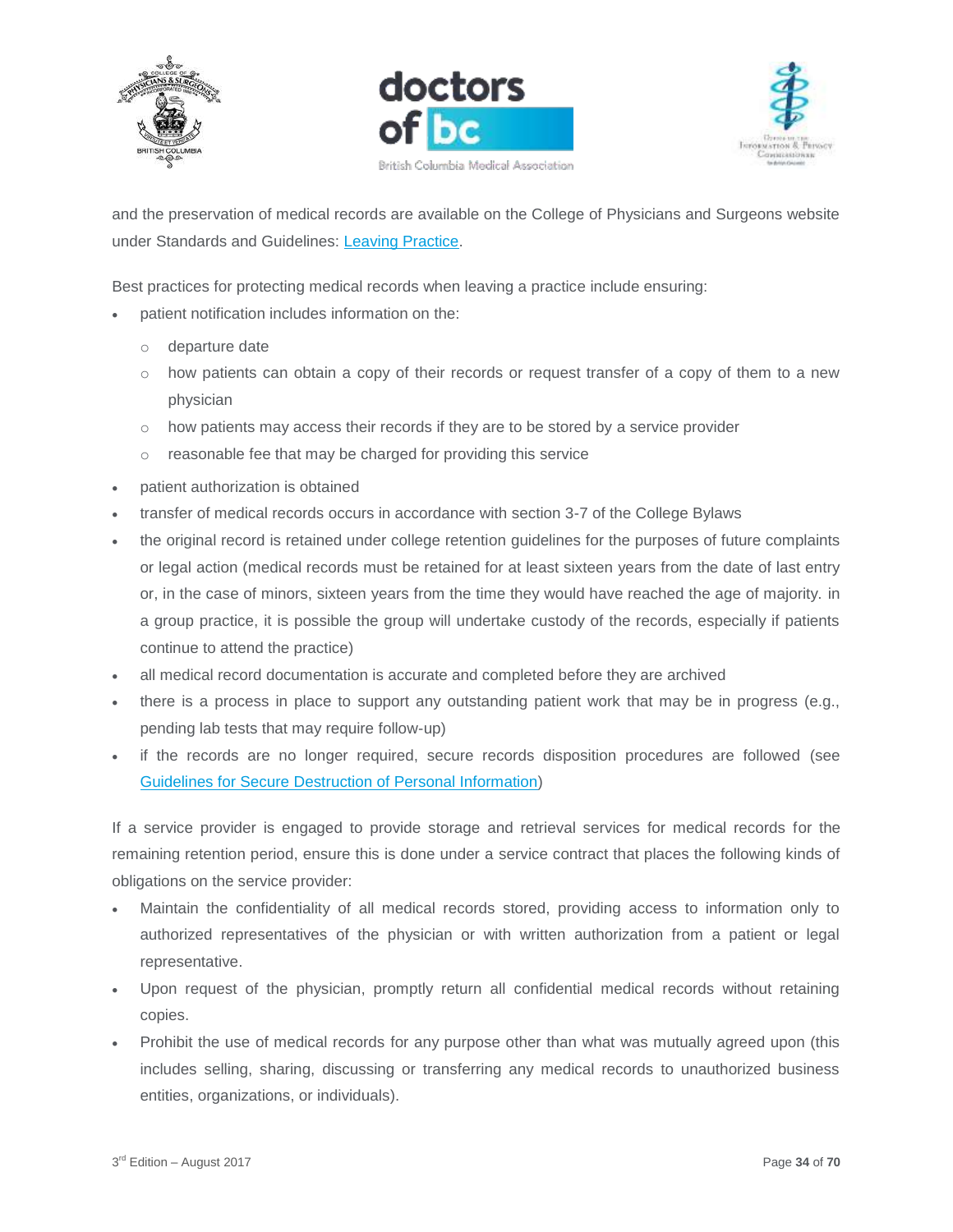





and the preservation of medical records are available on the College of Physicians and Surgeons website under Standards and Guidelines: [Leaving Practice.](https://www.cpsbc.ca/files/pdf/PSG-Leaving-Practice.pdf)

Best practices for protecting medical records when leaving a practice include ensuring:

- patient notification includes information on the:
	- o departure date
	- $\circ$  how patients can obtain a copy of their records or request transfer of a copy of them to a new physician
	- o how patients may access their records if they are to be stored by a service provider
	- o reasonable fee that may be charged for providing this service
- patient authorization is obtained
- transfer of medical records occurs in accordance with section 3-7 of the College Bylaws
- the original record is retained under college retention guidelines for the purposes of future complaints or legal action (medical records must be retained for at least sixteen years from the date of last entry or, in the case of minors, sixteen years from the time they would have reached the age of majority. in a group practice, it is possible the group will undertake custody of the records, especially if patients continue to attend the practice)
- all medical record documentation is accurate and completed before they are archived
- there is a process in place to support any outstanding patient work that may be in progress (e.g., pending lab tests that may require follow-up)
- if the records are no longer required, secure records disposition procedures are followed (see [Guidelines for Secure Destruction of Personal Information\)](https://www.doctorsofbc.ca/sites/default/files/ptv3.0.17_guidelines_for_secure_destruction_of_personal_information.pdf)

If a service provider is engaged to provide storage and retrieval services for medical records for the remaining retention period, ensure this is done under a service contract that places the following kinds of obligations on the service provider:

- Maintain the confidentiality of all medical records stored, providing access to information only to authorized representatives of the physician or with written authorization from a patient or legal representative.
- Upon request of the physician, promptly return all confidential medical records without retaining copies.
- Prohibit the use of medical records for any purpose other than what was mutually agreed upon (this includes selling, sharing, discussing or transferring any medical records to unauthorized business entities, organizations, or individuals).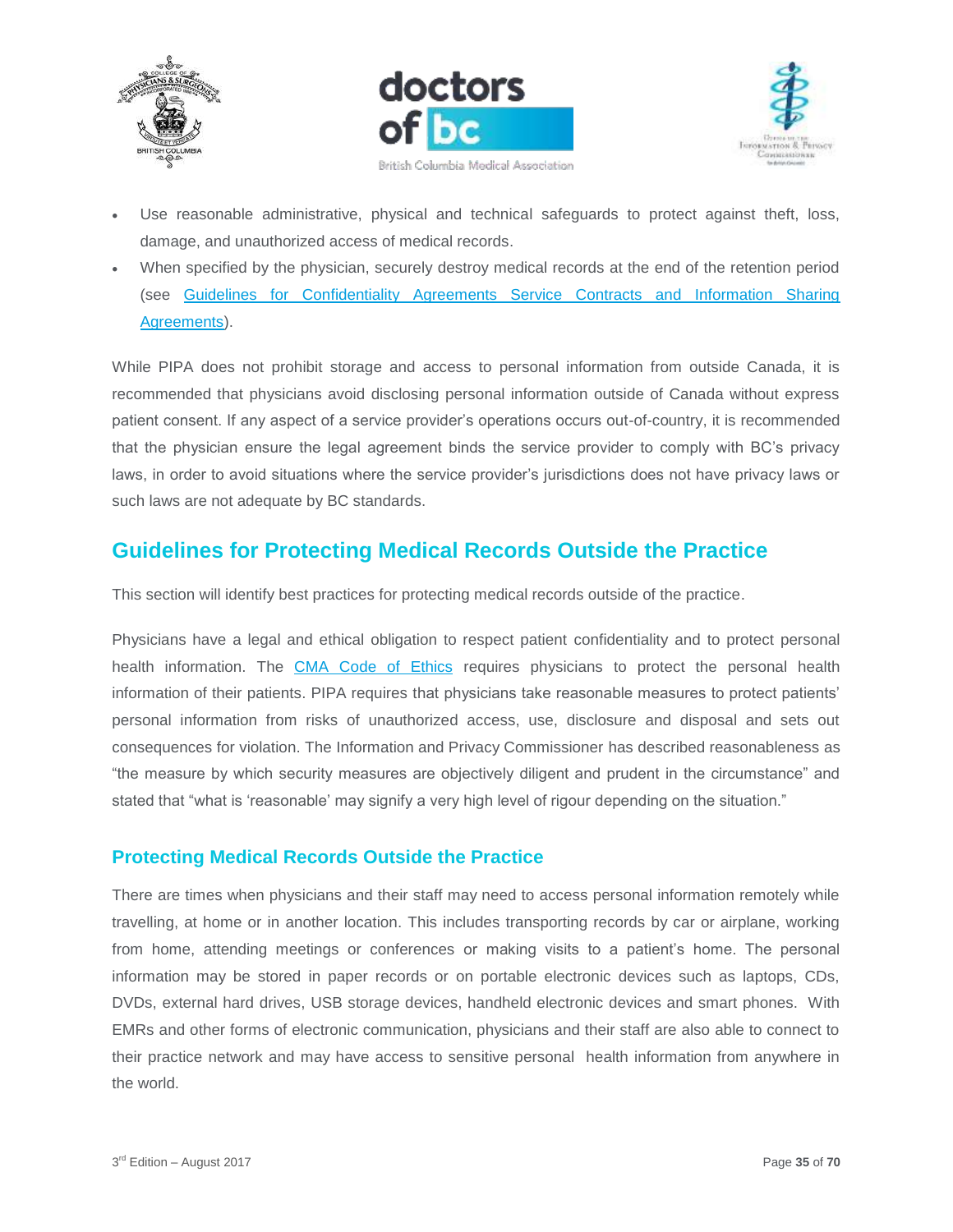





- Use reasonable administrative, physical and technical safeguards to protect against theft, loss, damage, and unauthorized access of medical records.
- When specified by the physician, securely destroy medical records at the end of the retention period (see [Guidelines for Confidentiality Agreements Service Contracts and Information Sharing](https://www.doctorsofbc.ca/sites/default/files/ptv3.0.05_guidelines_for_confidentiality_agreements_service_contracts_and_information_sharing_agreements.pdf)  [Agreements\)](https://www.doctorsofbc.ca/sites/default/files/ptv3.0.05_guidelines_for_confidentiality_agreements_service_contracts_and_information_sharing_agreements.pdf).

While PIPA does not prohibit storage and access to personal information from outside Canada, it is recommended that physicians avoid disclosing personal information outside of Canada without express patient consent. If any aspect of a service provider's operations occurs out-of-country, it is recommended that the physician ensure the legal agreement binds the service provider to comply with BC's privacy laws, in order to avoid situations where the service provider's jurisdictions does not have privacy laws or such laws are not adequate by BC standards.

# <span id="page-34-0"></span>**Guidelines for Protecting Medical Records Outside the Practice**

This section will identify best practices for protecting medical records outside of the practice.

Physicians have a legal and ethical obligation to respect patient confidentiality and to protect personal health information. The [CMA Code of Ethics](https://www.cma.ca/En/Pages/code-of-ethics.aspx) requires physicians to protect the personal health information of their patients. PIPA requires that physicians take reasonable measures to protect patients' personal information from risks of unauthorized access, use, disclosure and disposal and sets out consequences for violation. The Information and Privacy Commissioner has described reasonableness as "the measure by which security measures are objectively diligent and prudent in the circumstance" and stated that "what is 'reasonable' may signify a very high level of rigour depending on the situation."

## <span id="page-34-1"></span>**Protecting Medical Records Outside the Practice**

There are times when physicians and their staff may need to access personal information remotely while travelling, at home or in another location. This includes transporting records by car or airplane, working from home, attending meetings or conferences or making visits to a patient's home. The personal information may be stored in paper records or on portable electronic devices such as laptops, CDs, DVDs, external hard drives, USB storage devices, handheld electronic devices and smart phones. With EMRs and other forms of electronic communication, physicians and their staff are also able to connect to their practice network and may have access to sensitive personal health information from anywhere in the world.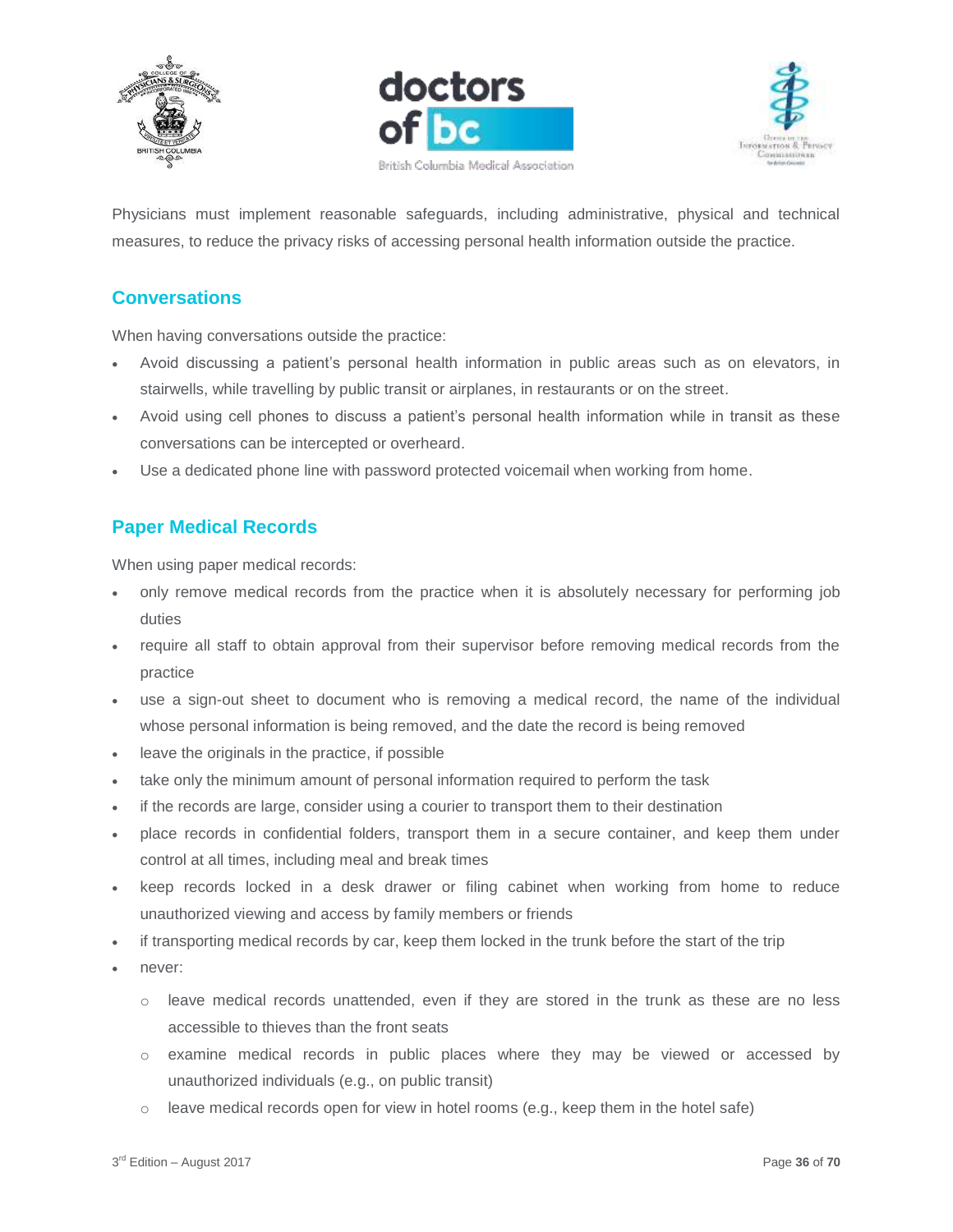





Physicians must implement reasonable safeguards, including administrative, physical and technical measures, to reduce the privacy risks of accessing personal health information outside the practice.

# <span id="page-35-0"></span>**Conversations**

When having conversations outside the practice:

- Avoid discussing a patient's personal health information in public areas such as on elevators, in stairwells, while travelling by public transit or airplanes, in restaurants or on the street.
- Avoid using cell phones to discuss a patient's personal health information while in transit as these conversations can be intercepted or overheard.
- Use a dedicated phone line with password protected voicemail when working from home.

# <span id="page-35-1"></span>**Paper Medical Records**

When using paper medical records:

- only remove medical records from the practice when it is absolutely necessary for performing job duties
- require all staff to obtain approval from their supervisor before removing medical records from the practice
- use a sign-out sheet to document who is removing a medical record, the name of the individual whose personal information is being removed, and the date the record is being removed
- leave the originals in the practice, if possible
- take only the minimum amount of personal information required to perform the task
- if the records are large, consider using a courier to transport them to their destination
- place records in confidential folders, transport them in a secure container, and keep them under control at all times, including meal and break times
- keep records locked in a desk drawer or filing cabinet when working from home to reduce unauthorized viewing and access by family members or friends
- if transporting medical records by car, keep them locked in the trunk before the start of the trip
- never:
	- o leave medical records unattended, even if they are stored in the trunk as these are no less accessible to thieves than the front seats
	- o examine medical records in public places where they may be viewed or accessed by unauthorized individuals (e.g., on public transit)
	- $\circ$  leave medical records open for view in hotel rooms (e.g., keep them in the hotel safe)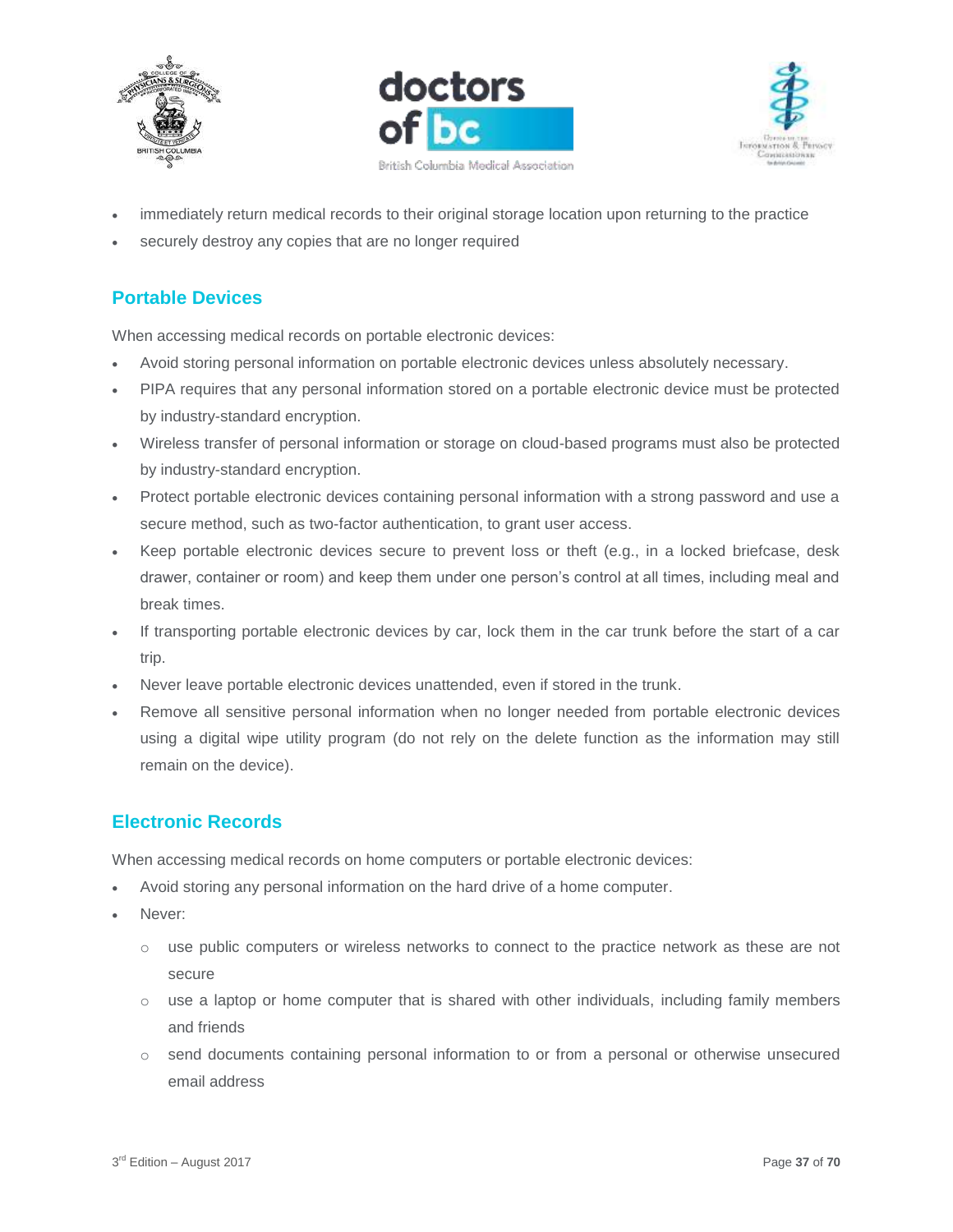





- immediately return medical records to their original storage location upon returning to the practice
- securely destroy any copies that are no longer required

# <span id="page-36-0"></span>**Portable Devices**

When accessing medical records on portable electronic devices:

- Avoid storing personal information on portable electronic devices unless absolutely necessary.
- PIPA requires that any personal information stored on a portable electronic device must be protected by industry-standard encryption.
- Wireless transfer of personal information or storage on cloud-based programs must also be protected by industry-standard encryption.
- Protect portable electronic devices containing personal information with a strong password and use a secure method, such as two-factor authentication, to grant user access.
- Keep portable electronic devices secure to prevent loss or theft (e.g., in a locked briefcase, desk drawer, container or room) and keep them under one person's control at all times, including meal and break times.
- If transporting portable electronic devices by car, lock them in the car trunk before the start of a car trip.
- Never leave portable electronic devices unattended, even if stored in the trunk.
- Remove all sensitive personal information when no longer needed from portable electronic devices using a digital wipe utility program (do not rely on the delete function as the information may still remain on the device).

# <span id="page-36-1"></span>**Electronic Records**

When accessing medical records on home computers or portable electronic devices:

- Avoid storing any personal information on the hard drive of a home computer.
- Never:
	- o use public computers or wireless networks to connect to the practice network as these are not secure
	- $\circ$  use a laptop or home computer that is shared with other individuals, including family members and friends
	- o send documents containing personal information to or from a personal or otherwise unsecured email address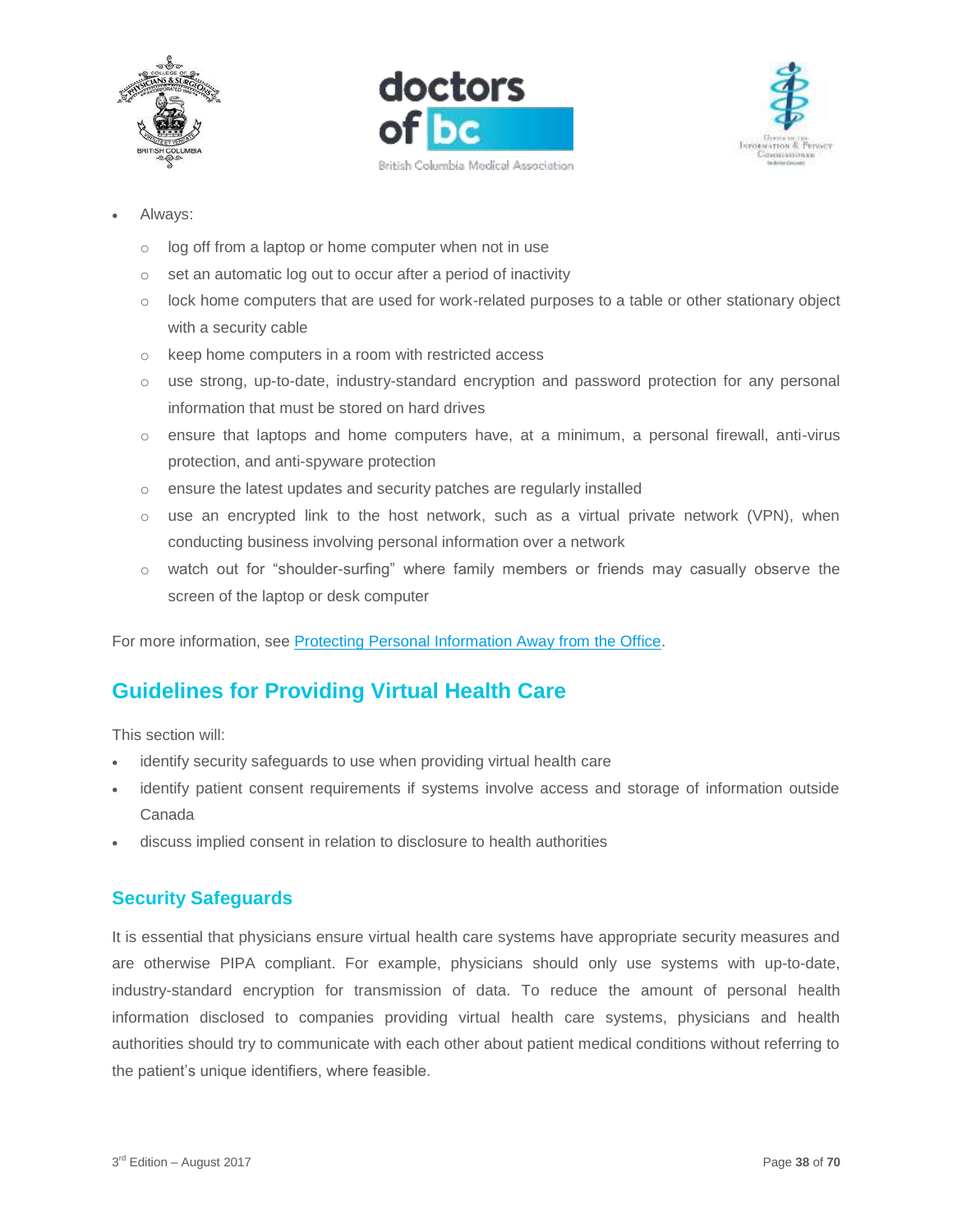





- Always:
	- o log off from a laptop or home computer when not in use
	- o set an automatic log out to occur after a period of inactivity
	- $\circ$  lock home computers that are used for work-related purposes to a table or other stationary object with a security cable
	- o keep home computers in a room with restricted access
	- o use strong, up-to-date, industry-standard encryption and password protection for any personal information that must be stored on hard drives
	- o ensure that laptops and home computers have, at a minimum, a personal firewall, anti-virus protection, and anti-spyware protection
	- o ensure the latest updates and security patches are regularly installed
	- $\circ$  use an encrypted link to the host network, such as a virtual private network (VPN), when conducting business involving personal information over a network
	- o watch out for "shoulder-surfing" where family members or friends may casually observe the screen of the laptop or desk computer

For more information, see [Protecting Personal Information Away from the Office.](https://www.oipc.bc.ca/guidance-documents/1447)

# <span id="page-37-0"></span>**Guidelines for Providing Virtual Health Care**

This section will:

- identify security safeguards to use when providing virtual health care
- identify patient consent requirements if systems involve access and storage of information outside Canada
- discuss implied consent in relation to disclosure to health authorities

#### <span id="page-37-1"></span>**Security Safeguards**

It is essential that physicians ensure virtual health care systems have appropriate security measures and are otherwise PIPA compliant. For example, physicians should only use systems with up-to-date, industry-standard encryption for transmission of data. To reduce the amount of personal health information disclosed to companies providing virtual health care systems, physicians and health authorities should try to communicate with each other about patient medical conditions without referring to the patient's unique identifiers, where feasible.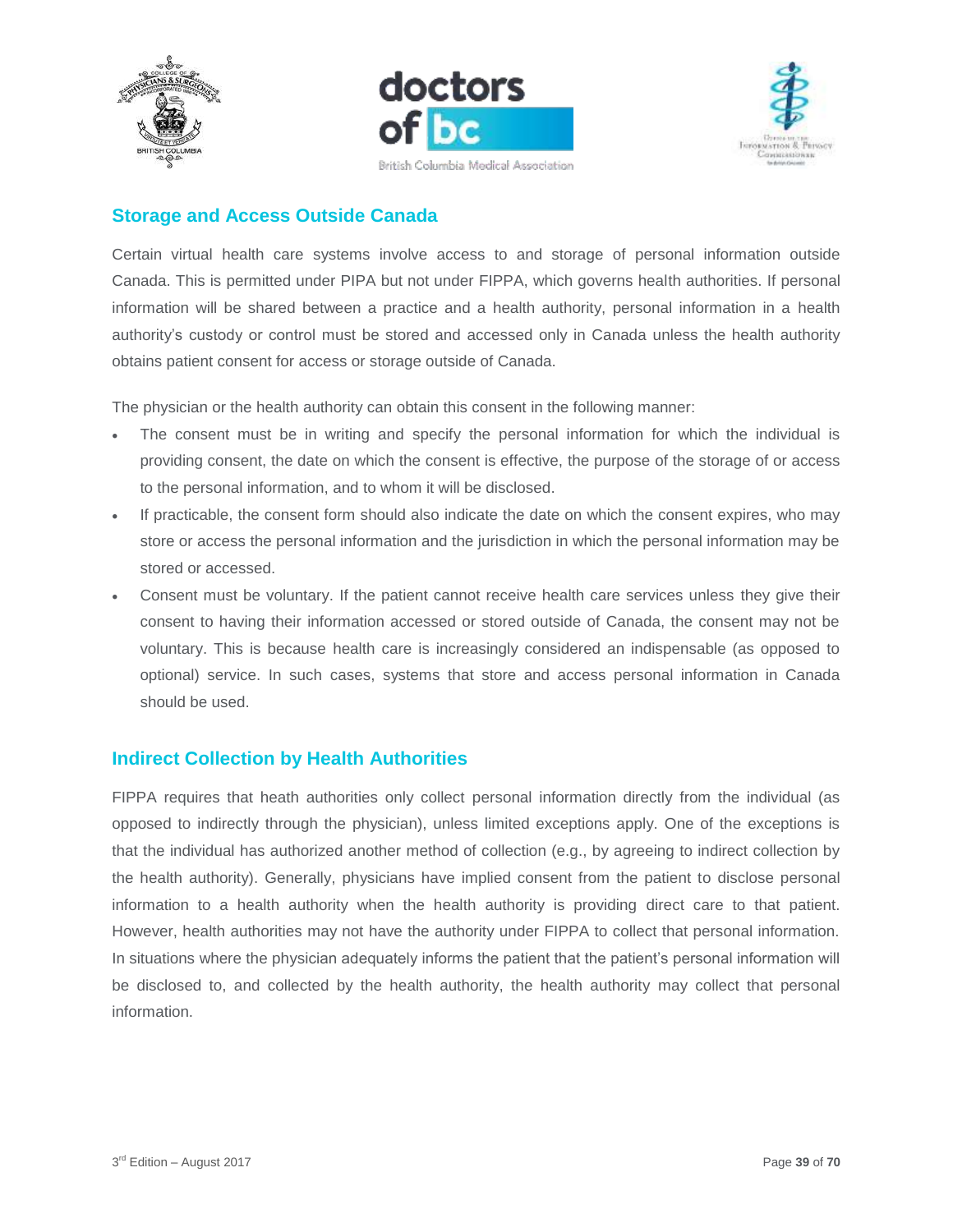





# <span id="page-38-0"></span>**Storage and Access Outside Canada**

Certain virtual health care systems involve access to and storage of personal information outside Canada. This is permitted under PIPA but not under FIPPA, which governs health authorities. If personal information will be shared between a practice and a health authority, personal information in a health authority's custody or control must be stored and accessed only in Canada unless the health authority obtains patient consent for access or storage outside of Canada.

The physician or the health authority can obtain this consent in the following manner:

- The consent must be in writing and specify the personal information for which the individual is providing consent, the date on which the consent is effective, the purpose of the storage of or access to the personal information, and to whom it will be disclosed.
- If practicable, the consent form should also indicate the date on which the consent expires, who may store or access the personal information and the jurisdiction in which the personal information may be stored or accessed.
- Consent must be voluntary. If the patient cannot receive health care services unless they give their consent to having their information accessed or stored outside of Canada, the consent may not be voluntary. This is because health care is increasingly considered an indispensable (as opposed to optional) service. In such cases, systems that store and access personal information in Canada should be used.

## <span id="page-38-1"></span>**Indirect Collection by Health Authorities**

FIPPA requires that heath authorities only collect personal information directly from the individual (as opposed to indirectly through the physician), unless limited exceptions apply. One of the exceptions is that the individual has authorized another method of collection (e.g., by agreeing to indirect collection by the health authority). Generally, physicians have implied consent from the patient to disclose personal information to a health authority when the health authority is providing direct care to that patient. However, health authorities may not have the authority under FIPPA to collect that personal information. In situations where the physician adequately informs the patient that the patient's personal information will be disclosed to, and collected by the health authority, the health authority may collect that personal information.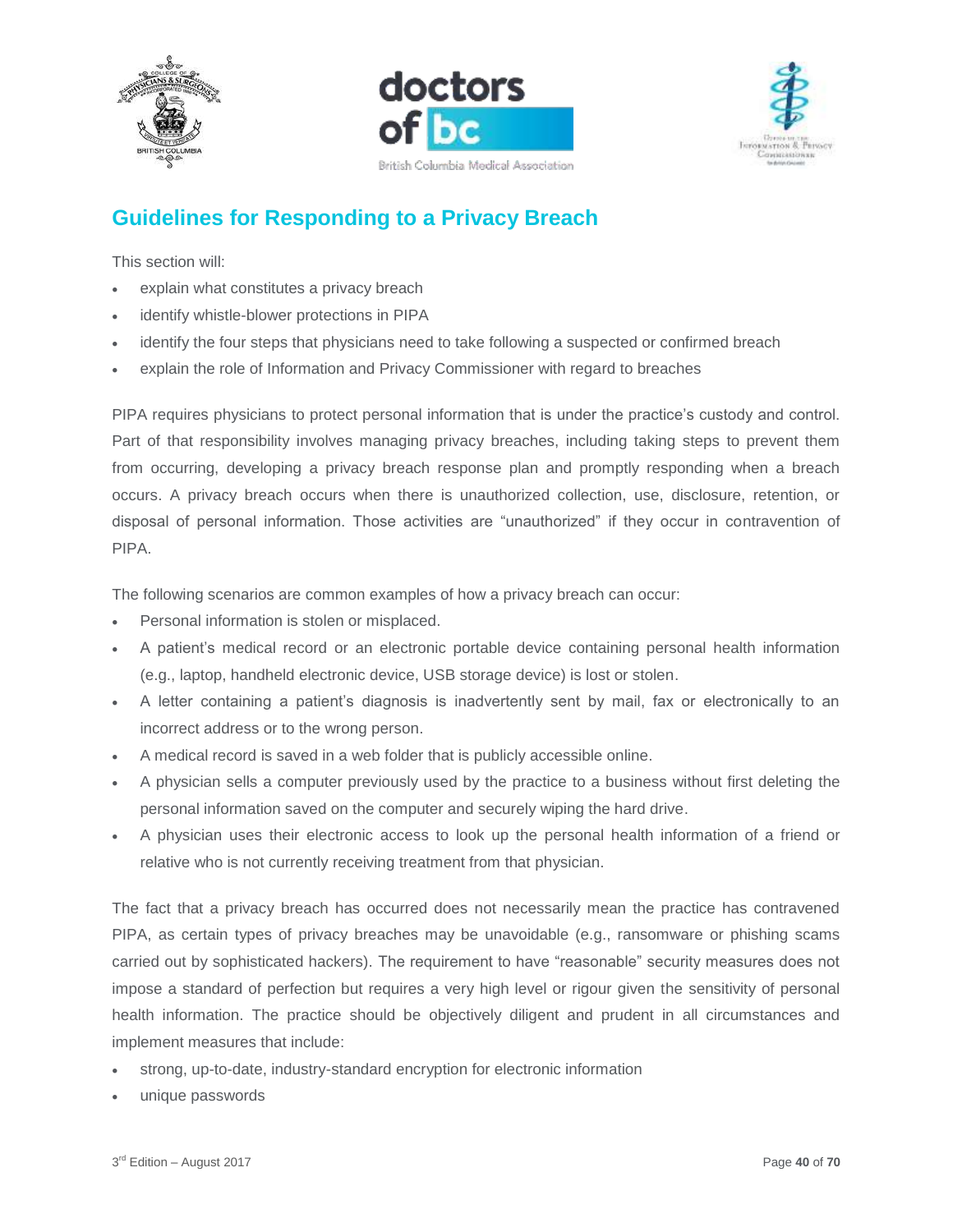





# <span id="page-39-0"></span>**Guidelines for Responding to a Privacy Breach**

This section will:

- explain what constitutes a privacy breach
- identify whistle-blower protections in PIPA
- identify the four steps that physicians need to take following a suspected or confirmed breach
- explain the role of Information and Privacy Commissioner with regard to breaches

PIPA requires physicians to protect personal information that is under the practice's custody and control. Part of that responsibility involves managing privacy breaches, including taking steps to prevent them from occurring, developing a privacy breach response plan and promptly responding when a breach occurs. A privacy breach occurs when there is unauthorized collection, use, disclosure, retention, or disposal of personal information. Those activities are "unauthorized" if they occur in contravention of PIPA.

The following scenarios are common examples of how a privacy breach can occur:

- Personal information is stolen or misplaced.
- A patient's medical record or an electronic portable device containing personal health information (e.g., laptop, handheld electronic device, USB storage device) is lost or stolen.
- A letter containing a patient's diagnosis is inadvertently sent by mail, fax or electronically to an incorrect address or to the wrong person.
- A medical record is saved in a web folder that is publicly accessible online.
- A physician sells a computer previously used by the practice to a business without first deleting the personal information saved on the computer and securely wiping the hard drive.
- A physician uses their electronic access to look up the personal health information of a friend or relative who is not currently receiving treatment from that physician.

The fact that a privacy breach has occurred does not necessarily mean the practice has contravened PIPA, as certain types of privacy breaches may be unavoidable (e.g., ransomware or phishing scams carried out by sophisticated hackers). The requirement to have "reasonable" security measures does not impose a standard of perfection but requires a very high level or rigour given the sensitivity of personal health information. The practice should be objectively diligent and prudent in all circumstances and implement measures that include:

- strong, up-to-date, industry-standard encryption for electronic information
- unique passwords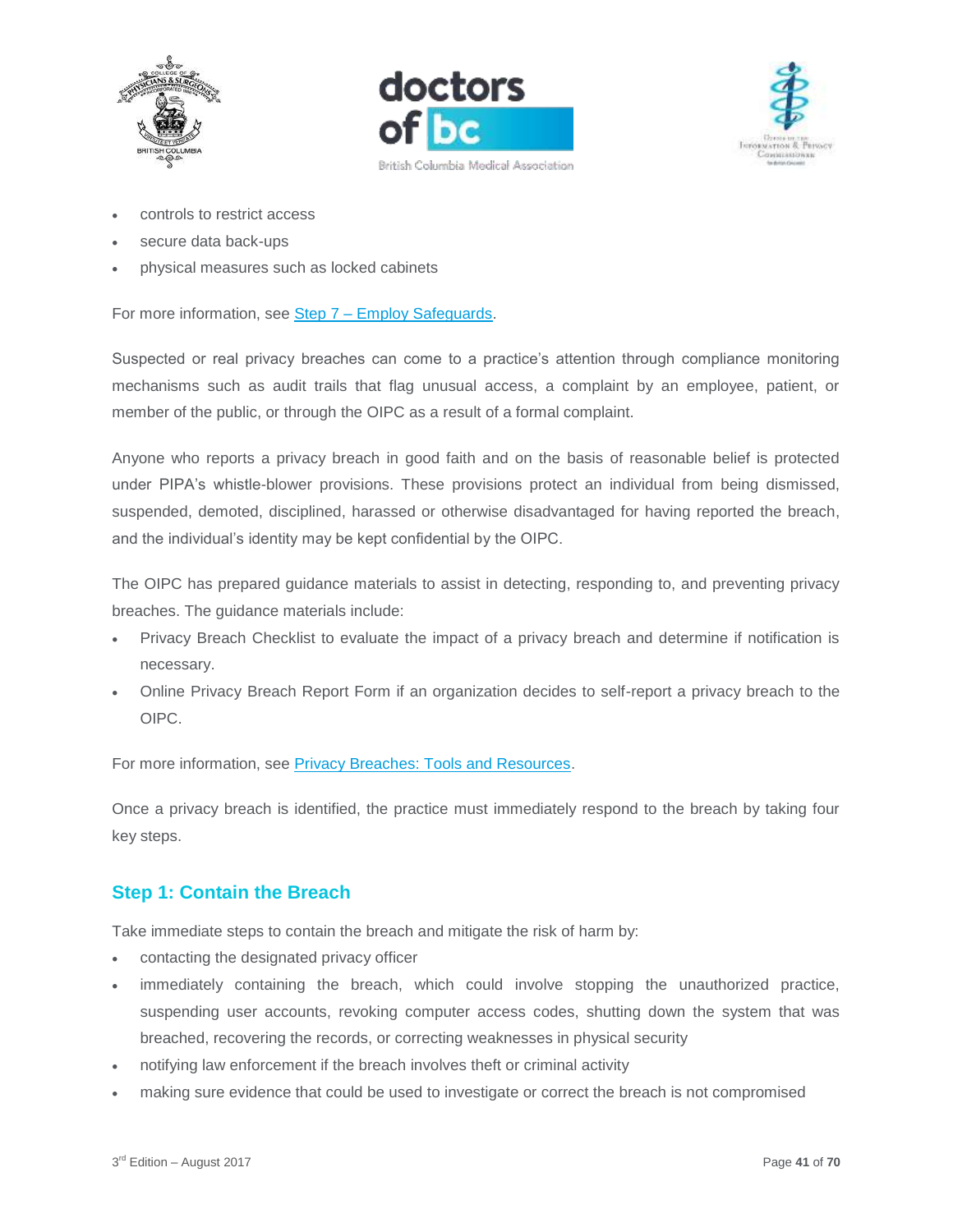





- controls to restrict access
- secure data back-ups
- physical measures such as locked cabinets

For more information, see Step 7 – [Employ Safeguards.](https://www.doctorsofbc.ca/sites/default/files/ptv3.0.04.07_step_7_-_employ_safeguards.pdf)

Suspected or real privacy breaches can come to a practice's attention through compliance monitoring mechanisms such as audit trails that flag unusual access, a complaint by an employee, patient, or member of the public, or through the OIPC as a result of a formal complaint.

Anyone who reports a privacy breach in good faith and on the basis of reasonable belief is protected under PIPA's whistle-blower provisions. These provisions protect an individual from being dismissed, suspended, demoted, disciplined, harassed or otherwise disadvantaged for having reported the breach, and the individual's identity may be kept confidential by the OIPC.

The OIPC has prepared guidance materials to assist in detecting, responding to, and preventing privacy breaches. The guidance materials include:

- Privacy Breach Checklist to evaluate the impact of a privacy breach and determine if notification is necessary.
- Online Privacy Breach Report Form if an organization decides to self-report a privacy breach to the OIPC.

For more information, see [Privacy Breaches: Tools and Resources.](https://www.oipc.bc.ca/guidance-documents/1428)

Once a privacy breach is identified, the practice must immediately respond to the breach by taking four key steps.

## <span id="page-40-0"></span>**Step 1: Contain the Breach**

Take immediate steps to contain the breach and mitigate the risk of harm by:

- contacting the designated privacy officer
- immediately containing the breach, which could involve stopping the unauthorized practice, suspending user accounts, revoking computer access codes, shutting down the system that was breached, recovering the records, or correcting weaknesses in physical security
- notifying law enforcement if the breach involves theft or criminal activity
- making sure evidence that could be used to investigate or correct the breach is not compromised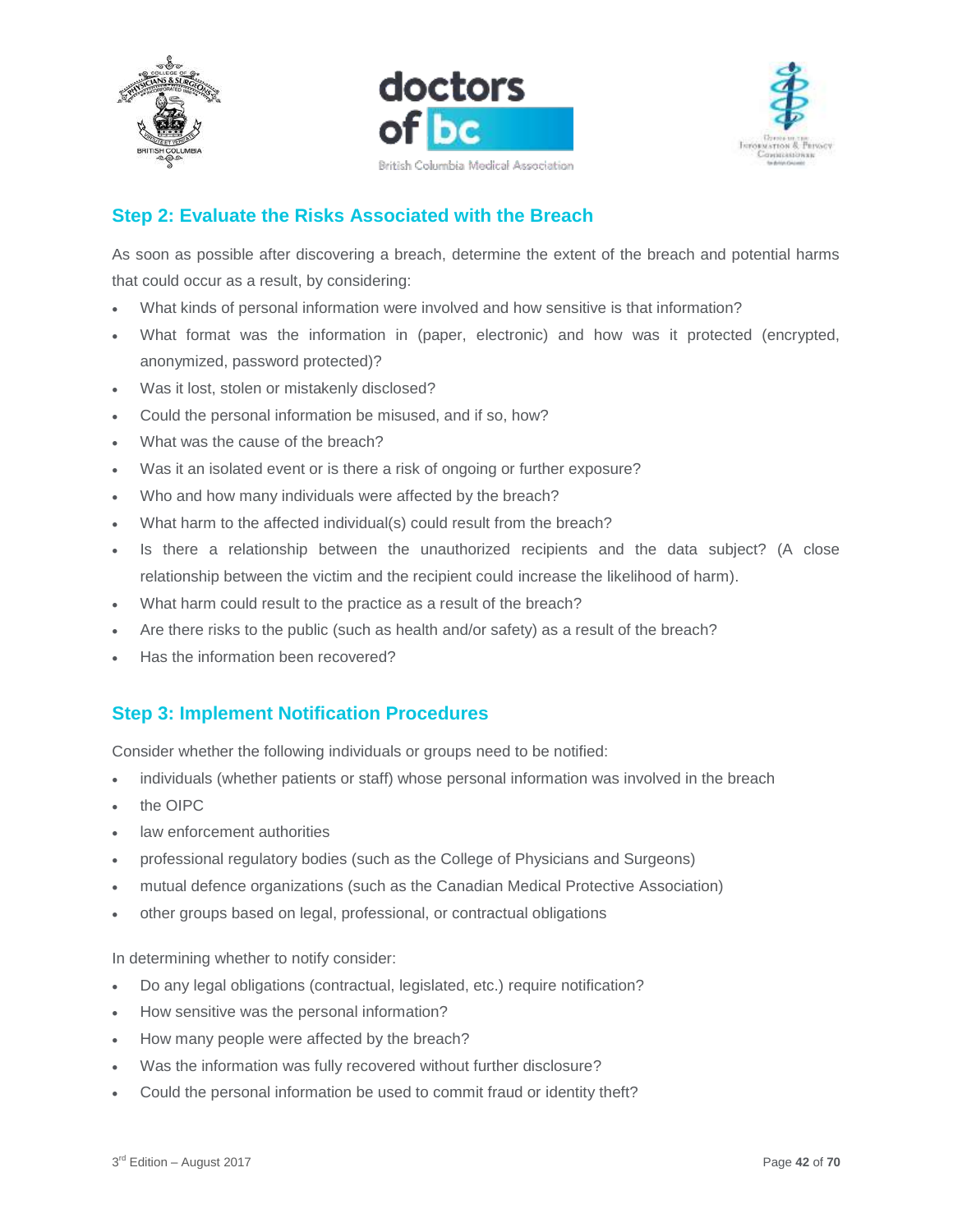





# <span id="page-41-0"></span>**Step 2: Evaluate the Risks Associated with the Breach**

As soon as possible after discovering a breach, determine the extent of the breach and potential harms that could occur as a result, by considering:

- What kinds of personal information were involved and how sensitive is that information?
- What format was the information in (paper, electronic) and how was it protected (encrypted, anonymized, password protected)?
- Was it lost, stolen or mistakenly disclosed?
- Could the personal information be misused, and if so, how?
- What was the cause of the breach?
- Was it an isolated event or is there a risk of ongoing or further exposure?
- Who and how many individuals were affected by the breach?
- What harm to the affected individual(s) could result from the breach?
- Is there a relationship between the unauthorized recipients and the data subject? (A close relationship between the victim and the recipient could increase the likelihood of harm).
- What harm could result to the practice as a result of the breach?
- Are there risks to the public (such as health and/or safety) as a result of the breach?
- Has the information been recovered?

## <span id="page-41-1"></span>**Step 3: Implement Notification Procedures**

Consider whether the following individuals or groups need to be notified:

- individuals (whether patients or staff) whose personal information was involved in the breach
- the OIPC
- law enforcement authorities
- professional regulatory bodies (such as the College of Physicians and Surgeons)
- mutual defence organizations (such as the Canadian Medical Protective Association)
- other groups based on legal, professional, or contractual obligations

In determining whether to notify consider:

- Do any legal obligations (contractual, legislated, etc.) require notification?
- How sensitive was the personal information?
- How many people were affected by the breach?
- Was the information was fully recovered without further disclosure?
- Could the personal information be used to commit fraud or identity theft?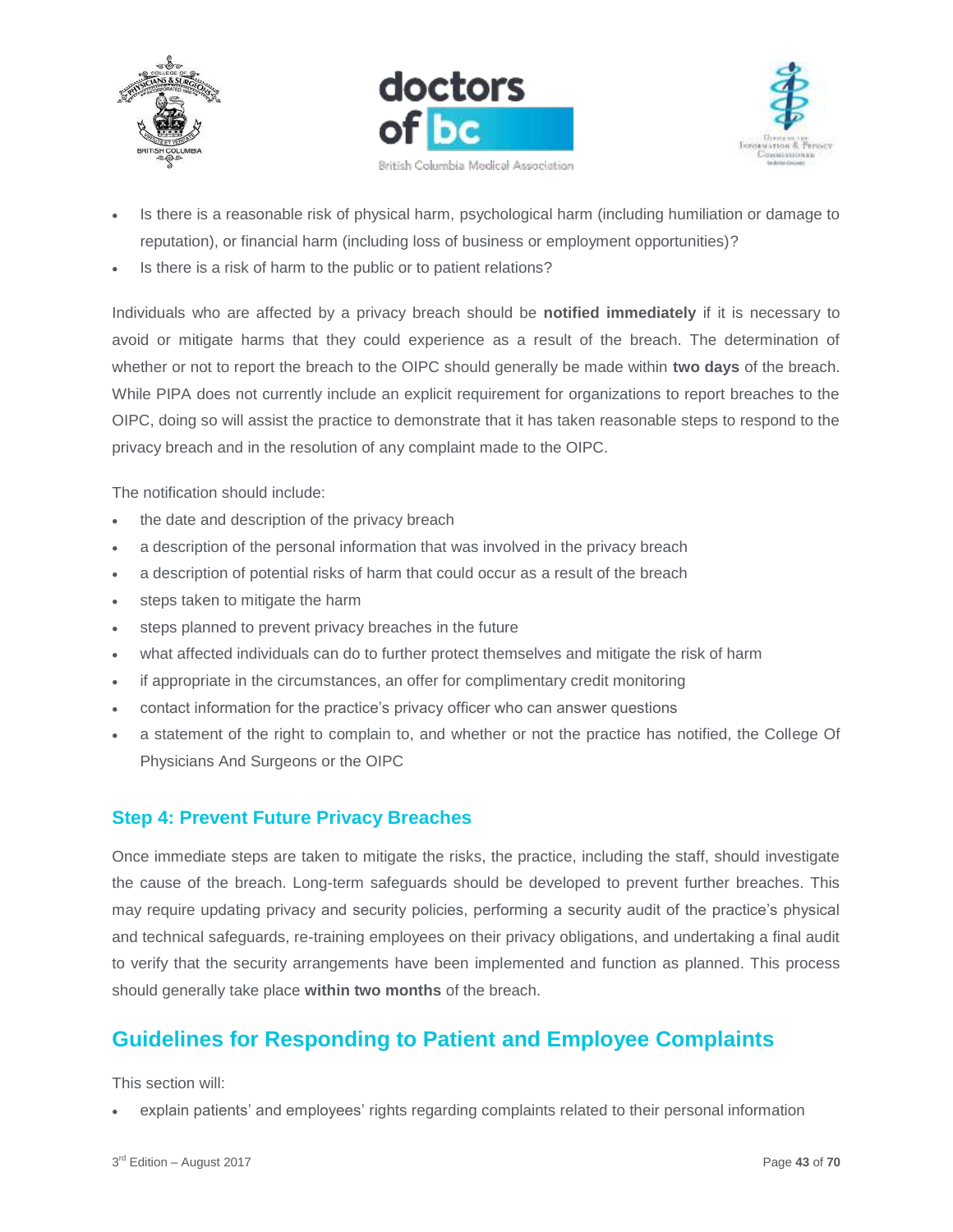





- Is there is a reasonable risk of physical harm, psychological harm (including humiliation or damage to reputation), or financial harm (including loss of business or employment opportunities)?
- Is there is a risk of harm to the public or to patient relations?

Individuals who are affected by a privacy breach should be **notified immediately** if it is necessary to avoid or mitigate harms that they could experience as a result of the breach. The determination of whether or not to report the breach to the OIPC should generally be made within **two days** of the breach. While PIPA does not currently include an explicit requirement for organizations to report breaches to the OIPC, doing so will assist the practice to demonstrate that it has taken reasonable steps to respond to the privacy breach and in the resolution of any complaint made to the OIPC.

The notification should include:

- the date and description of the privacy breach
- a description of the personal information that was involved in the privacy breach
- a description of potential risks of harm that could occur as a result of the breach
- steps taken to mitigate the harm
- steps planned to prevent privacy breaches in the future
- what affected individuals can do to further protect themselves and mitigate the risk of harm
- if appropriate in the circumstances, an offer for complimentary credit monitoring
- contact information for the practice's privacy officer who can answer questions
- a statement of the right to complain to, and whether or not the practice has notified, the College Of Physicians And Surgeons or the OIPC

#### <span id="page-42-0"></span>**Step 4: Prevent Future Privacy Breaches**

Once immediate steps are taken to mitigate the risks, the practice, including the staff, should investigate the cause of the breach. Long-term safeguards should be developed to prevent further breaches. This may require updating privacy and security policies, performing a security audit of the practice's physical and technical safeguards, re-training employees on their privacy obligations, and undertaking a final audit to verify that the security arrangements have been implemented and function as planned. This process should generally take place **within two months** of the breach.

# <span id="page-42-1"></span>**Guidelines for Responding to Patient and Employee Complaints**

This section will:

explain patients' and employees' rights regarding complaints related to their personal information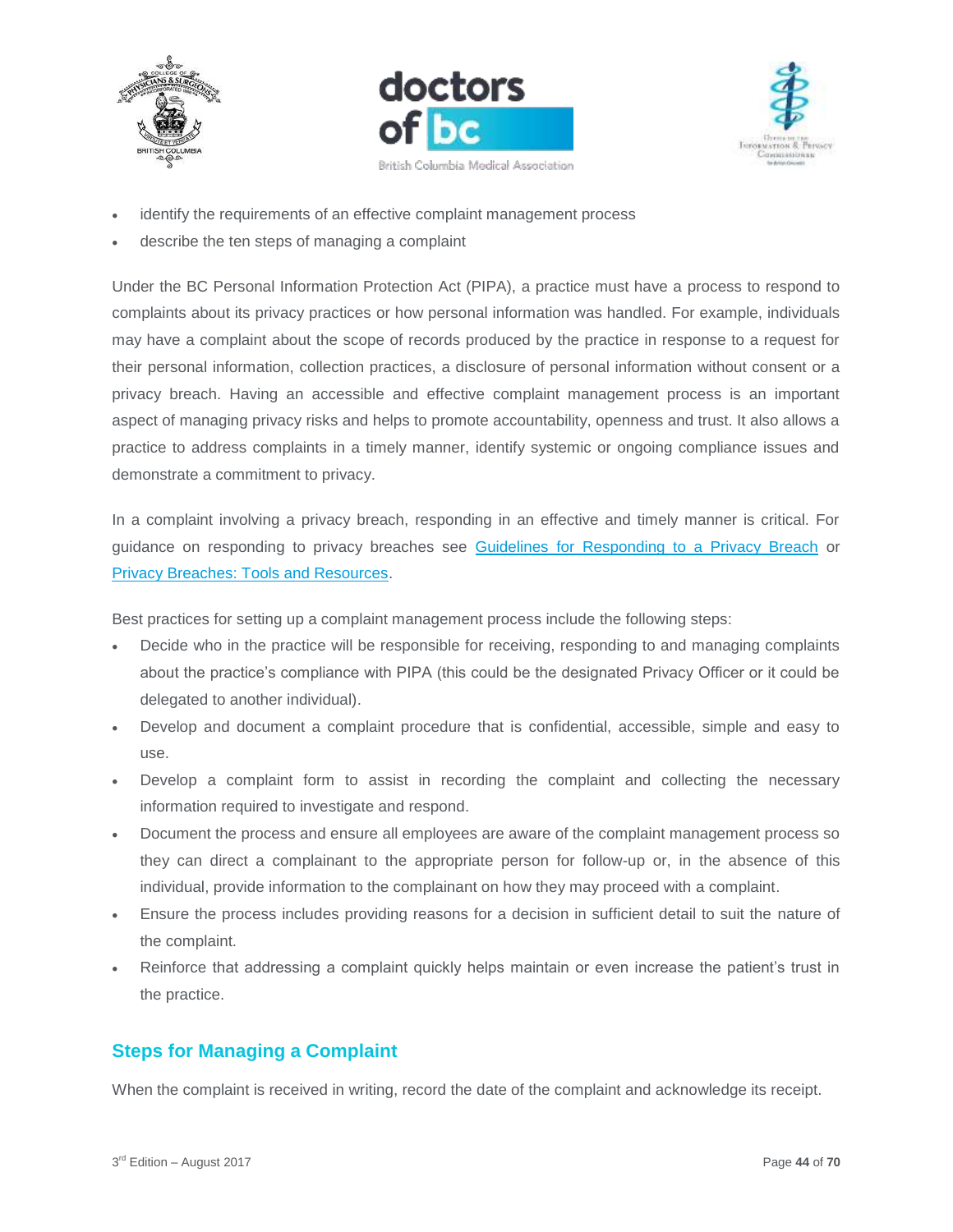





- identify the requirements of an effective complaint management process
- describe the ten steps of managing a complaint

Under the BC Personal Information Protection Act (PIPA), a practice must have a process to respond to complaints about its privacy practices or how personal information was handled. For example, individuals may have a complaint about the scope of records produced by the practice in response to a request for their personal information, collection practices, a disclosure of personal information without consent or a privacy breach. Having an accessible and effective complaint management process is an important aspect of managing privacy risks and helps to promote accountability, openness and trust. It also allows a practice to address complaints in a timely manner, identify systemic or ongoing compliance issues and demonstrate a commitment to privacy.

In a complaint involving a privacy breach, responding in an effective and timely manner is critical. For guidance on responding to privacy breaches see [Guidelines for Responding to a Privacy Breach](https://www.doctorsofbc.ca/sites/default/files/ptv3.0.13_guidelines_for_responding_to_a_privacy_breach.pdf) or [Privacy Breaches: Tools and Resources.](https://www.oipc.bc.ca/guidance-documents/1428)

Best practices for setting up a complaint management process include the following steps:

- Decide who in the practice will be responsible for receiving, responding to and managing complaints about the practice's compliance with PIPA (this could be the designated Privacy Officer or it could be delegated to another individual).
- Develop and document a complaint procedure that is confidential, accessible, simple and easy to use.
- Develop a complaint form to assist in recording the complaint and collecting the necessary information required to investigate and respond.
- Document the process and ensure all employees are aware of the complaint management process so they can direct a complainant to the appropriate person for follow-up or, in the absence of this individual, provide information to the complainant on how they may proceed with a complaint.
- Ensure the process includes providing reasons for a decision in sufficient detail to suit the nature of the complaint.
- Reinforce that addressing a complaint quickly helps maintain or even increase the patient's trust in the practice.

# <span id="page-43-0"></span>**Steps for Managing a Complaint**

When the complaint is received in writing, record the date of the complaint and acknowledge its receipt.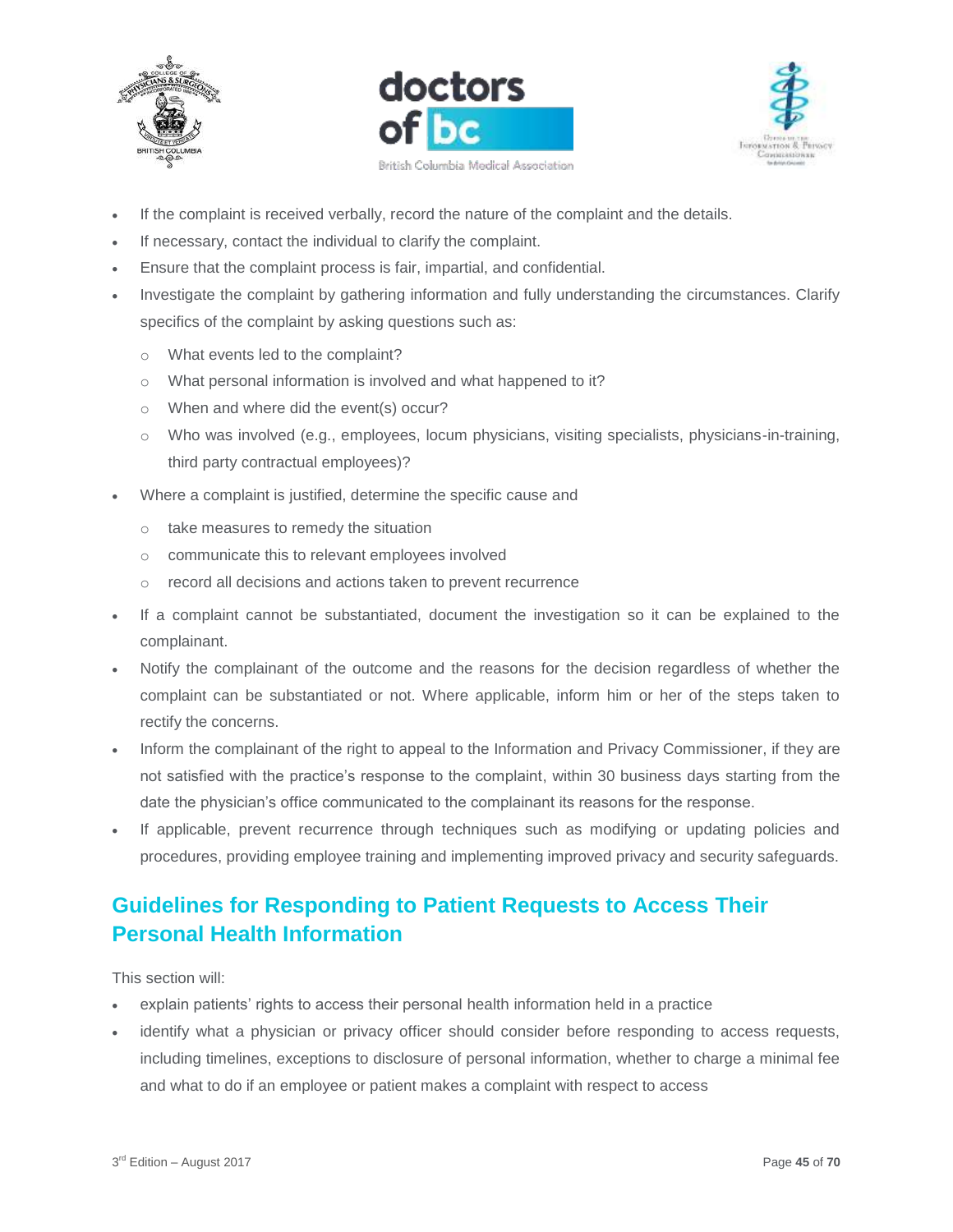





- If the complaint is received verbally, record the nature of the complaint and the details.
- If necessary, contact the individual to clarify the complaint.
- Ensure that the complaint process is fair, impartial, and confidential.
- Investigate the complaint by gathering information and fully understanding the circumstances. Clarify specifics of the complaint by asking questions such as:
	- o What events led to the complaint?
	- o What personal information is involved and what happened to it?
	- o When and where did the event(s) occur?
	- o Who was involved (e.g., employees, locum physicians, visiting specialists, physicians-in-training, third party contractual employees)?
- Where a complaint is justified, determine the specific cause and
	- o take measures to remedy the situation
	- o communicate this to relevant employees involved
	- o record all decisions and actions taken to prevent recurrence
- If a complaint cannot be substantiated, document the investigation so it can be explained to the complainant.
- Notify the complainant of the outcome and the reasons for the decision regardless of whether the complaint can be substantiated or not. Where applicable, inform him or her of the steps taken to rectify the concerns.
- Inform the complainant of the right to appeal to the Information and Privacy Commissioner, if they are not satisfied with the practice's response to the complaint, within 30 business days starting from the date the physician's office communicated to the complainant its reasons for the response.
- If applicable, prevent recurrence through techniques such as modifying or updating policies and procedures, providing employee training and implementing improved privacy and security safeguards.

# <span id="page-44-0"></span>**Guidelines for Responding to Patient Requests to Access Their Personal Health Information**

This section will:

- explain patients' rights to access their personal health information held in a practice
- identify what a physician or privacy officer should consider before responding to access requests, including timelines, exceptions to disclosure of personal information, whether to charge a minimal fee and what to do if an employee or patient makes a complaint with respect to access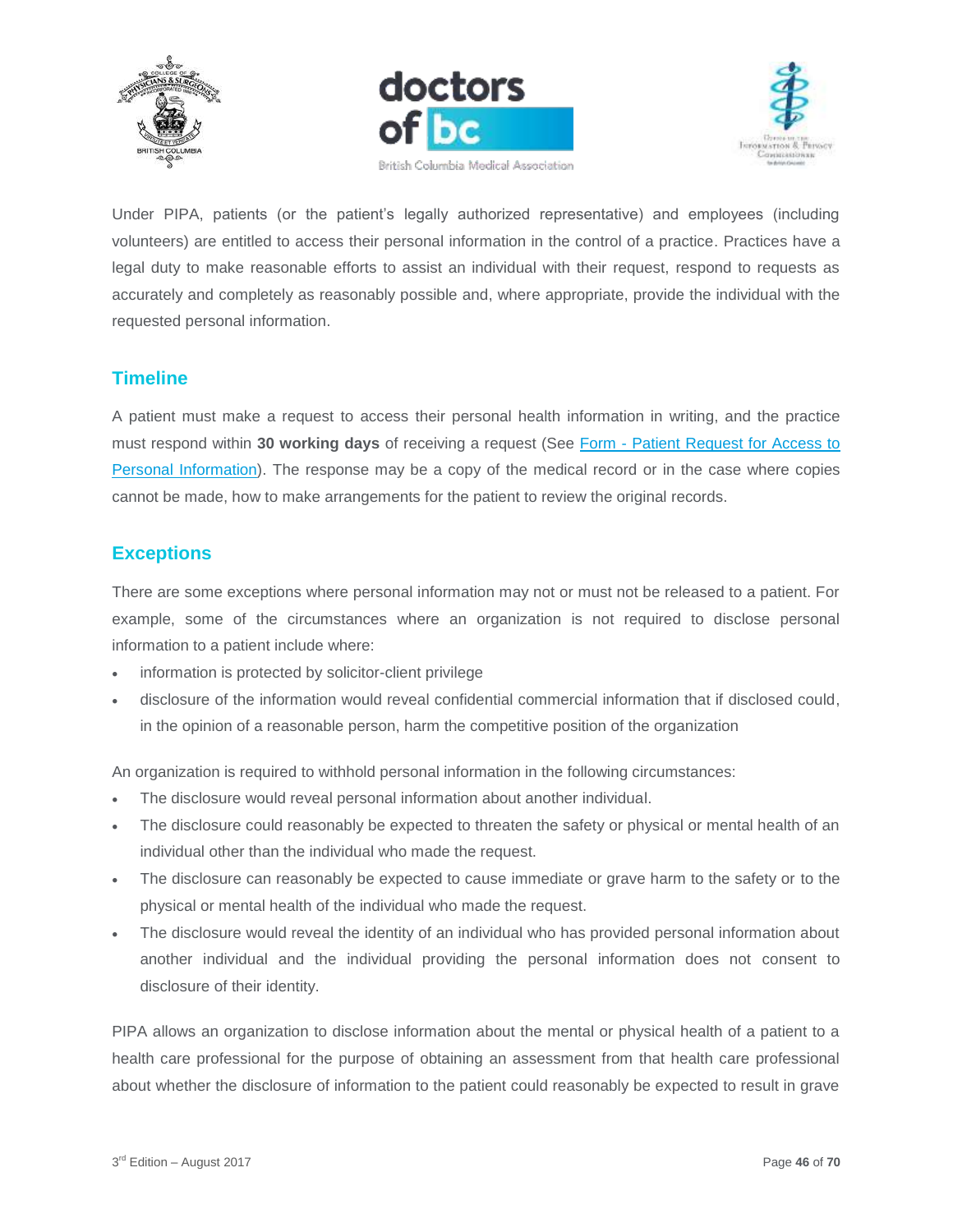





Under PIPA, patients (or the patient's legally authorized representative) and employees (including volunteers) are entitled to access their personal information in the control of a practice. Practices have a legal duty to make reasonable efforts to assist an individual with their request, respond to requests as accurately and completely as reasonably possible and, where appropriate, provide the individual with the requested personal information.

## <span id="page-45-0"></span>**Timeline**

A patient must make a request to access their personal health information in writing, and the practice must respond within **30 working days** of receiving a request (See Form - [Patient Request for Access to](https://www.doctorsofbc.ca/sites/default/files/form_-_patient_request_for_access_to_personal_information.pdf)  [Personal Information\)](https://www.doctorsofbc.ca/sites/default/files/form_-_patient_request_for_access_to_personal_information.pdf). The response may be a copy of the medical record or in the case where copies cannot be made, how to make arrangements for the patient to review the original records.

# <span id="page-45-1"></span>**Exceptions**

There are some exceptions where personal information may not or must not be released to a patient. For example, some of the circumstances where an organization is not required to disclose personal information to a patient include where:

- information is protected by solicitor-client privilege
- disclosure of the information would reveal confidential commercial information that if disclosed could, in the opinion of a reasonable person, harm the competitive position of the organization

An organization is required to withhold personal information in the following circumstances:

- The disclosure would reveal personal information about another individual.
- The disclosure could reasonably be expected to threaten the safety or physical or mental health of an individual other than the individual who made the request.
- The disclosure can reasonably be expected to cause immediate or grave harm to the safety or to the physical or mental health of the individual who made the request.
- The disclosure would reveal the identity of an individual who has provided personal information about another individual and the individual providing the personal information does not consent to disclosure of their identity.

PIPA allows an organization to disclose information about the mental or physical health of a patient to a health care professional for the purpose of obtaining an assessment from that health care professional about whether the disclosure of information to the patient could reasonably be expected to result in grave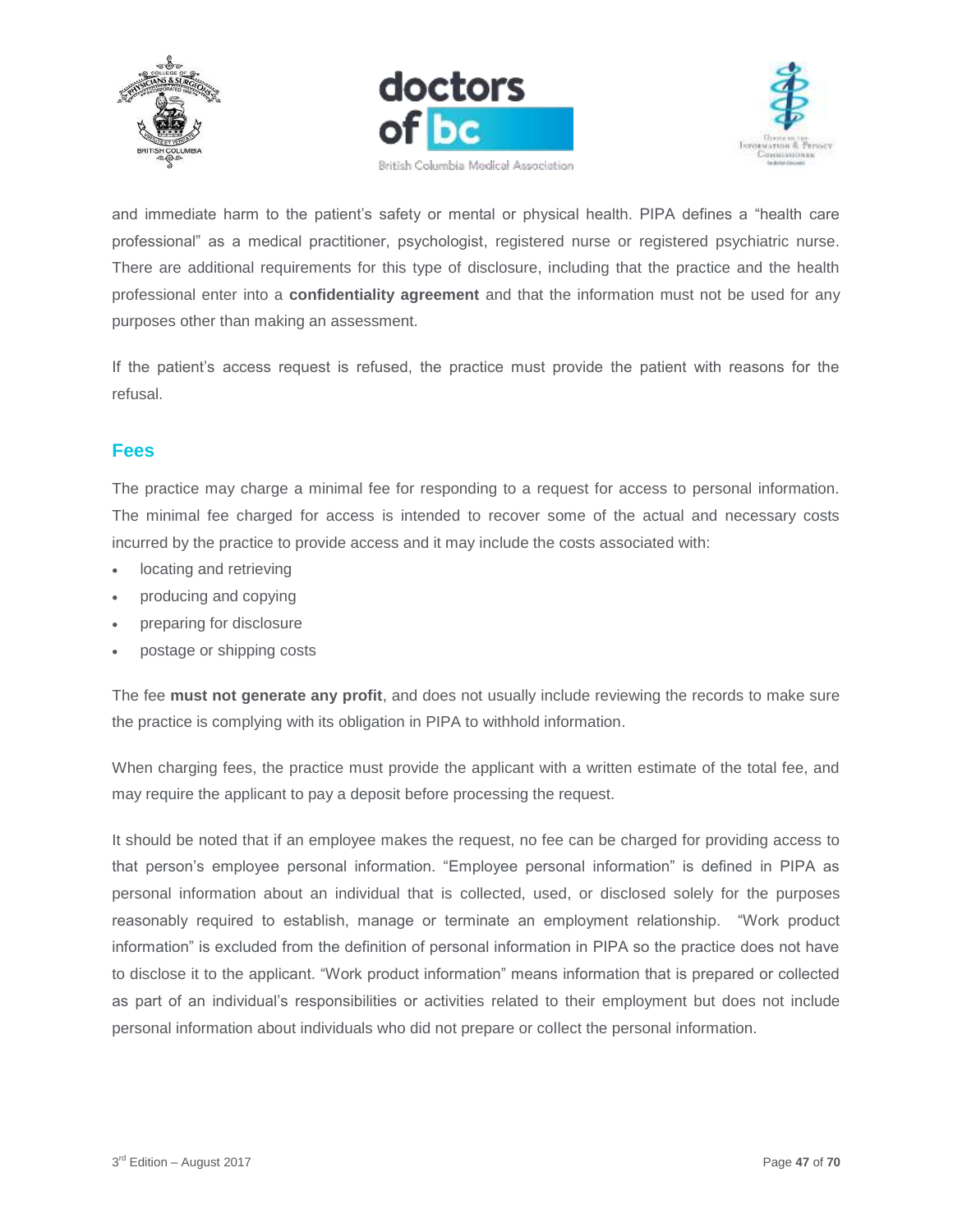





and immediate harm to the patient's safety or mental or physical health. PIPA defines a "health care professional" as a medical practitioner, psychologist, registered nurse or registered psychiatric nurse. There are additional requirements for this type of disclosure, including that the practice and the health professional enter into a **confidentiality agreement** and that the information must not be used for any purposes other than making an assessment.

If the patient's access request is refused, the practice must provide the patient with reasons for the refusal.

## <span id="page-46-0"></span>**Fees**

The practice may charge a minimal fee for responding to a request for access to personal information. The minimal fee charged for access is intended to recover some of the actual and necessary costs incurred by the practice to provide access and it may include the costs associated with:

- locating and retrieving
- producing and copying
- preparing for disclosure
- postage or shipping costs

The fee **must not generate any profit**, and does not usually include reviewing the records to make sure the practice is complying with its obligation in PIPA to withhold information.

When charging fees, the practice must provide the applicant with a written estimate of the total fee, and may require the applicant to pay a deposit before processing the request.

It should be noted that if an employee makes the request, no fee can be charged for providing access to that person's employee personal information. "Employee personal information" is defined in PIPA as personal information about an individual that is collected, used, or disclosed solely for the purposes reasonably required to establish, manage or terminate an employment relationship. "Work product information" is excluded from the definition of personal information in PIPA so the practice does not have to disclose it to the applicant. "Work product information" means information that is prepared or collected as part of an individual's responsibilities or activities related to their employment but does not include personal information about individuals who did not prepare or collect the personal information.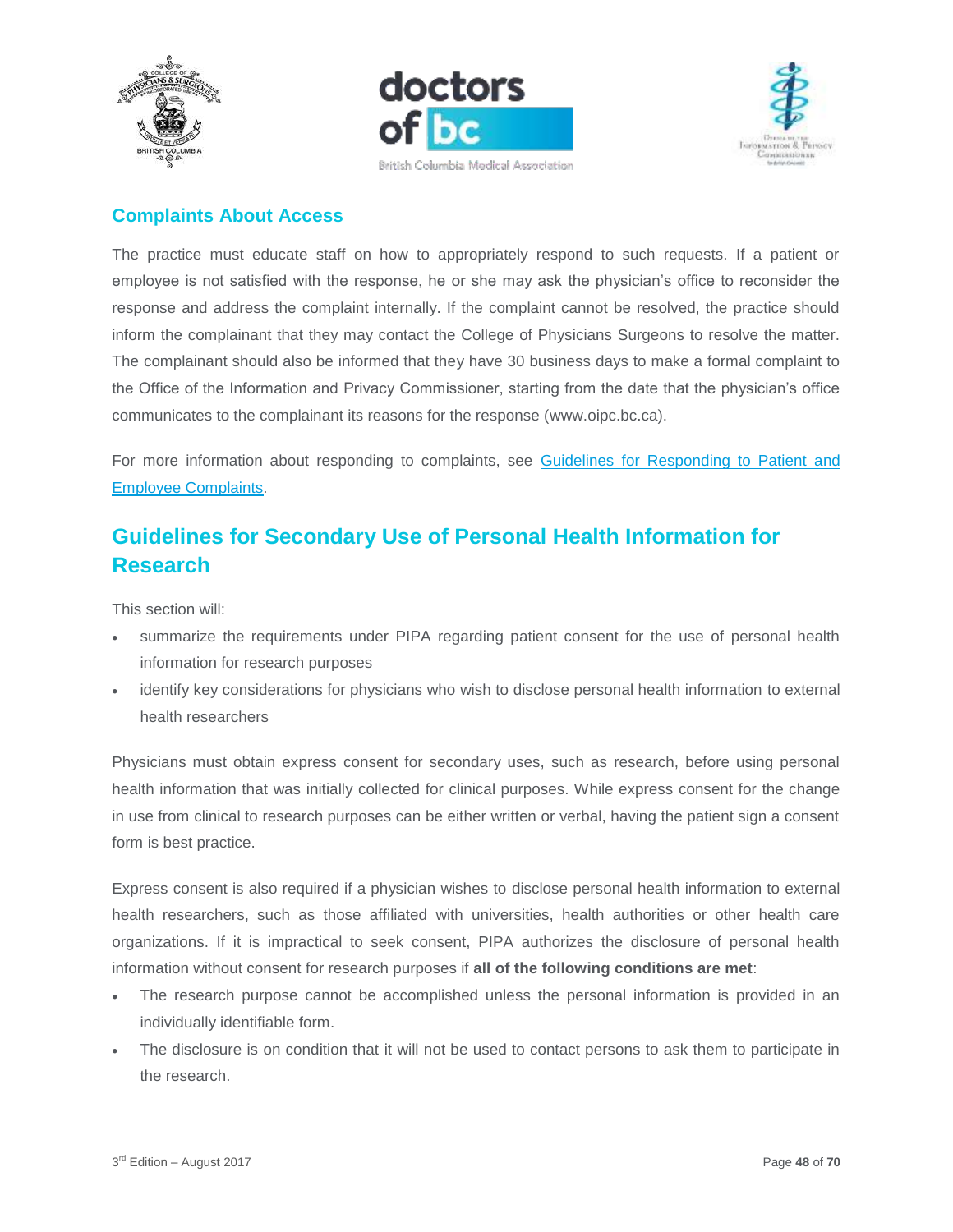





# <span id="page-47-0"></span>**Complaints About Access**

The practice must educate staff on how to appropriately respond to such requests. If a patient or employee is not satisfied with the response, he or she may ask the physician's office to reconsider the response and address the complaint internally. If the complaint cannot be resolved, the practice should inform the complainant that they may contact the College of Physicians Surgeons to resolve the matter. The complainant should also be informed that they have 30 business days to make a formal complaint to the Office of the Information and Privacy Commissioner, starting from the date that the physician's office communicates to the complainant its reasons for the response [\(www.oipc.bc.ca\)](http://www.oipc.bc.ca/).

For more information about responding to complaints, see Guidelines for Responding to Patient and [Employee Complaints.](https://www.doctorsofbc.ca/sites/default/files/ptv3.0.14_guidelines_for_responding_to_patient_and_employee_complaints.pdf)

# <span id="page-47-1"></span>**Guidelines for Secondary Use of Personal Health Information for Research**

This section will:

- summarize the requirements under PIPA regarding patient consent for the use of personal health information for research purposes
- identify key considerations for physicians who wish to disclose personal health information to external health researchers

Physicians must obtain express consent for secondary uses, such as research, before using personal health information that was initially collected for clinical purposes. While express consent for the change in use from clinical to research purposes can be either written or verbal, having the patient sign a consent form is best practice.

Express consent is also required if a physician wishes to disclose personal health information to external health researchers, such as those affiliated with universities, health authorities or other health care organizations. If it is impractical to seek consent, PIPA authorizes the disclosure of personal health information without consent for research purposes if **all of the following conditions are met**:

- The research purpose cannot be accomplished unless the personal information is provided in an individually identifiable form.
- The disclosure is on condition that it will not be used to contact persons to ask them to participate in the research.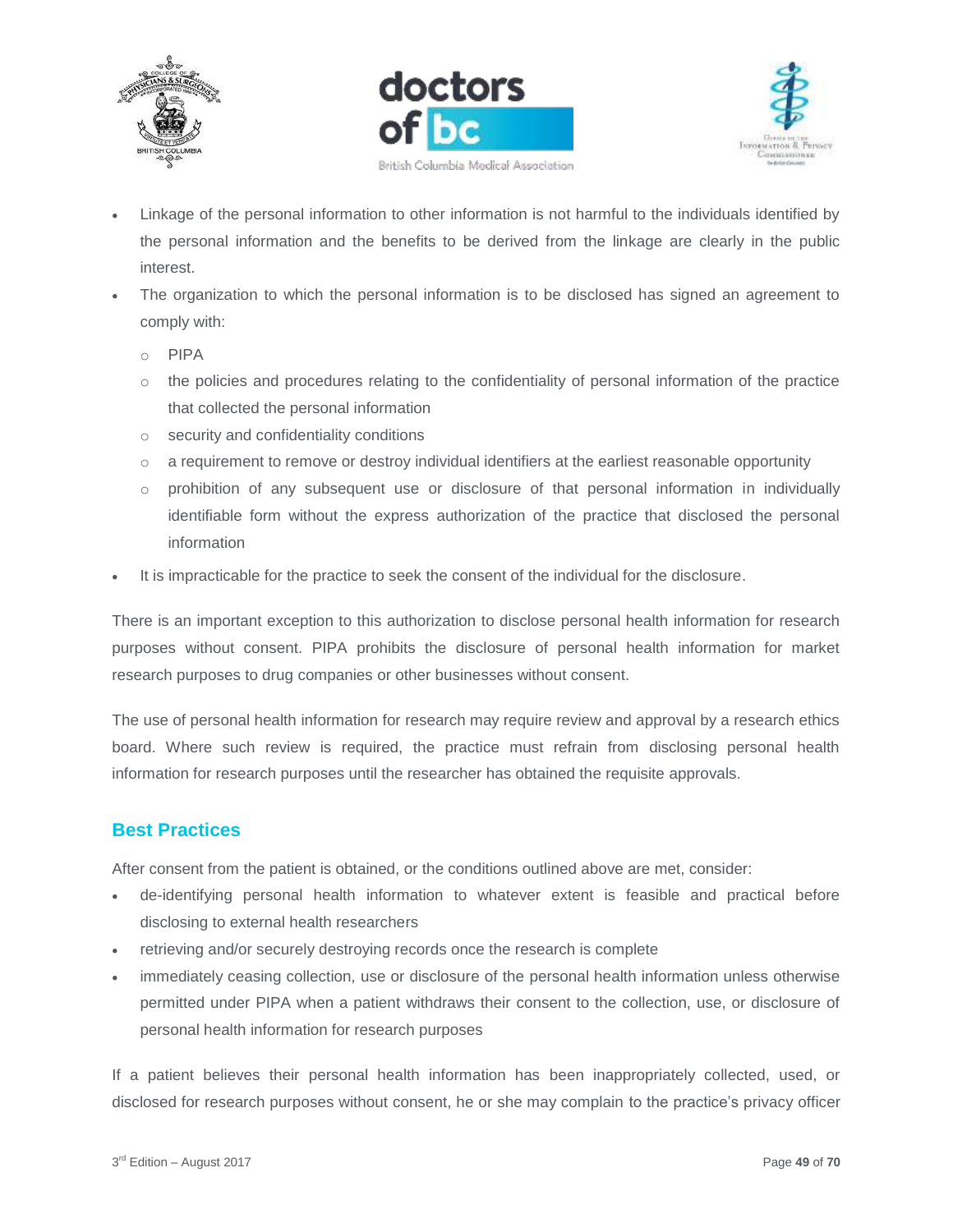





- Linkage of the personal information to other information is not harmful to the individuals identified by the personal information and the benefits to be derived from the linkage are clearly in the public interest.
- The organization to which the personal information is to be disclosed has signed an agreement to comply with:
	- o PIPA
	- $\circ$  the policies and procedures relating to the confidentiality of personal information of the practice that collected the personal information
	- o security and confidentiality conditions
	- o a requirement to remove or destroy individual identifiers at the earliest reasonable opportunity
	- $\circ$  prohibition of any subsequent use or disclosure of that personal information in individually identifiable form without the express authorization of the practice that disclosed the personal information
- It is impracticable for the practice to seek the consent of the individual for the disclosure.

There is an important exception to this authorization to disclose personal health information for research purposes without consent. PIPA prohibits the disclosure of personal health information for market research purposes to drug companies or other businesses without consent.

The use of personal health information for research may require review and approval by a research ethics board. Where such review is required, the practice must refrain from disclosing personal health information for research purposes until the researcher has obtained the requisite approvals.

# <span id="page-48-0"></span>**Best Practices**

After consent from the patient is obtained, or the conditions outlined above are met, consider:

- de-identifying personal health information to whatever extent is feasible and practical before disclosing to external health researchers
- retrieving and/or securely destroying records once the research is complete
- immediately ceasing collection, use or disclosure of the personal health information unless otherwise permitted under PIPA when a patient withdraws their consent to the collection, use, or disclosure of personal health information for research purposes

If a patient believes their personal health information has been inappropriately collected, used, or disclosed for research purposes without consent, he or she may complain to the practice's privacy officer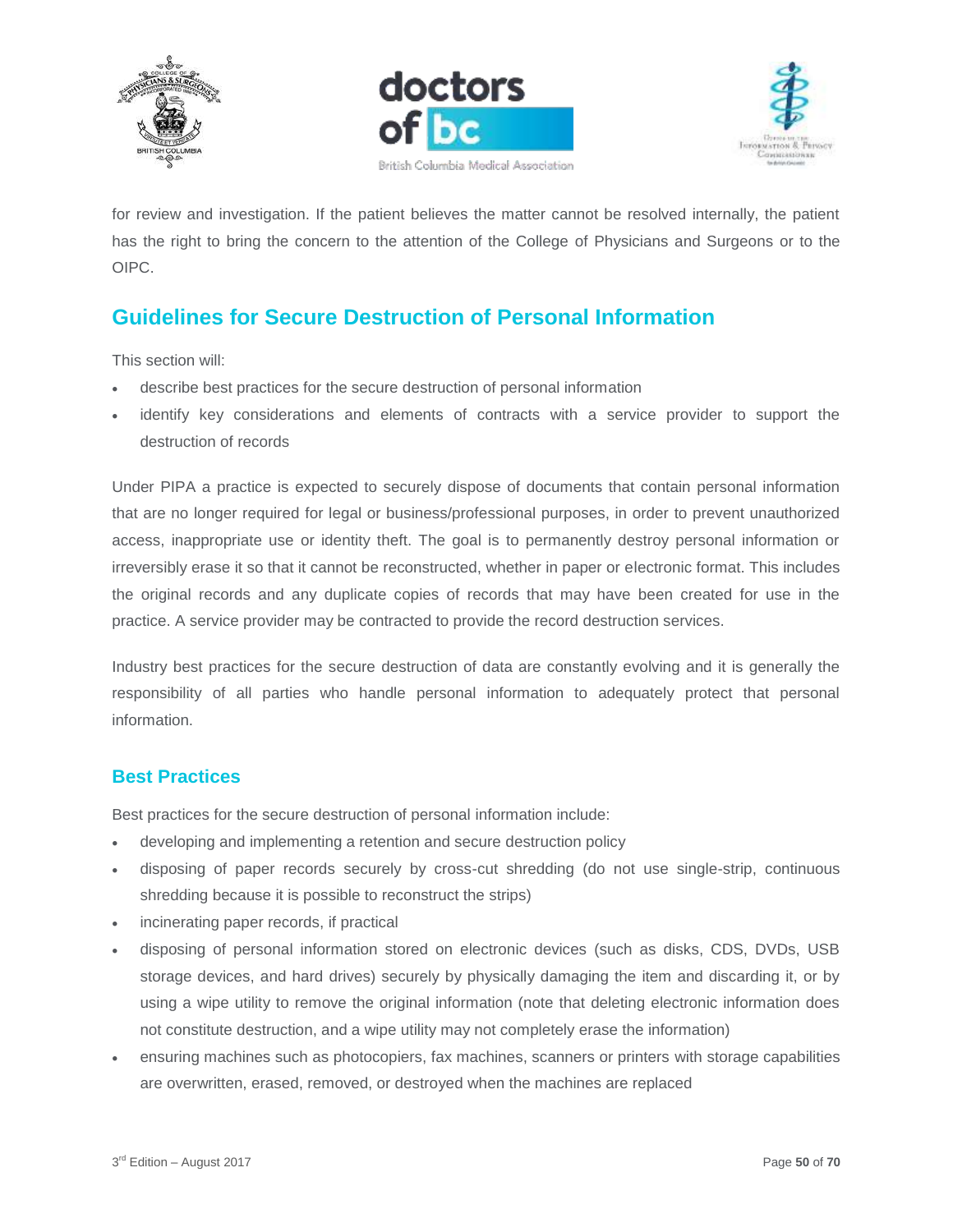





for review and investigation. If the patient believes the matter cannot be resolved internally, the patient has the right to bring the concern to the attention of the College of Physicians and Surgeons or to the OIPC.

# <span id="page-49-0"></span>**Guidelines for Secure Destruction of Personal Information**

This section will:

- describe best practices for the secure destruction of personal information
- identify key considerations and elements of contracts with a service provider to support the destruction of records

Under PIPA a practice is expected to securely dispose of documents that contain personal information that are no longer required for legal or business/professional purposes, in order to prevent unauthorized access, inappropriate use or identity theft. The goal is to permanently destroy personal information or irreversibly erase it so that it cannot be reconstructed, whether in paper or electronic format. This includes the original records and any duplicate copies of records that may have been created for use in the practice. A service provider may be contracted to provide the record destruction services.

Industry best practices for the secure destruction of data are constantly evolving and it is generally the responsibility of all parties who handle personal information to adequately protect that personal information.

#### <span id="page-49-1"></span>**Best Practices**

Best practices for the secure destruction of personal information include:

- developing and implementing a retention and secure destruction policy
- disposing of paper records securely by cross-cut shredding (do not use single-strip, continuous shredding because it is possible to reconstruct the strips)
- incinerating paper records, if practical
- disposing of personal information stored on electronic devices (such as disks, CDS, DVDs, USB storage devices, and hard drives) securely by physically damaging the item and discarding it, or by using a wipe utility to remove the original information (note that deleting electronic information does not constitute destruction, and a wipe utility may not completely erase the information)
- ensuring machines such as photocopiers, fax machines, scanners or printers with storage capabilities are overwritten, erased, removed, or destroyed when the machines are replaced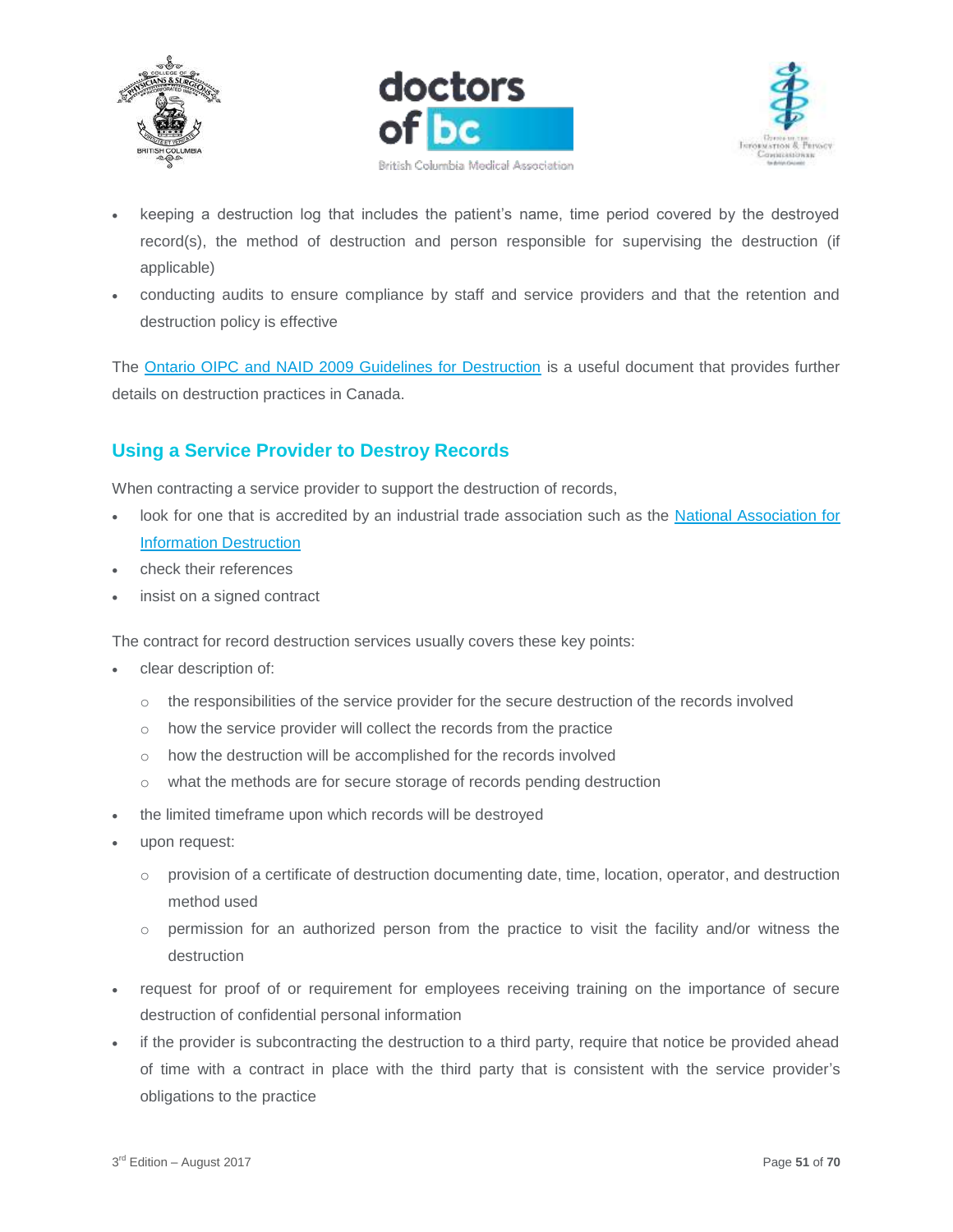





- keeping a destruction log that includes the patient's name, time period covered by the destroyed record(s), the method of destruction and person responsible for supervising the destruction (if applicable)
- conducting audits to ensure compliance by staff and service providers and that the retention and destruction policy is effective

The [Ontario OIPC and NAID 2009 Guidelines for Destruction](https://www.ipc.on.ca/wp-content/uploads/Resources/naid.pdf) is a useful document that provides further details on destruction practices in Canada.

# <span id="page-50-0"></span>**Using a Service Provider to Destroy Records**

When contracting a service provider to support the destruction of records,

- look for one that is accredited by an industrial trade association such as the [National Association for](http://www.naidonline.org/)  [Information Destruction](http://www.naidonline.org/)
- check their references
- insist on a signed contract

The contract for record destruction services usually covers these key points:

- clear description of:
	- o the responsibilities of the service provider for the secure destruction of the records involved
	- o how the service provider will collect the records from the practice
	- o how the destruction will be accomplished for the records involved
	- o what the methods are for secure storage of records pending destruction
- the limited timeframe upon which records will be destroyed
- upon request:
	- $\circ$  provision of a certificate of destruction documenting date, time, location, operator, and destruction method used
	- $\circ$  permission for an authorized person from the practice to visit the facility and/or witness the destruction
- request for proof of or requirement for employees receiving training on the importance of secure destruction of confidential personal information
- if the provider is subcontracting the destruction to a third party, require that notice be provided ahead of time with a contract in place with the third party that is consistent with the service provider's obligations to the practice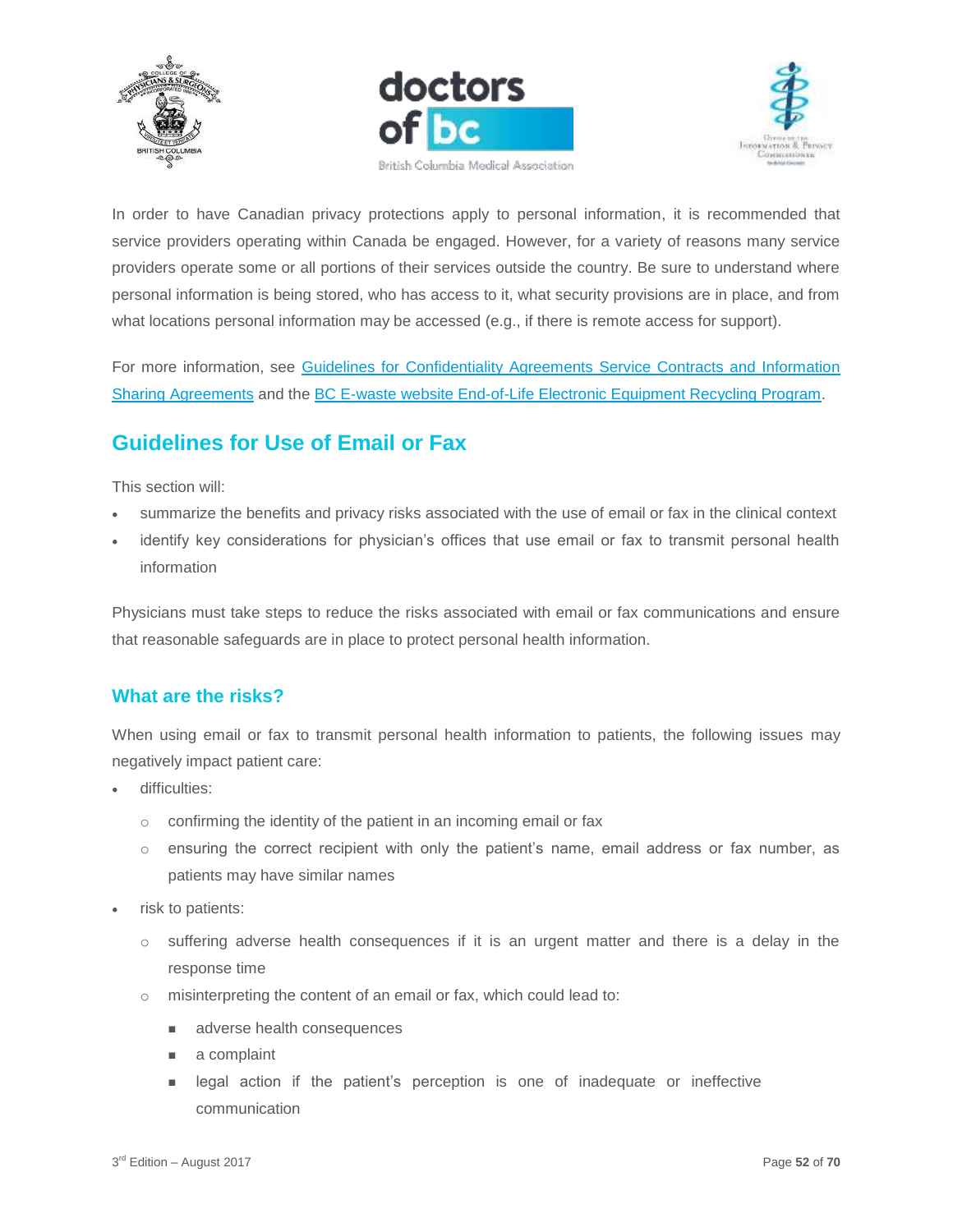





In order to have Canadian privacy protections apply to personal information, it is recommended that service providers operating within Canada be engaged. However, for a variety of reasons many service providers operate some or all portions of their services outside the country. Be sure to understand where personal information is being stored, who has access to it, what security provisions are in place, and from what locations personal information may be accessed (e.g., if there is remote access for support).

For more information, see [Guidelines for Confidentiality Agreements Service Contracts and Information](https://www.doctorsofbc.ca/sites/default/files/ptv3.0.05_guidelines_for_confidentiality_agreements_service_contracts_and_information_sharing_agreements.pdf)  [Sharing Agreements](https://www.doctorsofbc.ca/sites/default/files/ptv3.0.05_guidelines_for_confidentiality_agreements_service_contracts_and_information_sharing_agreements.pdf) and the [BC E-waste website End-of-Life Electronic Equipment Recycling Program.](https://www.rcbc.ca/resources/additional-resources-links/e-waste)

# <span id="page-51-0"></span>**Guidelines for Use of Email or Fax**

This section will:

- summarize the benefits and privacy risks associated with the use of email or fax in the clinical context
- identify key considerations for physician's offices that use email or fax to transmit personal health information

Physicians must take steps to reduce the risks associated with email or fax communications and ensure that reasonable safeguards are in place to protect personal health information.

## <span id="page-51-1"></span>**What are the risks?**

When using email or fax to transmit personal health information to patients, the following issues may negatively impact patient care:

- difficulties:
	- o confirming the identity of the patient in an incoming email or fax
	- $\circ$  ensuring the correct recipient with only the patient's name, email address or fax number, as patients may have similar names
- risk to patients:
	- $\circ$  suffering adverse health consequences if it is an urgent matter and there is a delay in the response time
	- o misinterpreting the content of an email or fax, which could lead to:
		- adverse health consequences
		- a complaint
		- **If** legal action if the patient's perception is one of inadequate or ineffective communication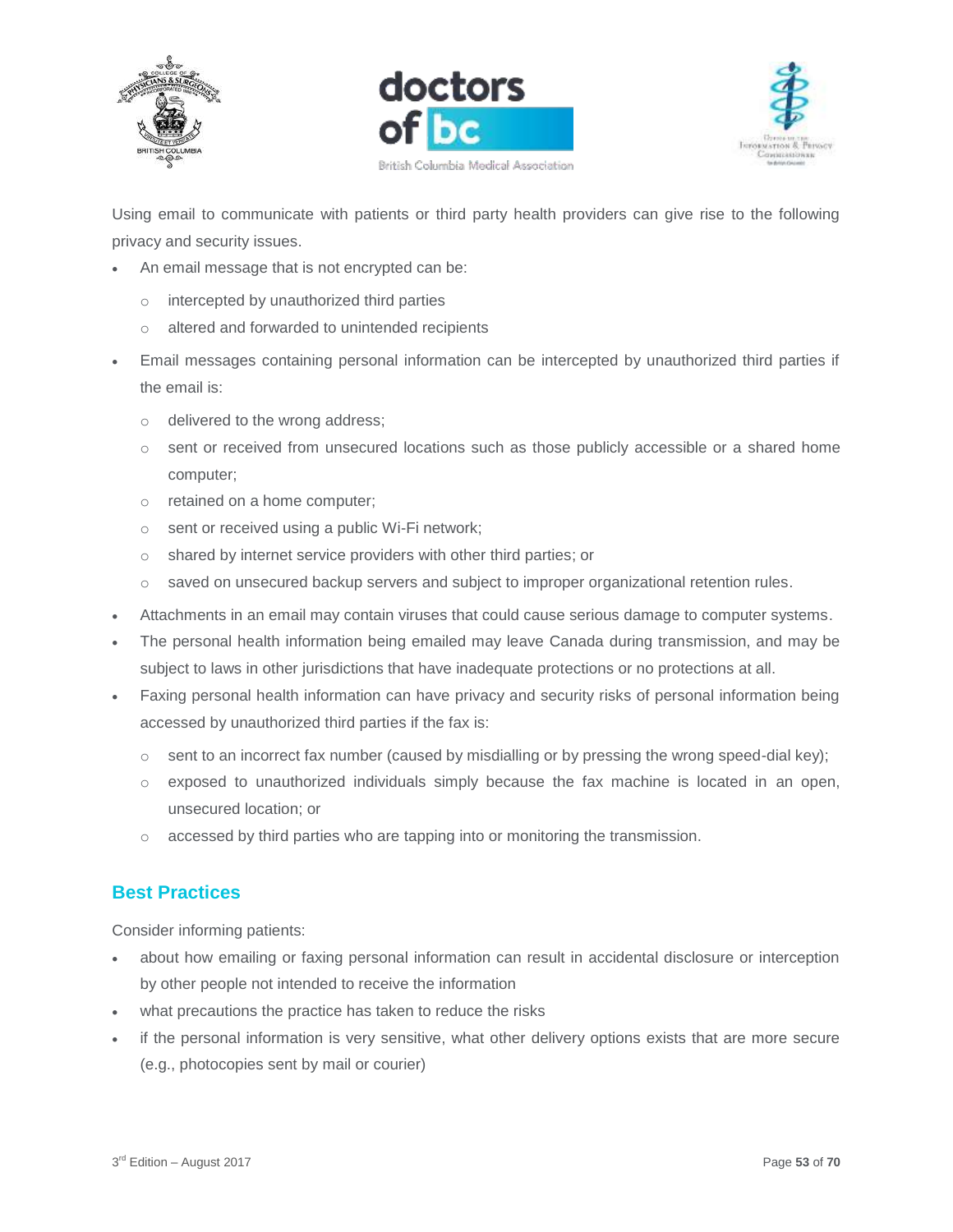





Using email to communicate with patients or third party health providers can give rise to the following privacy and security issues.

- An email message that is not encrypted can be:
	- o intercepted by unauthorized third parties
	- o altered and forwarded to unintended recipients
- Email messages containing personal information can be intercepted by unauthorized third parties if the email is:
	- o delivered to the wrong address;
	- $\circ$  sent or received from unsecured locations such as those publicly accessible or a shared home computer;
	- o retained on a home computer;
	- o sent or received using a public Wi-Fi network;
	- o shared by internet service providers with other third parties; or
	- o saved on unsecured backup servers and subject to improper organizational retention rules.
- Attachments in an email may contain viruses that could cause serious damage to computer systems.
- The personal health information being emailed may leave Canada during transmission, and may be subject to laws in other jurisdictions that have inadequate protections or no protections at all.
- Faxing personal health information can have privacy and security risks of personal information being accessed by unauthorized third parties if the fax is:
	- $\circ$  sent to an incorrect fax number (caused by misdialling or by pressing the wrong speed-dial key);
	- o exposed to unauthorized individuals simply because the fax machine is located in an open, unsecured location; or
	- o accessed by third parties who are tapping into or monitoring the transmission.

## <span id="page-52-0"></span>**Best Practices**

Consider informing patients:

- about how emailing or faxing personal information can result in accidental disclosure or interception by other people not intended to receive the information
- what precautions the practice has taken to reduce the risks
- if the personal information is very sensitive, what other delivery options exists that are more secure (e.g., photocopies sent by mail or courier)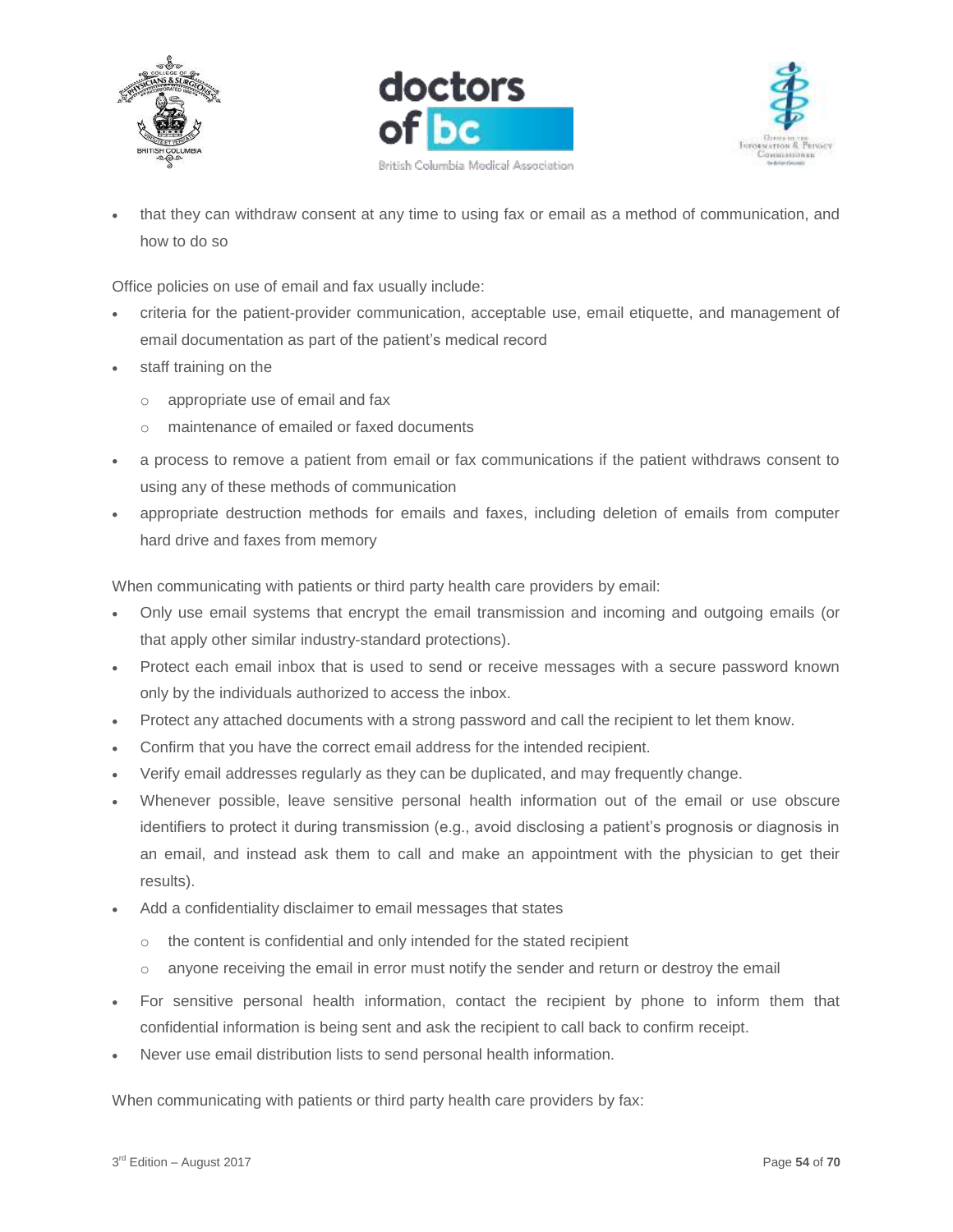





 that they can withdraw consent at any time to using fax or email as a method of communication, and how to do so

Office policies on use of email and fax usually include:

- criteria for the patient-provider communication, acceptable use, email etiquette, and management of email documentation as part of the patient's medical record
- staff training on the
	- o appropriate use of email and fax
	- o maintenance of emailed or faxed documents
- a process to remove a patient from email or fax communications if the patient withdraws consent to using any of these methods of communication
- appropriate destruction methods for emails and faxes, including deletion of emails from computer hard drive and faxes from memory

When communicating with patients or third party health care providers by email:

- Only use email systems that encrypt the email transmission and incoming and outgoing emails (or that apply other similar industry-standard protections).
- Protect each email inbox that is used to send or receive messages with a secure password known only by the individuals authorized to access the inbox.
- Protect any attached documents with a strong password and call the recipient to let them know.
- Confirm that you have the correct email address for the intended recipient.
- Verify email addresses regularly as they can be duplicated, and may frequently change.
- Whenever possible, leave sensitive personal health information out of the email or use obscure identifiers to protect it during transmission (e.g., avoid disclosing a patient's prognosis or diagnosis in an email, and instead ask them to call and make an appointment with the physician to get their results).
- Add a confidentiality disclaimer to email messages that states
	- o the content is confidential and only intended for the stated recipient
	- $\circ$  anyone receiving the email in error must notify the sender and return or destroy the email
- For sensitive personal health information, contact the recipient by phone to inform them that confidential information is being sent and ask the recipient to call back to confirm receipt.
- Never use email distribution lists to send personal health information.

When communicating with patients or third party health care providers by fax: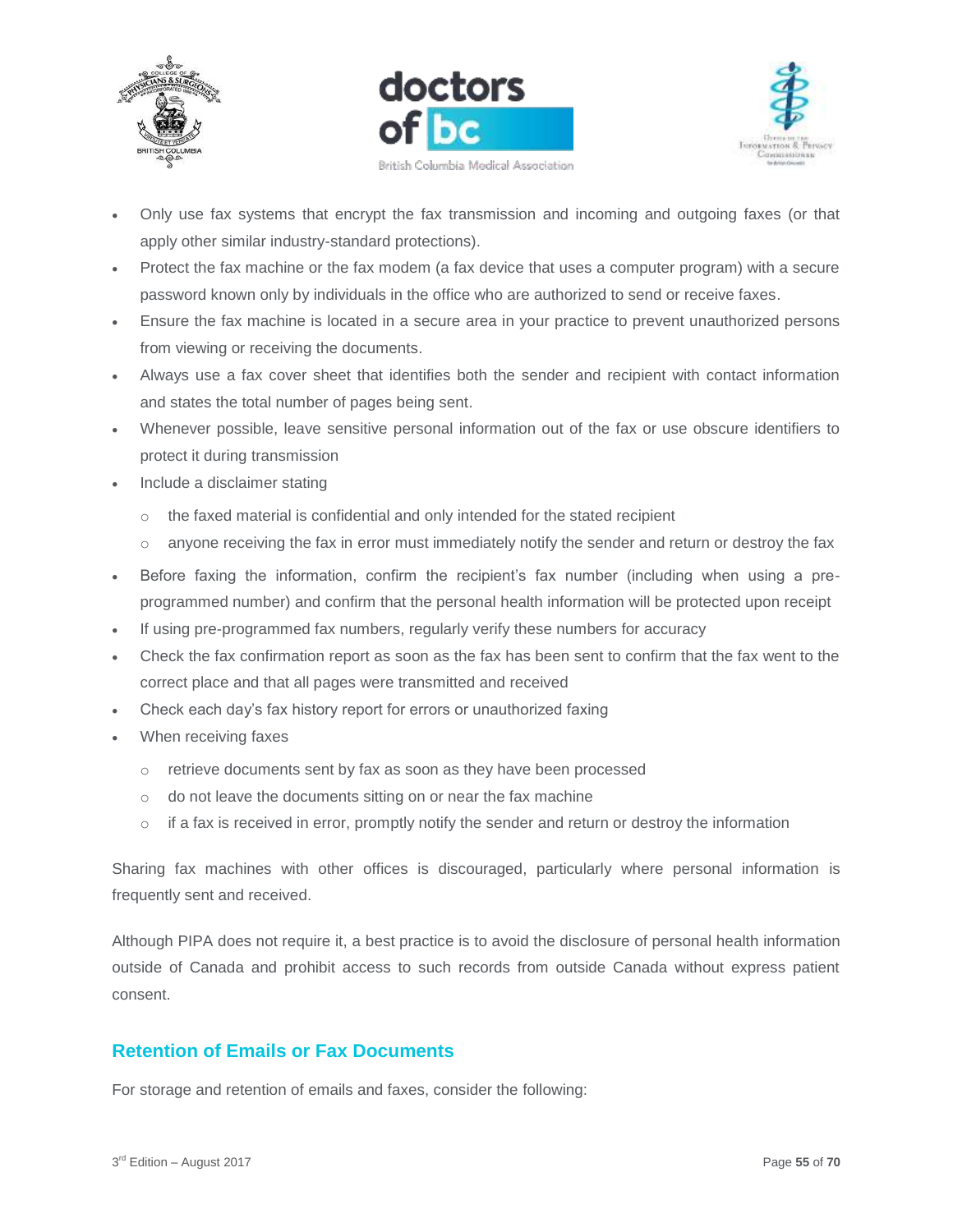





- Only use fax systems that encrypt the fax transmission and incoming and outgoing faxes (or that apply other similar industry-standard protections).
- Protect the fax machine or the fax modem (a fax device that uses a computer program) with a secure password known only by individuals in the office who are authorized to send or receive faxes.
- Ensure the fax machine is located in a secure area in your practice to prevent unauthorized persons from viewing or receiving the documents.
- Always use a fax cover sheet that identifies both the sender and recipient with contact information and states the total number of pages being sent.
- Whenever possible, leave sensitive personal information out of the fax or use obscure identifiers to protect it during transmission
- Include a disclaimer stating
	- o the faxed material is confidential and only intended for the stated recipient
	- $\circ$  anyone receiving the fax in error must immediately notify the sender and return or destroy the fax
- Before faxing the information, confirm the recipient's fax number (including when using a preprogrammed number) and confirm that the personal health information will be protected upon receipt
- If using pre-programmed fax numbers, regularly verify these numbers for accuracy
- Check the fax confirmation report as soon as the fax has been sent to confirm that the fax went to the correct place and that all pages were transmitted and received
- Check each day's fax history report for errors or unauthorized faxing
- When receiving faxes
	- o retrieve documents sent by fax as soon as they have been processed
	- o do not leave the documents sitting on or near the fax machine
	- $\circ$  if a fax is received in error, promptly notify the sender and return or destroy the information

Sharing fax machines with other offices is discouraged, particularly where personal information is frequently sent and received.

Although PIPA does not require it, a best practice is to avoid the disclosure of personal health information outside of Canada and prohibit access to such records from outside Canada without express patient consent.

## <span id="page-54-0"></span>**Retention of Emails or Fax Documents**

For storage and retention of emails and faxes, consider the following: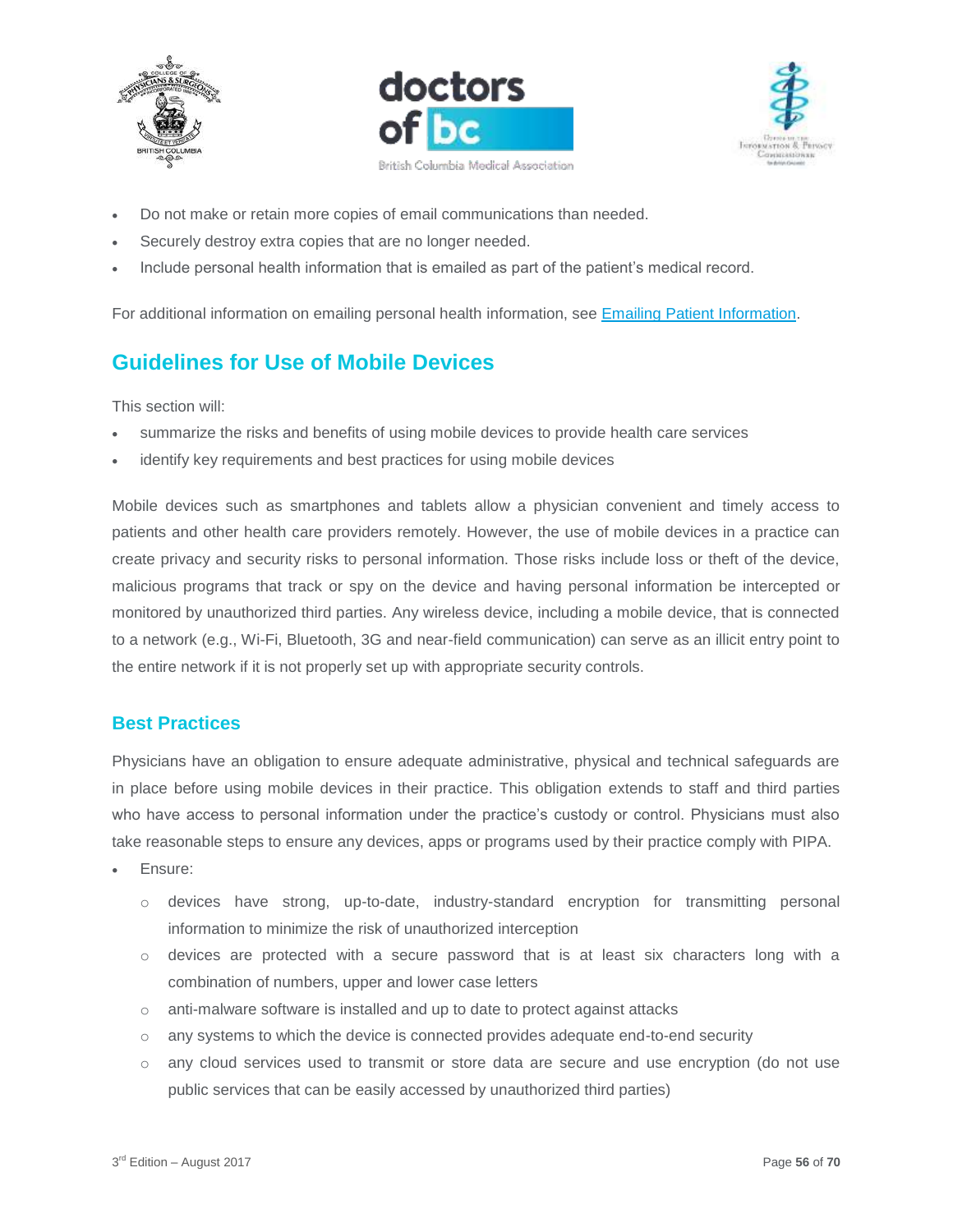





- Do not make or retain more copies of email communications than needed.
- Securely destroy extra copies that are no longer needed.
- Include personal health information that is emailed as part of the patient's medical record.

For additional information on emailing personal health information, see [Emailing Patient Information.](https://www.cpsbc.ca/files/pdf/PSG-Emailing-Patient-Information.pdf)

# <span id="page-55-0"></span>**Guidelines for Use of Mobile Devices**

This section will:

- summarize the risks and benefits of using mobile devices to provide health care services
- identify key requirements and best practices for using mobile devices

Mobile devices such as smartphones and tablets allow a physician convenient and timely access to patients and other health care providers remotely. However, the use of mobile devices in a practice can create privacy and security risks to personal information. Those risks include loss or theft of the device, malicious programs that track or spy on the device and having personal information be intercepted or monitored by unauthorized third parties. Any wireless device, including a mobile device, that is connected to a network (e.g., Wi-Fi, Bluetooth, 3G and near-field communication) can serve as an illicit entry point to the entire network if it is not properly set up with appropriate security controls.

#### <span id="page-55-1"></span>**Best Practices**

Physicians have an obligation to ensure adequate administrative, physical and technical safeguards are in place before using mobile devices in their practice. This obligation extends to staff and third parties who have access to personal information under the practice's custody or control. Physicians must also take reasonable steps to ensure any devices, apps or programs used by their practice comply with PIPA.

- Ensure:
	- o devices have strong, up-to-date, industry-standard encryption for transmitting personal information to minimize the risk of unauthorized interception
	- o devices are protected with a secure password that is at least six characters long with a combination of numbers, upper and lower case letters
	- o anti-malware software is installed and up to date to protect against attacks
	- $\circ$  any systems to which the device is connected provides adequate end-to-end security
	- o any cloud services used to transmit or store data are secure and use encryption (do not use public services that can be easily accessed by unauthorized third parties)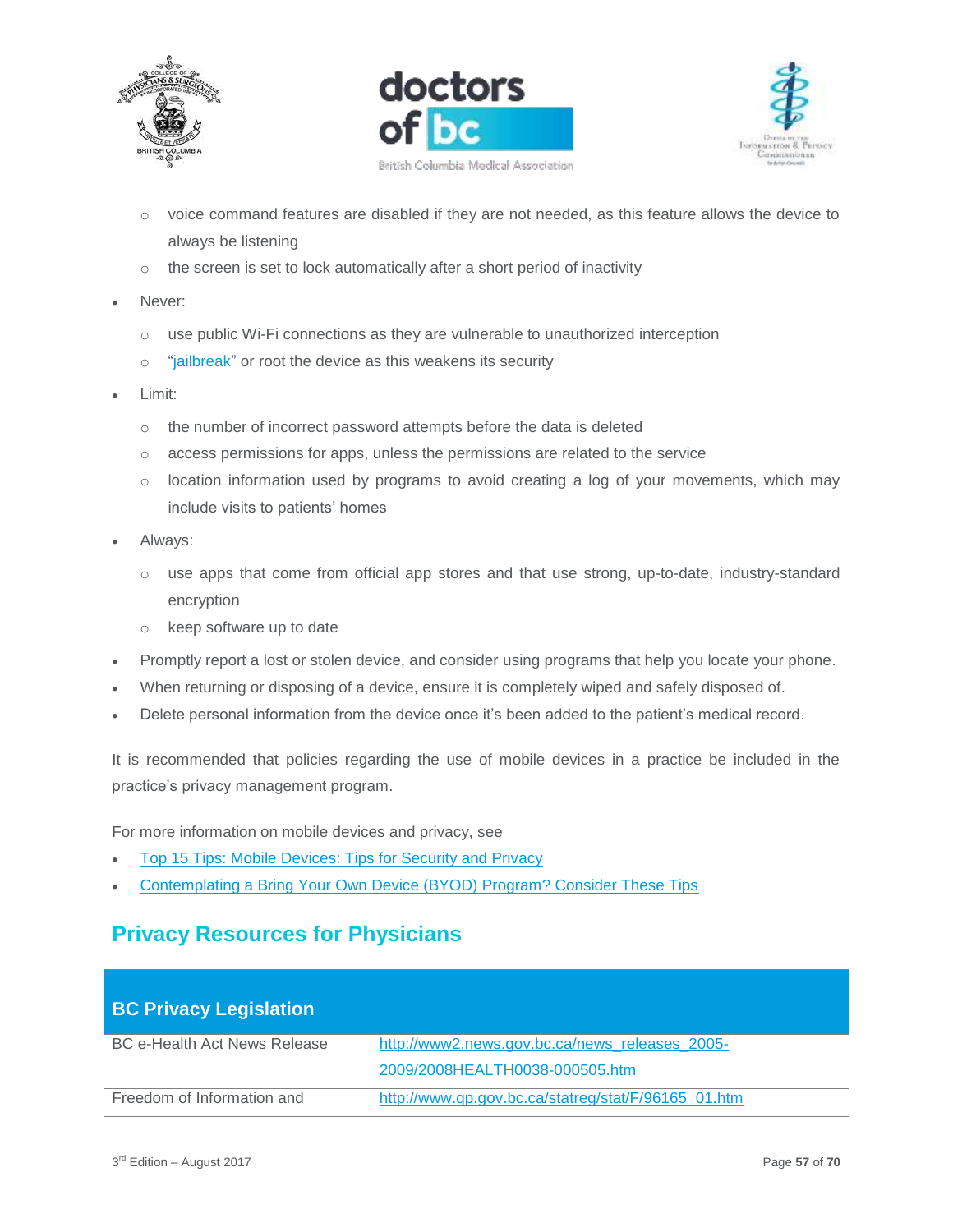





- o voice command features are disabled if they are not needed, as this feature allows the device to always be listening
- $\circ$  the screen is set to lock automatically after a short period of inactivity
- Never:
	- o use public Wi-Fi connections as they are vulnerable to unauthorized interception
	- o "jailbreak" or root the device as this weakens its security
- Limit:
	- o the number of incorrect password attempts before the data is deleted
	- o access permissions for apps, unless the permissions are related to the service
	- $\circ$  location information used by programs to avoid creating a log of your movements, which may include visits to patients' homes
- Always:
	- o use apps that come from official app stores and that use strong, up-to-date, industry-standard encryption
	- o keep software up to date
- Promptly report a lost or stolen device, and consider using programs that help you locate your phone.
- When returning or disposing of a device, ensure it is completely wiped and safely disposed of.
- Delete personal information from the device once it's been added to the patient's medical record.

It is recommended that policies regarding the use of mobile devices in a practice be included in the practice's privacy management program.

For more information on mobile devices and privacy, see

- [Top 15 Tips: Mobile Devices: Tips for Security and Privacy](https://www.oipc.bc.ca/guidance-documents/1994)
- [Contemplating a Bring Your Own Device \(BYOD\) Program? Consider These Tips](https://www.priv.gc.ca/en/privacy-topics/technology-and-privacy/mobile-devices-and-apps/tips_byod/)

# <span id="page-56-0"></span>**Privacy Resources for Physicians**

# <span id="page-56-1"></span>**BC Privacy Legislation**

| BC e-Health Act News Release | http://www2.news.gov.bc.ca/news_releases_2005-      |
|------------------------------|-----------------------------------------------------|
|                              | 2009/2008HEALTH0038-000505.htm                      |
| Freedom of Information and   | http://www.qp.gov.bc.ca/statreg/stat/F/96165_01.htm |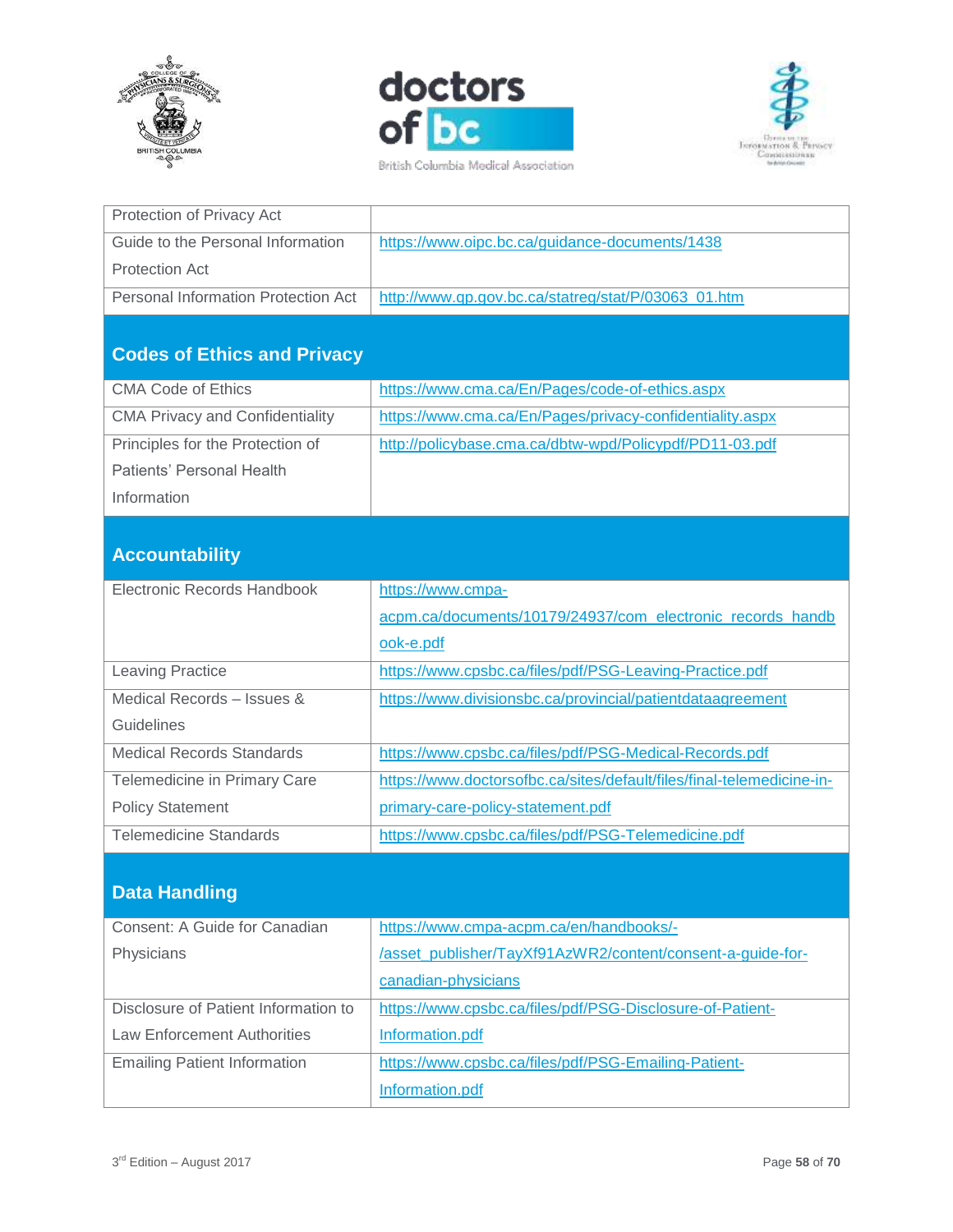



British Columbia Medical Association



| Protection of Privacy Act                  |                                                     |
|--------------------------------------------|-----------------------------------------------------|
| Guide to the Personal Information          | https://www.oipc.bc.ca/guidance-documents/1438      |
| <b>Protection Act</b>                      |                                                     |
| <b>Personal Information Protection Act</b> | http://www.qp.gov.bc.ca/statreg/stat/P/03063 01.htm |

# <span id="page-57-0"></span>**Codes of Ethics and Privacy**

| https://www.cma.ca/En/Pages/code-of-ethics.aspx          |
|----------------------------------------------------------|
|                                                          |
| https://www.cma.ca/En/Pages/privacy-confidentiality.aspx |
|                                                          |
| http://policybase.cma.ca/dbtw-wpd/Policypdf/PD11-03.pdf  |
|                                                          |
|                                                          |
|                                                          |
|                                                          |
|                                                          |
|                                                          |

# <span id="page-57-1"></span>**Accountability**

| Electronic Records Handbook      | https://www.cmpa-                                                     |
|----------------------------------|-----------------------------------------------------------------------|
|                                  | acpm.ca/documents/10179/24937/com_electronic_records_handb            |
|                                  | ook-e.pdf                                                             |
| <b>Leaving Practice</b>          | https://www.cpsbc.ca/files/pdf/PSG-Leaving-Practice.pdf               |
| Medical Records - Issues &       | https://www.divisionsbc.ca/provincial/patientdataagreement            |
| Guidelines                       |                                                                       |
| <b>Medical Records Standards</b> | https://www.cpsbc.ca/files/pdf/PSG-Medical-Records.pdf                |
| Telemedicine in Primary Care     | https://www.doctorsofbc.ca/sites/default/files/final-telemedicine-in- |
| <b>Policy Statement</b>          | primary-care-policy-statement.pdf                                     |
| <b>Telemedicine Standards</b>    | https://www.cpsbc.ca/files/pdf/PSG-Telemedicine.pdf                   |

# <span id="page-57-2"></span>**Data Handling**

| Consent: A Guide for Canadian        | https://www.cmpa-acpm.ca/en/handbooks/-                    |
|--------------------------------------|------------------------------------------------------------|
|                                      |                                                            |
| Physicians                           | /asset_publisher/TayXf91AzWR2/content/consent-a-guide-for- |
|                                      | canadian-physicians                                        |
| Disclosure of Patient Information to | https://www.cpsbc.ca/files/pdf/PSG-Disclosure-of-Patient-  |
| Law Enforcement Authorities          | Information.pdf                                            |
| <b>Emailing Patient Information</b>  | https://www.cpsbc.ca/files/pdf/PSG-Emailing-Patient-       |
|                                      | Information.pdf                                            |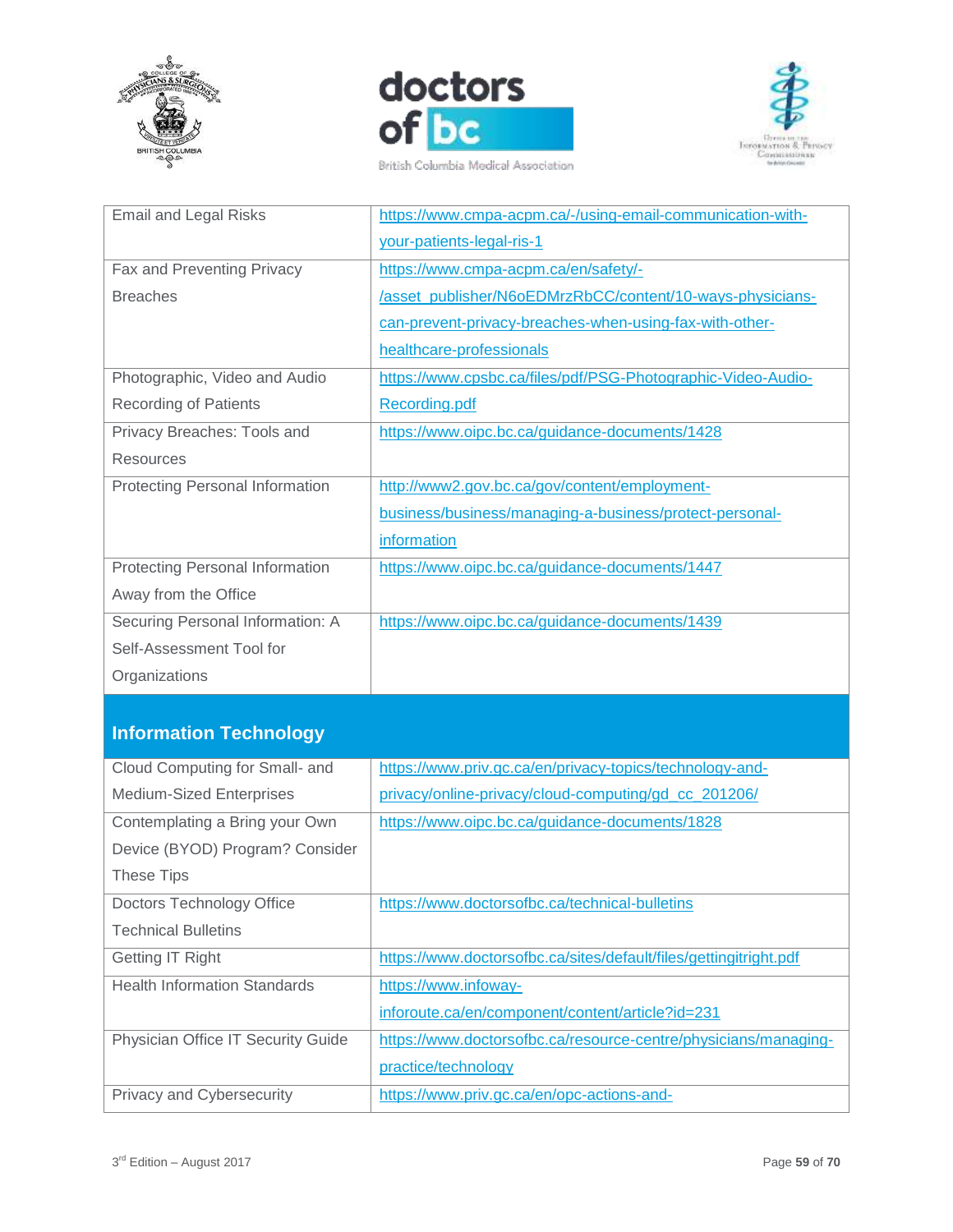







| <b>Email and Legal Risks</b>           | https://www.cmpa-acpm.ca/-/using-email-communication-with-   |
|----------------------------------------|--------------------------------------------------------------|
|                                        | your-patients-legal-ris-1                                    |
| Fax and Preventing Privacy             | https://www.cmpa-acpm.ca/en/safety/-                         |
| <b>Breaches</b>                        | /asset_publisher/N6oEDMrzRbCC/content/10-ways-physicians-    |
|                                        | can-prevent-privacy-breaches-when-using-fax-with-other-      |
|                                        | healthcare-professionals                                     |
| Photographic, Video and Audio          | https://www.cpsbc.ca/files/pdf/PSG-Photographic-Video-Audio- |
| <b>Recording of Patients</b>           | Recording.pdf                                                |
| Privacy Breaches: Tools and            | https://www.oipc.bc.ca/guidance-documents/1428               |
| <b>Resources</b>                       |                                                              |
| <b>Protecting Personal Information</b> | http://www2.gov.bc.ca/gov/content/employment-                |
|                                        | business/business/managing-a-business/protect-personal-      |
|                                        | information                                                  |
| <b>Protecting Personal Information</b> | https://www.oipc.bc.ca/guidance-documents/1447               |
| Away from the Office                   |                                                              |
| Securing Personal Information: A       | https://www.oipc.bc.ca/guidance-documents/1439               |
| Self-Assessment Tool for               |                                                              |
| Organizations                          |                                                              |

# <span id="page-58-0"></span>**Information Technology**

| Cloud Computing for Small- and      | https://www.priv.gc.ca/en/privacy-topics/technology-and-          |
|-------------------------------------|-------------------------------------------------------------------|
| <b>Medium-Sized Enterprises</b>     | privacy/online-privacy/cloud-computing/gd_cc_201206/              |
| Contemplating a Bring your Own      | https://www.oipc.bc.ca/guidance-documents/1828                    |
| Device (BYOD) Program? Consider     |                                                                   |
| These Tips                          |                                                                   |
| Doctors Technology Office           | https://www.doctorsofbc.ca/technical-bulletins                    |
| <b>Technical Bulletins</b>          |                                                                   |
| Getting IT Right                    | https://www.doctorsofbc.ca/sites/default/files/gettingitright.pdf |
| <b>Health Information Standards</b> | https://www.infoway-                                              |
|                                     | inforoute.ca/en/component/content/article?id=231                  |
| Physician Office IT Security Guide  | https://www.doctorsofbc.ca/resource-centre/physicians/managing-   |
|                                     | practice/technology                                               |
| Privacy and Cybersecurity           | https://www.priv.gc.ca/en/opc-actions-and-                        |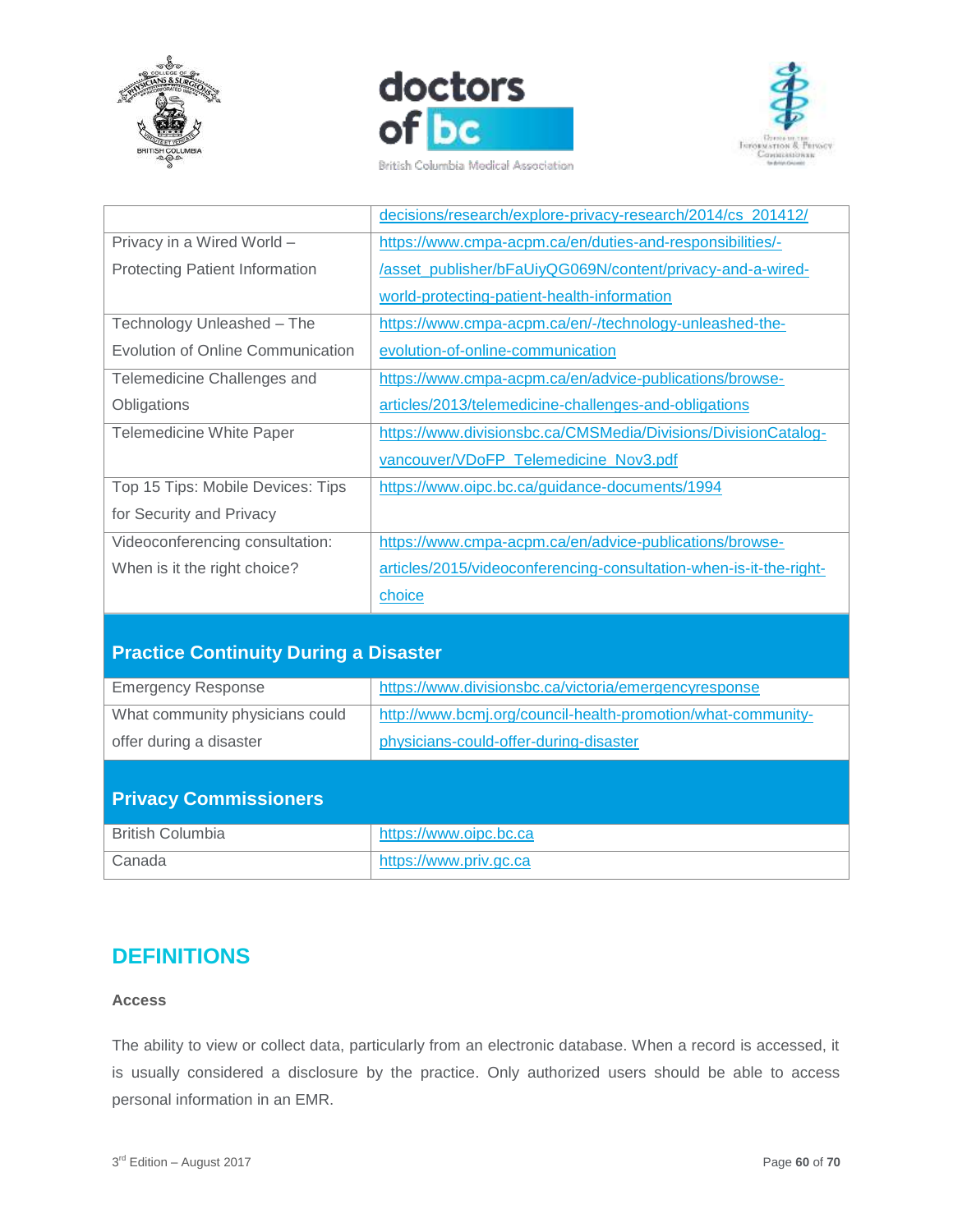





British Columbia Medical Association

|                                       | decisions/research/explore-privacy-research/2014/cs 201412/        |
|---------------------------------------|--------------------------------------------------------------------|
| Privacy in a Wired World -            | https://www.cmpa-acpm.ca/en/duties-and-responsibilities/-          |
| <b>Protecting Patient Information</b> | /asset_publisher/bFaUiyQG069N/content/privacy-and-a-wired-         |
|                                       | world-protecting-patient-health-information                        |
| Technology Unleashed - The            | https://www.cmpa-acpm.ca/en/-/technology-unleashed-the-            |
| Evolution of Online Communication     | evolution-of-online-communication                                  |
| Telemedicine Challenges and           | https://www.cmpa-acpm.ca/en/advice-publications/browse-            |
| Obligations                           | articles/2013/telemedicine-challenges-and-obligations              |
| <b>Telemedicine White Paper</b>       | https://www.divisionsbc.ca/CMSMedia/Divisions/DivisionCatalog-     |
|                                       | vancouver/VDoFP_Telemedicine_Nov3.pdf                              |
| Top 15 Tips: Mobile Devices: Tips     | https://www.oipc.bc.ca/guidance-documents/1994                     |
| for Security and Privacy              |                                                                    |
| Videoconferencing consultation:       | https://www.cmpa-acpm.ca/en/advice-publications/browse-            |
| When is it the right choice?          | articles/2015/videoconferencing-consultation-when-is-it-the-right- |
|                                       | choice                                                             |

# <span id="page-59-0"></span>**Practice Continuity During a Disaster**

| <b>Emergency Response</b>       | https://www.divisionsbc.ca/victoria/emergencyresponse        |
|---------------------------------|--------------------------------------------------------------|
| What community physicians could | http://www.bcmj.org/council-health-promotion/what-community- |
| offer during a disaster         | physicians-could-offer-during-disaster                       |

# <span id="page-59-1"></span>**Privacy Commissioners**

| <b>British Columbia</b> | https://www.oipc.bc.ca |
|-------------------------|------------------------|
| Canada                  | https://www.priv.gc.ca |

# <span id="page-59-2"></span>**DEFINITIONS**

#### **Access**

The ability to view or collect data, particularly from an electronic database. When a record is accessed, it is usually considered a disclosure by the practice. Only authorized users should be able to access personal information in an EMR.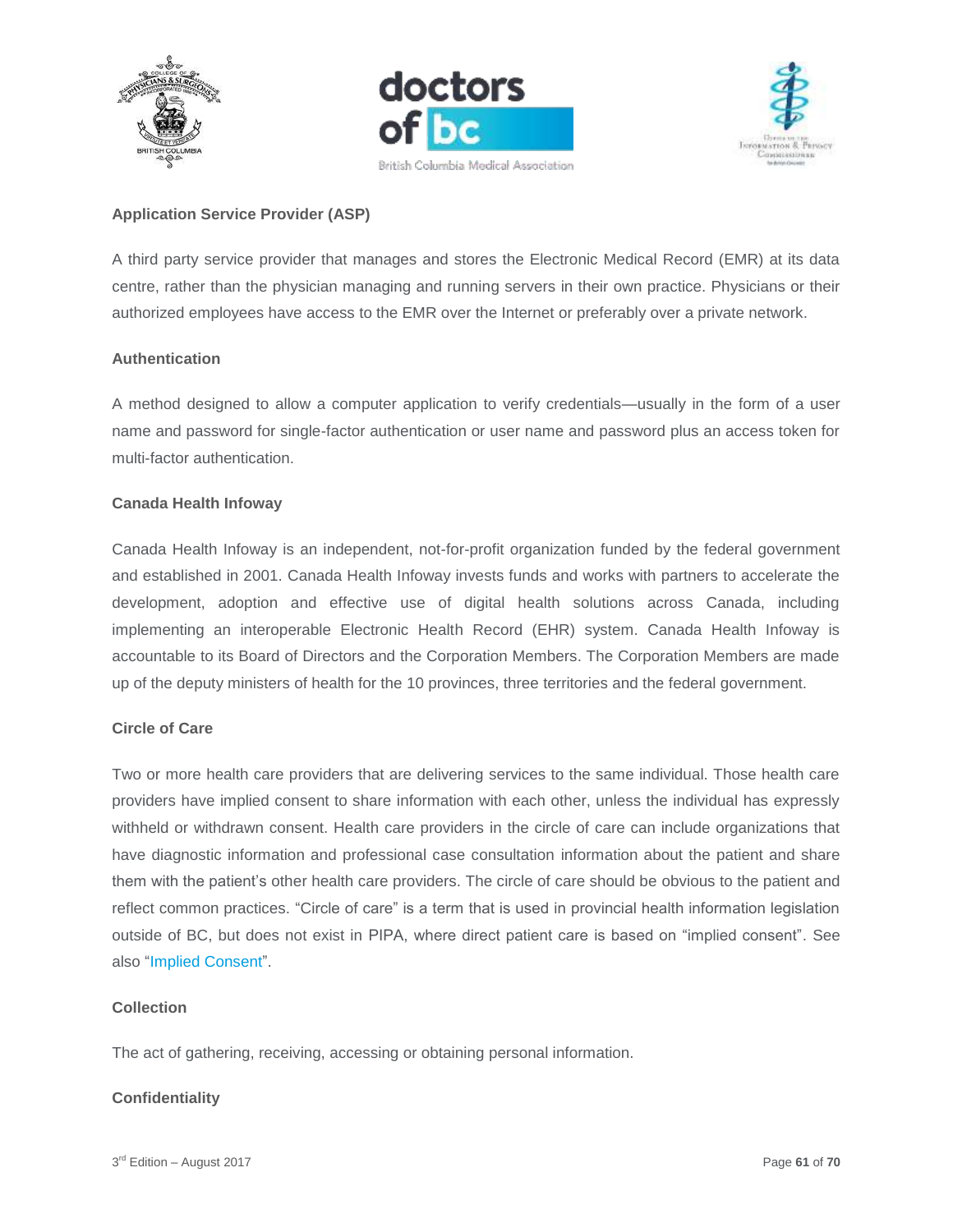





#### **Application Service Provider (ASP)**

A third party service provider that manages and stores the Electronic Medical Record (EMR) at its data centre, rather than the physician managing and running servers in their own practice. Physicians or their authorized employees have access to the EMR over the Internet or preferably over a private network.

#### **Authentication**

A method designed to allow a computer application to verify credentials—usually in the form of a user name and password for single-factor authentication or user name and password plus an access token for multi-factor authentication.

#### **Canada Health Infoway**

Canada Health Infoway is an independent, not-for-profit organization funded by the federal government and established in 2001. Canada Health Infoway invests funds and works with partners to accelerate the development, adoption and effective use of digital health solutions across Canada, including implementing an interoperable Electronic Health Record (EHR) system. Canada Health Infoway is accountable to its Board of Directors and the Corporation Members. The Corporation Members are made up of the deputy ministers of health for the 10 provinces, three territories and the federal government.

#### **Circle of Care**

Two or more health care providers that are delivering services to the same individual. Those health care providers have implied consent to share information with each other, unless the individual has expressly withheld or withdrawn consent. Health care providers in the circle of care can include organizations that have diagnostic information and professional case consultation information about the patient and share them with the patient's other health care providers. The circle of care should be obvious to the patient and reflect common practices. "Circle of care" is a term that is used in provincial health information legislation outside of BC, but does not exist in PIPA, where direct patient care is based on "implied consent". See also "Implied Consent".

#### **Collection**

The act of gathering, receiving, accessing or obtaining personal information.

#### **Confidentiality**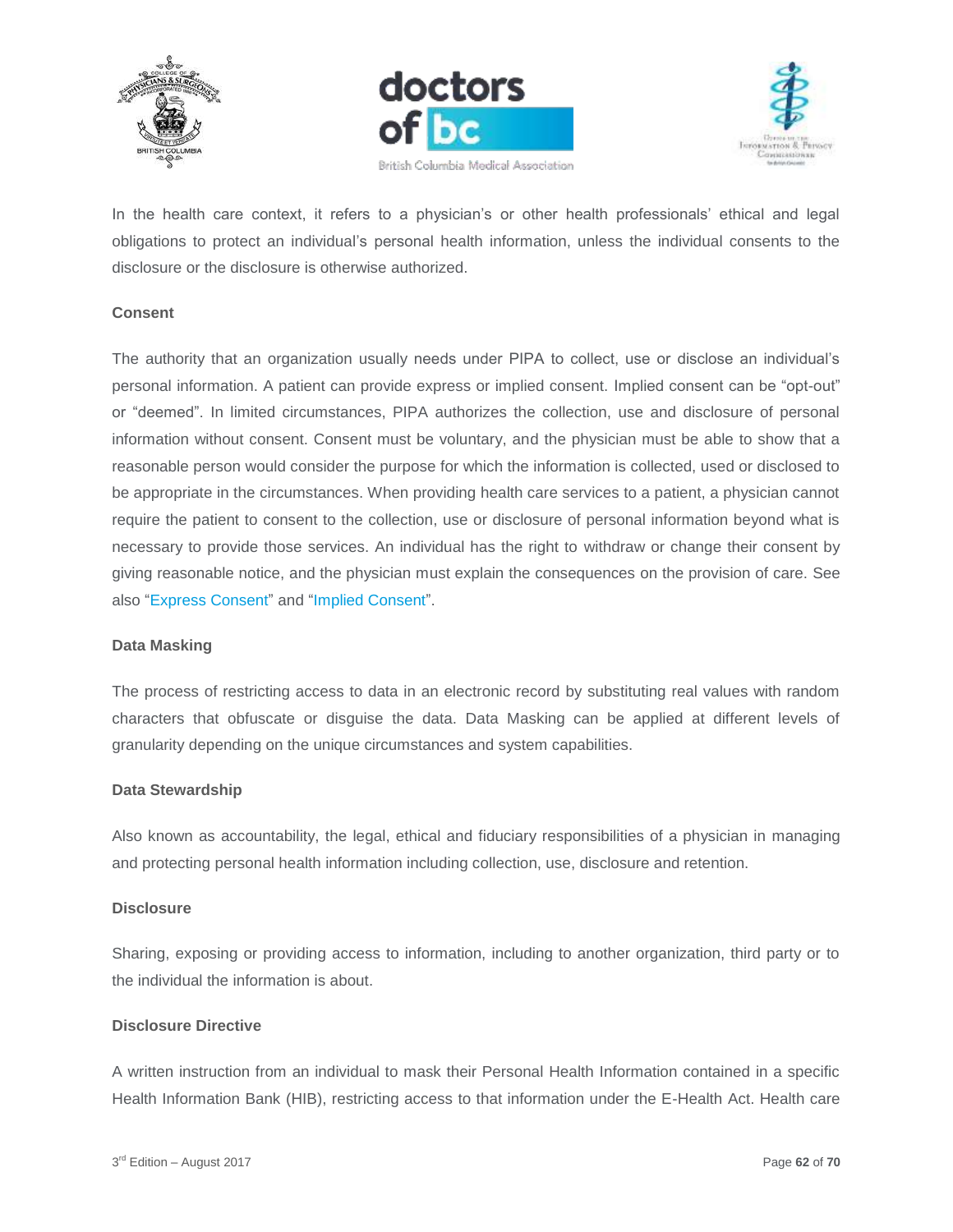





In the health care context, it refers to a physician's or other health professionals' ethical and legal obligations to protect an individual's personal health information, unless the individual consents to the disclosure or the disclosure is otherwise authorized.

#### **Consent**

The authority that an organization usually needs under PIPA to collect, use or disclose an individual's personal information. A patient can provide express or implied consent. Implied consent can be "opt-out" or "deemed". In limited circumstances, PIPA authorizes the collection, use and disclosure of personal information without consent. Consent must be voluntary, and the physician must be able to show that a reasonable person would consider the purpose for which the information is collected, used or disclosed to be appropriate in the circumstances. When providing health care services to a patient, a physician cannot require the patient to consent to the collection, use or disclosure of personal information beyond what is necessary to provide those services. An individual has the right to withdraw or change their consent by giving reasonable notice, and the physician must explain the consequences on the provision of care. See also "Express Consent" and "Implied Consent".

#### **Data Masking**

The process of restricting access to data in an electronic record by substituting real values with random characters that obfuscate or disguise the data. Data Masking can be applied at different levels of granularity depending on the unique circumstances and system capabilities.

#### **Data Stewardship**

Also known as accountability, the legal, ethical and fiduciary responsibilities of a physician in managing and protecting personal health information including collection, use, disclosure and retention.

#### **Disclosure**

Sharing, exposing or providing access to information, including to another organization, third party or to the individual the information is about.

#### **Disclosure Directive**

A written instruction from an individual to mask their Personal Health Information contained in a specific Health Information Bank (HIB), restricting access to that information under the E-Health Act. Health care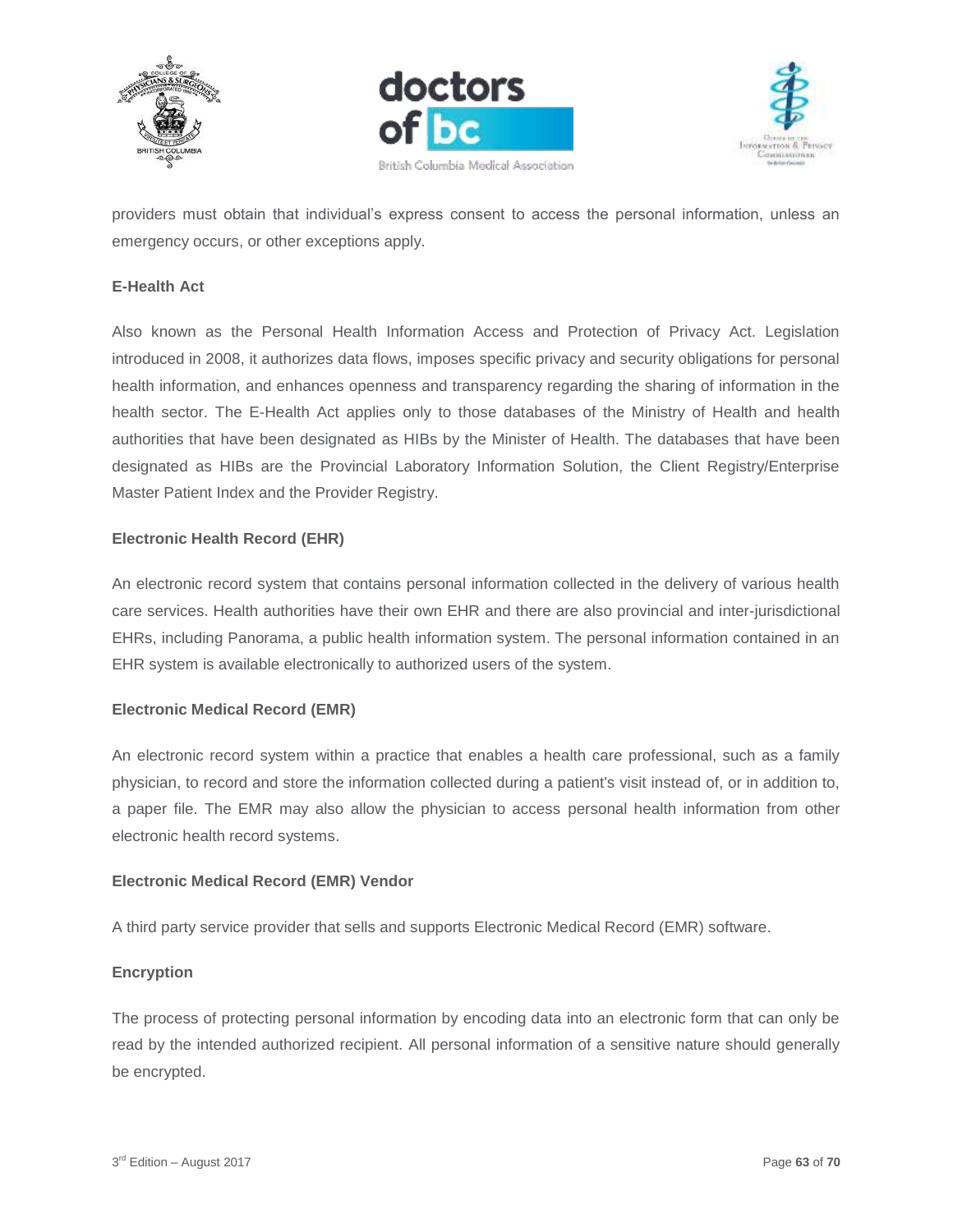





providers must obtain that individual's express consent to access the personal information, unless an emergency occurs, or other exceptions apply.

#### **E-Health Act**

Also known as the Personal Health Information Access and Protection of Privacy Act. Legislation introduced in 2008, it authorizes data flows, imposes specific privacy and security obligations for personal health information, and enhances openness and transparency regarding the sharing of information in the health sector. The E-Health Act applies only to those databases of the Ministry of Health and health authorities that have been designated as HIBs by the Minister of Health. The databases that have been designated as HIBs are the Provincial Laboratory Information Solution, the Client Registry/Enterprise Master Patient Index and the Provider Registry.

#### **Electronic Health Record (EHR)**

An electronic record system that contains personal information collected in the delivery of various health care services. Health authorities have their own EHR and there are also provincial and inter-jurisdictional EHRs, including Panorama, a public health information system. The personal information contained in an EHR system is available electronically to authorized users of the system.

#### **Electronic Medical Record (EMR)**

An electronic record system within a practice that enables a health care professional, such as a family physician, to record and store the information collected during a patient's visit instead of, or in addition to, a paper file. The EMR may also allow the physician to access personal health information from other electronic health record systems.

#### **Electronic Medical Record (EMR) Vendor**

A third party service provider that sells and supports Electronic Medical Record (EMR) software.

#### **Encryption**

The process of protecting personal information by encoding data into an electronic form that can only be read by the intended authorized recipient. All personal information of a sensitive nature should generally be encrypted.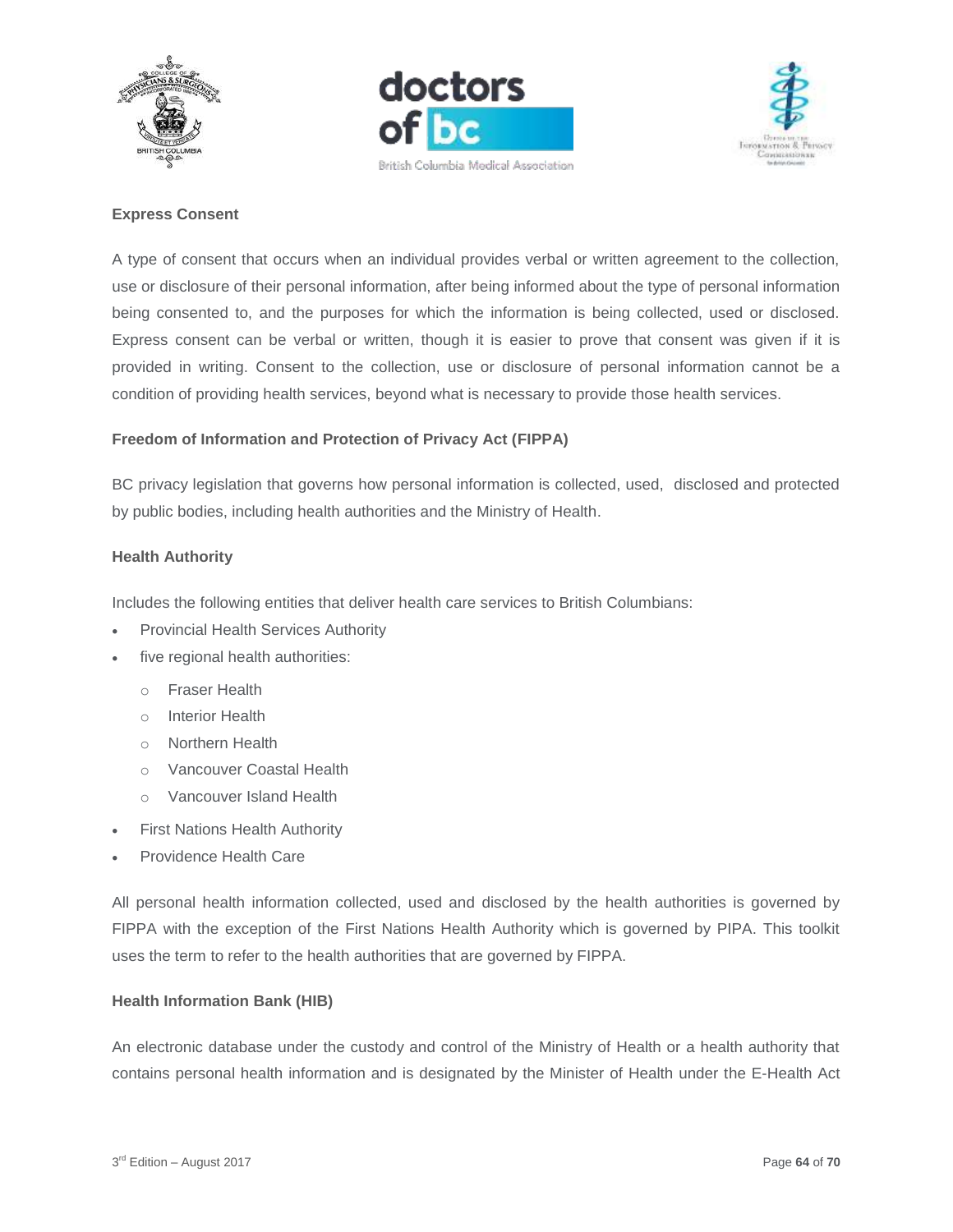





#### **Express Consent**

A type of consent that occurs when an individual provides verbal or written agreement to the collection, use or disclosure of their personal information, after being informed about the type of personal information being consented to, and the purposes for which the information is being collected, used or disclosed. Express consent can be verbal or written, though it is easier to prove that consent was given if it is provided in writing. Consent to the collection, use or disclosure of personal information cannot be a condition of providing health services, beyond what is necessary to provide those health services.

#### **Freedom of Information and Protection of Privacy Act (FIPPA)**

BC privacy legislation that governs how personal information is collected, used, disclosed and protected by public bodies, including health authorities and the Ministry of Health.

#### **Health Authority**

Includes the following entities that deliver health care services to British Columbians:

- Provincial Health Services Authority
- five regional health authorities:
	- o Fraser Health
	- o Interior Health
	- o Northern Health
	- o Vancouver Coastal Health
	- o Vancouver Island Health
- First Nations Health Authority
- Providence Health Care

All personal health information collected, used and disclosed by the health authorities is governed by FIPPA with the exception of the First Nations Health Authority which is governed by PIPA. This toolkit uses the term to refer to the health authorities that are governed by FIPPA.

#### **Health Information Bank (HIB)**

An electronic database under the custody and control of the Ministry of Health or a health authority that contains personal health information and is designated by the Minister of Health under the E-Health Act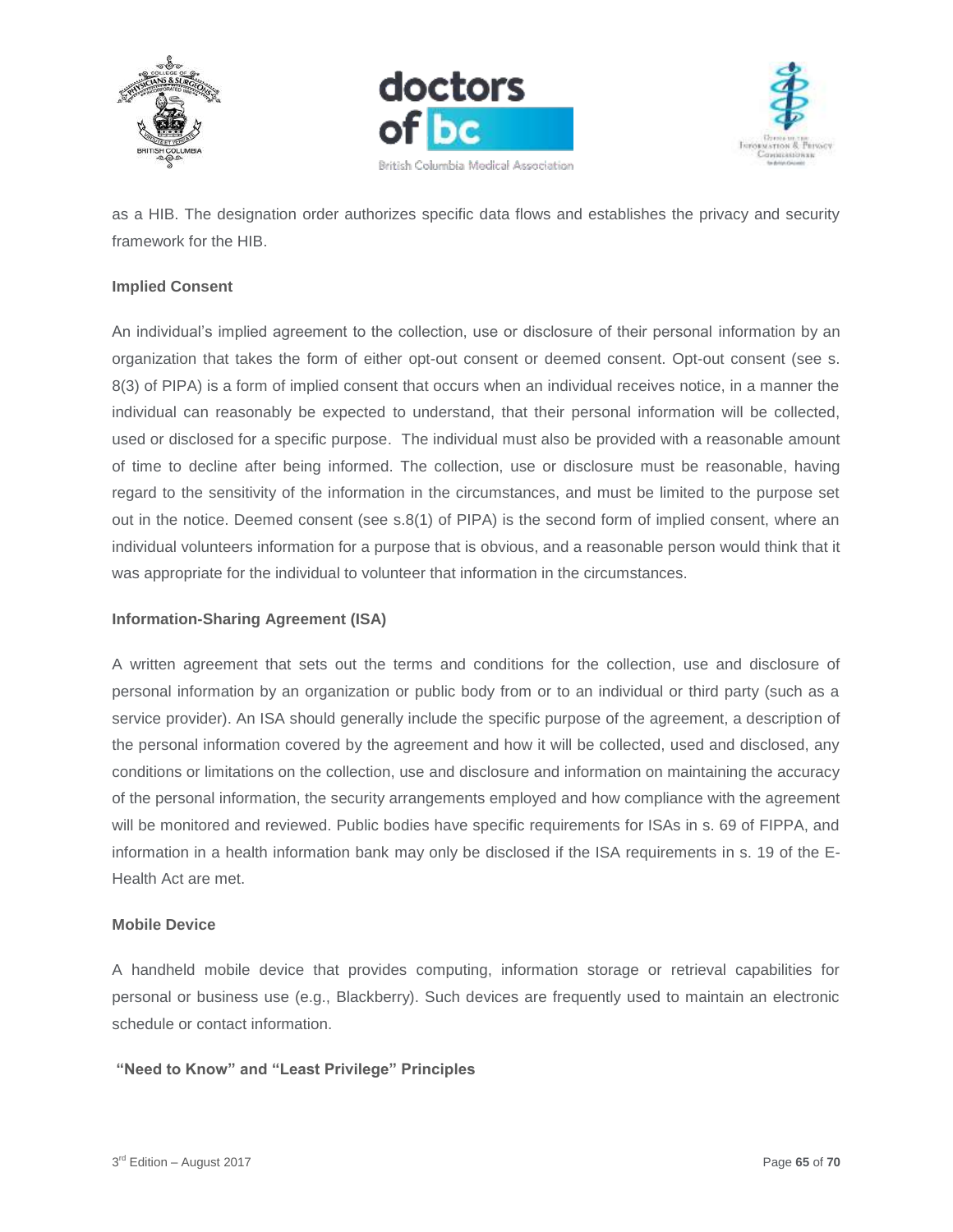





as a HIB. The designation order authorizes specific data flows and establishes the privacy and security framework for the HIB.

#### **Implied Consent**

An individual's implied agreement to the collection, use or disclosure of their personal information by an organization that takes the form of either opt-out consent or deemed consent. Opt-out consent (see s. 8(3) of PIPA) is a form of implied consent that occurs when an individual receives notice, in a manner the individual can reasonably be expected to understand, that their personal information will be collected, used or disclosed for a specific purpose. The individual must also be provided with a reasonable amount of time to decline after being informed. The collection, use or disclosure must be reasonable, having regard to the sensitivity of the information in the circumstances, and must be limited to the purpose set out in the notice. Deemed consent (see s.8(1) of PIPA) is the second form of implied consent, where an individual volunteers information for a purpose that is obvious, and a reasonable person would think that it was appropriate for the individual to volunteer that information in the circumstances.

#### **Information-Sharing Agreement (ISA)**

A written agreement that sets out the terms and conditions for the collection, use and disclosure of personal information by an organization or public body from or to an individual or third party (such as a service provider). An ISA should generally include the specific purpose of the agreement, a description of the personal information covered by the agreement and how it will be collected, used and disclosed, any conditions or limitations on the collection, use and disclosure and information on maintaining the accuracy of the personal information, the security arrangements employed and how compliance with the agreement will be monitored and reviewed. Public bodies have specific requirements for ISAs in s. 69 of FIPPA, and information in a health information bank may only be disclosed if the ISA requirements in s. 19 of the E-Health Act are met.

#### **Mobile Device**

A handheld mobile device that provides computing, information storage or retrieval capabilities for personal or business use (e.g., Blackberry). Such devices are frequently used to maintain an electronic schedule or contact information.

#### **"Need to Know" and "Least Privilege" Principles**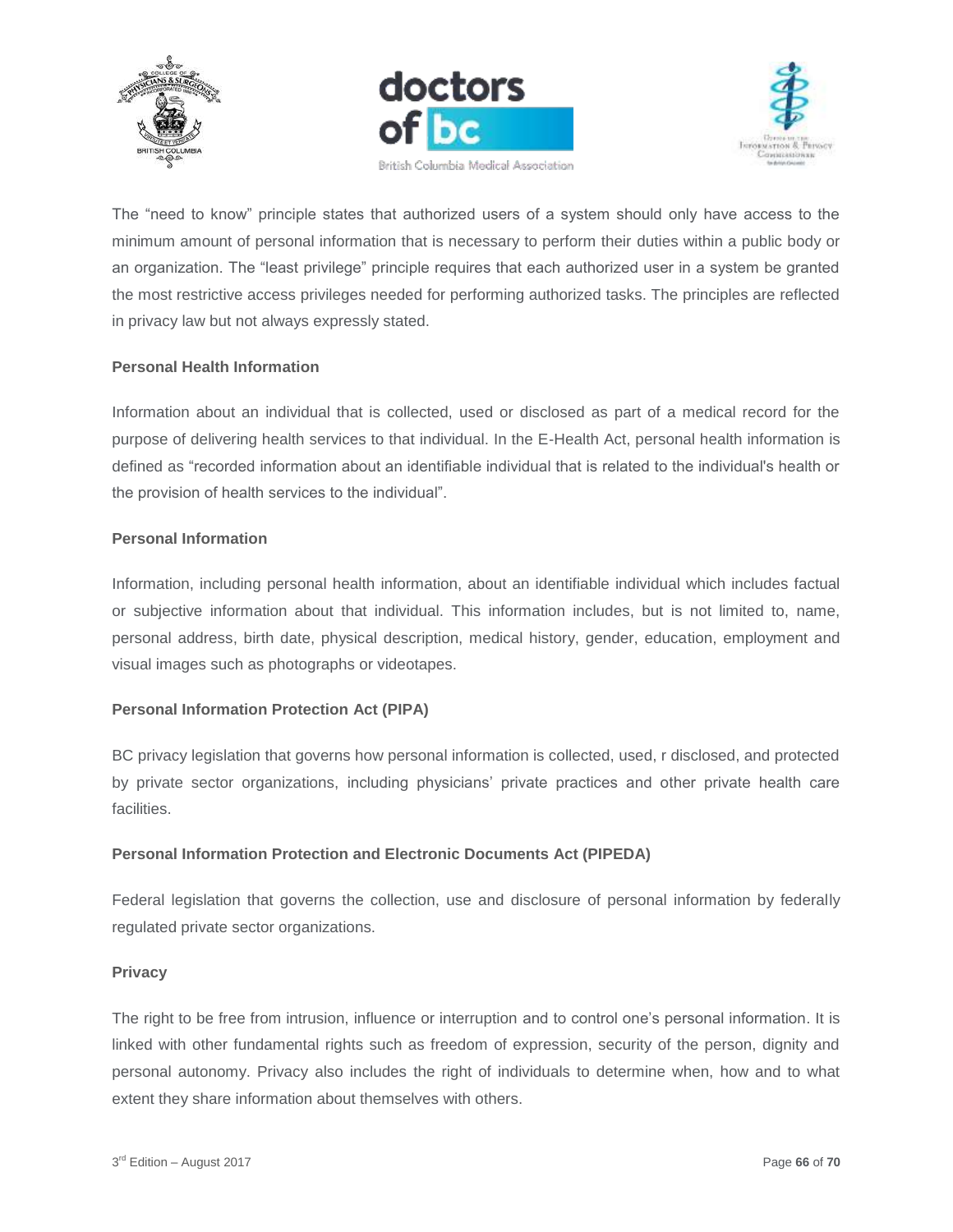





The "need to know" principle states that authorized users of a system should only have access to the minimum amount of personal information that is necessary to perform their duties within a public body or an organization. The "least privilege" principle requires that each authorized user in a system be granted the most restrictive access privileges needed for performing authorized tasks. The principles are reflected in privacy law but not always expressly stated.

#### **Personal Health Information**

Information about an individual that is collected, used or disclosed as part of a medical record for the purpose of delivering health services to that individual. In the E-Health Act, personal health information is defined as "recorded information about an identifiable individual that is related to the individual's health or the provision of health services to the individual".

#### **Personal Information**

Information, including personal health information, about an identifiable individual which includes factual or subjective information about that individual. This information includes, but is not limited to, name, personal address, birth date, physical description, medical history, gender, education, employment and visual images such as photographs or videotapes.

#### **Personal Information Protection Act (PIPA)**

BC privacy legislation that governs how personal information is collected, used, r disclosed, and protected by private sector organizations, including physicians' private practices and other private health care facilities.

#### **Personal Information Protection and Electronic Documents Act (PIPEDA)**

Federal legislation that governs the collection, use and disclosure of personal information by federally regulated private sector organizations.

#### **Privacy**

The right to be free from intrusion, influence or interruption and to control one's personal information. It is linked with other fundamental rights such as freedom of expression, security of the person, dignity and personal autonomy. Privacy also includes the right of individuals to determine when, how and to what extent they share information about themselves with others.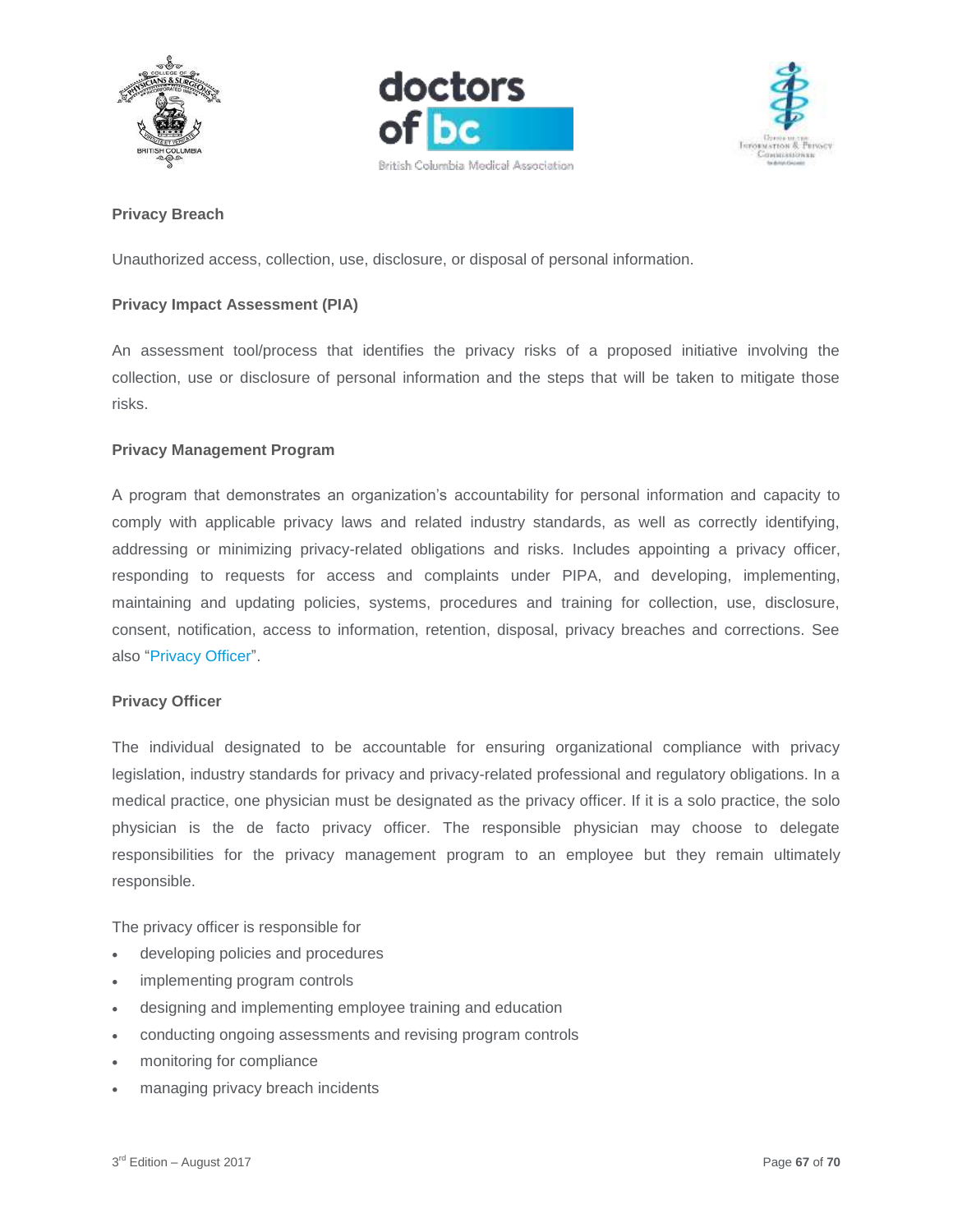





#### **Privacy Breach**

Unauthorized access, collection, use, disclosure, or disposal of personal information.

#### **Privacy Impact Assessment (PIA)**

An assessment tool/process that identifies the privacy risks of a proposed initiative involving the collection, use or disclosure of personal information and the steps that will be taken to mitigate those risks.

#### **Privacy Management Program**

A program that demonstrates an organization's accountability for personal information and capacity to comply with applicable privacy laws and related industry standards, as well as correctly identifying, addressing or minimizing privacy-related obligations and risks. Includes appointing a privacy officer, responding to requests for access and complaints under PIPA, and developing, implementing, maintaining and updating policies, systems, procedures and training for collection, use, disclosure, consent, notification, access to information, retention, disposal, privacy breaches and corrections. See also "Privacy Officer".

#### **Privacy Officer**

The individual designated to be accountable for ensuring organizational compliance with privacy legislation, industry standards for privacy and privacy-related professional and regulatory obligations. In a medical practice, one physician must be designated as the privacy officer. If it is a solo practice, the solo physician is the de facto privacy officer. The responsible physician may choose to delegate responsibilities for the privacy management program to an employee but they remain ultimately responsible.

The privacy officer is responsible for

- developing policies and procedures
- implementing program controls
- designing and implementing employee training and education
- conducting ongoing assessments and revising program controls
- monitoring for compliance
- managing privacy breach incidents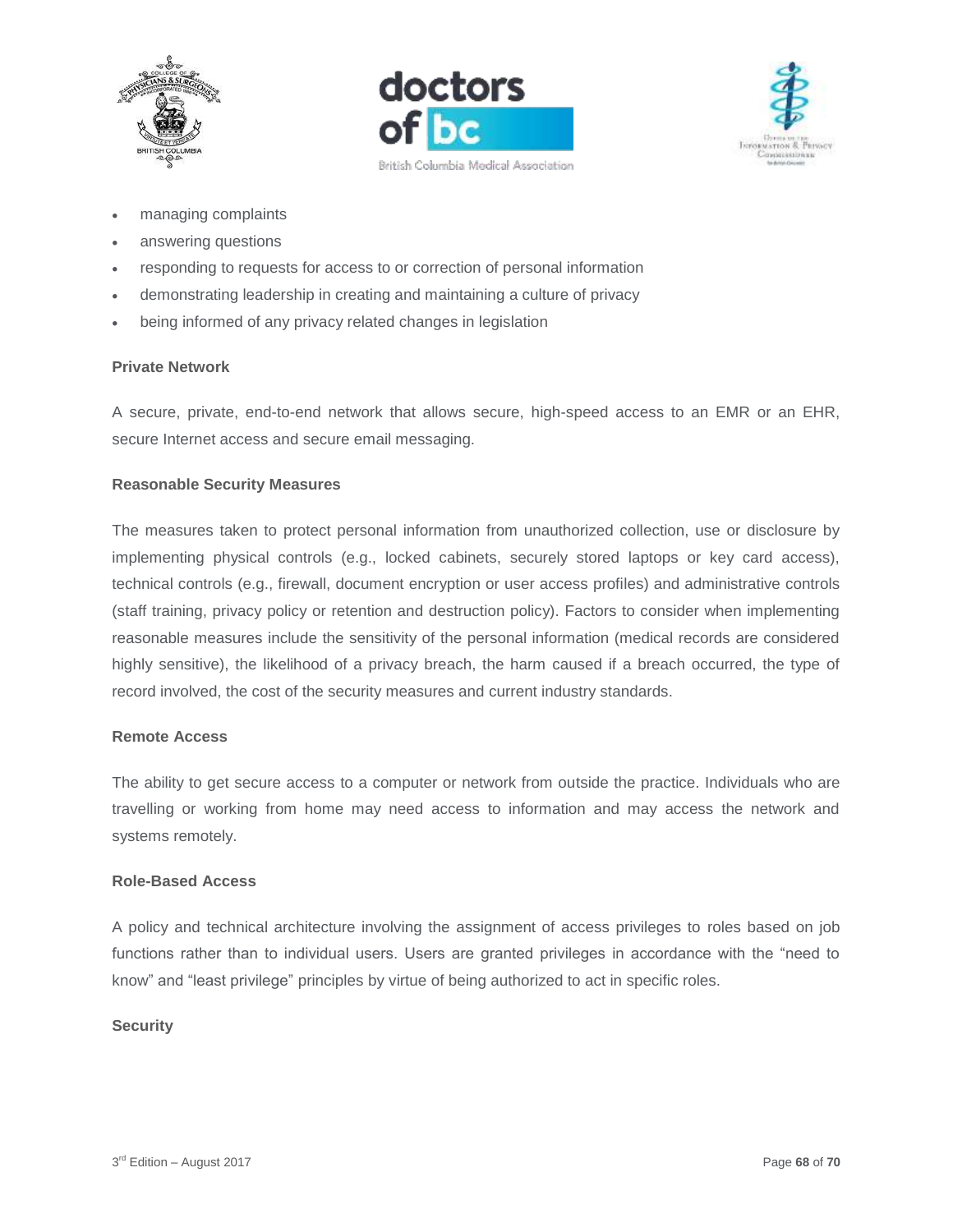





- managing complaints
- answering questions
- responding to requests for access to or correction of personal information
- demonstrating leadership in creating and maintaining a culture of privacy
- being informed of any privacy related changes in legislation

#### **Private Network**

A secure, private, end-to-end network that allows secure, high-speed access to an EMR or an EHR, secure Internet access and secure email messaging.

#### **Reasonable Security Measures**

The measures taken to protect personal information from unauthorized collection, use or disclosure by implementing physical controls (e.g., locked cabinets, securely stored laptops or key card access), technical controls (e.g., firewall, document encryption or user access profiles) and administrative controls (staff training, privacy policy or retention and destruction policy). Factors to consider when implementing reasonable measures include the sensitivity of the personal information (medical records are considered highly sensitive), the likelihood of a privacy breach, the harm caused if a breach occurred, the type of record involved, the cost of the security measures and current industry standards.

#### **Remote Access**

The ability to get secure access to a computer or network from outside the practice. Individuals who are travelling or working from home may need access to information and may access the network and systems remotely.

#### **Role-Based Access**

A policy and technical architecture involving the assignment of access privileges to roles based on job functions rather than to individual users. Users are granted privileges in accordance with the "need to know" and "least privilege" principles by virtue of being authorized to act in specific roles.

#### **Security**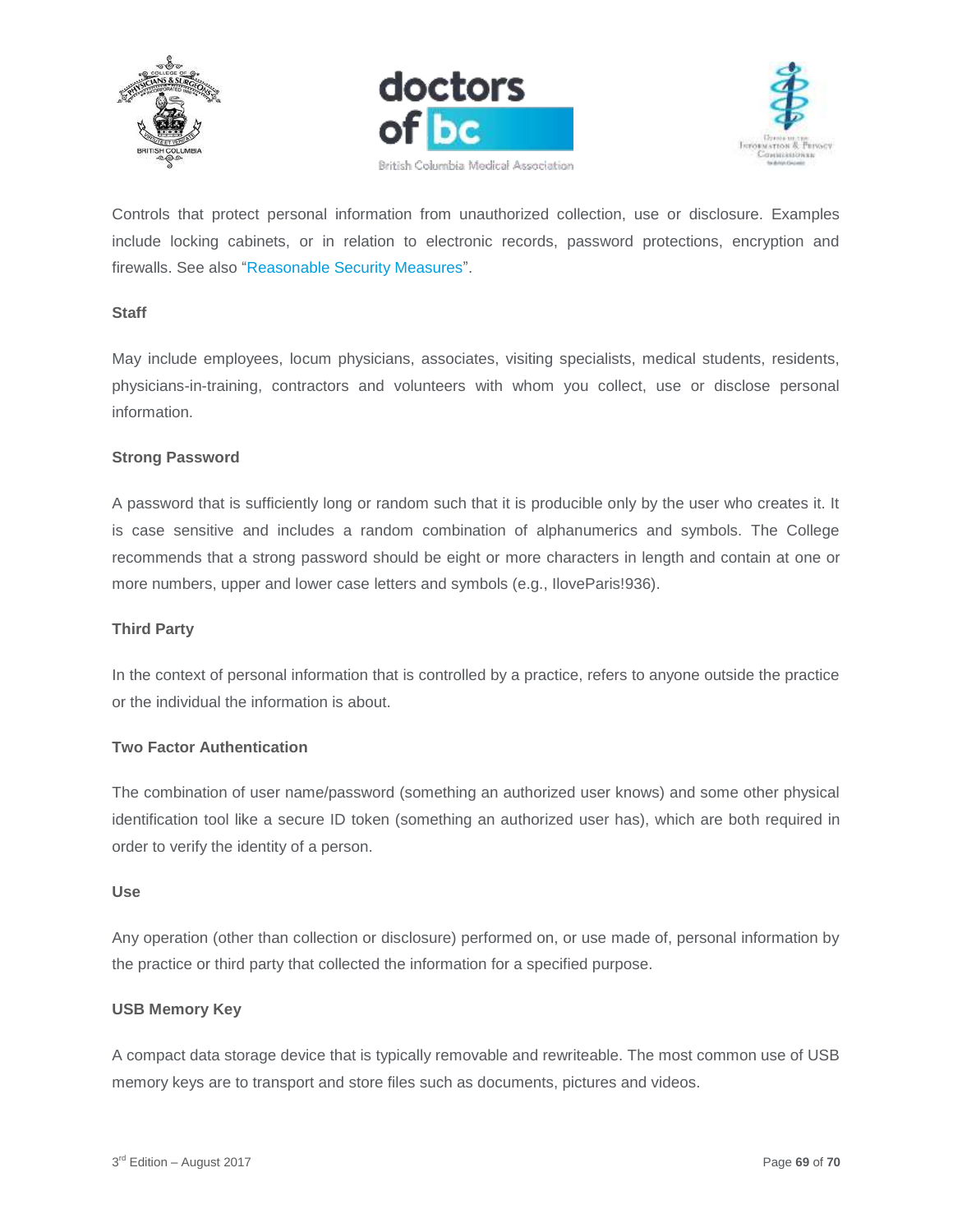





Controls that protect personal information from unauthorized collection, use or disclosure. Examples include locking cabinets, or in relation to electronic records, password protections, encryption and firewalls. See also "Reasonable Security Measures".

#### **Staff**

May include employees, locum physicians, associates, visiting specialists, medical students, residents, physicians-in-training, contractors and volunteers with whom you collect, use or disclose personal information.

#### **Strong Password**

A password that is sufficiently long or random such that it is producible only by the user who creates it. It is case sensitive and includes a random combination of alphanumerics and symbols. The College recommends that a strong password should be eight or more characters in length and contain at one or more numbers, upper and lower case letters and symbols (e.g., IloveParis!936).

#### **Third Party**

In the context of personal information that is controlled by a practice, refers to anyone outside the practice or the individual the information is about.

#### **Two Factor Authentication**

The combination of user name/password (something an authorized user knows) and some other physical identification tool like a secure ID token (something an authorized user has), which are both required in order to verify the identity of a person.

#### **Use**

Any operation (other than collection or disclosure) performed on, or use made of, personal information by the practice or third party that collected the information for a specified purpose.

#### **USB Memory Key**

A compact data storage device that is typically removable and rewriteable. The most common use of USB memory keys are to transport and store files such as documents, pictures and videos.